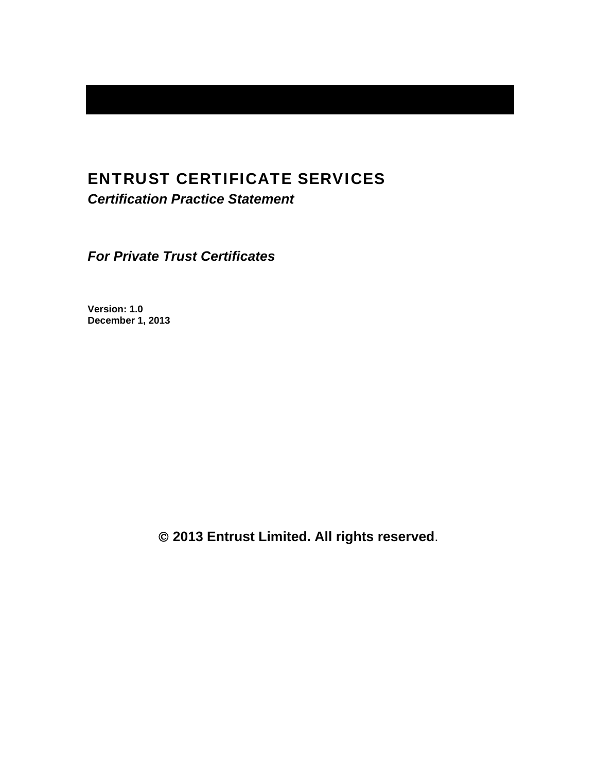# ENTRUST CERTIFICATE SERVICES

*Certification Practice Statement* 

*For Private Trust Certificates* 

**Version: 1.0 December 1, 2013** 

 **2013 Entrust Limited. All rights reserved**.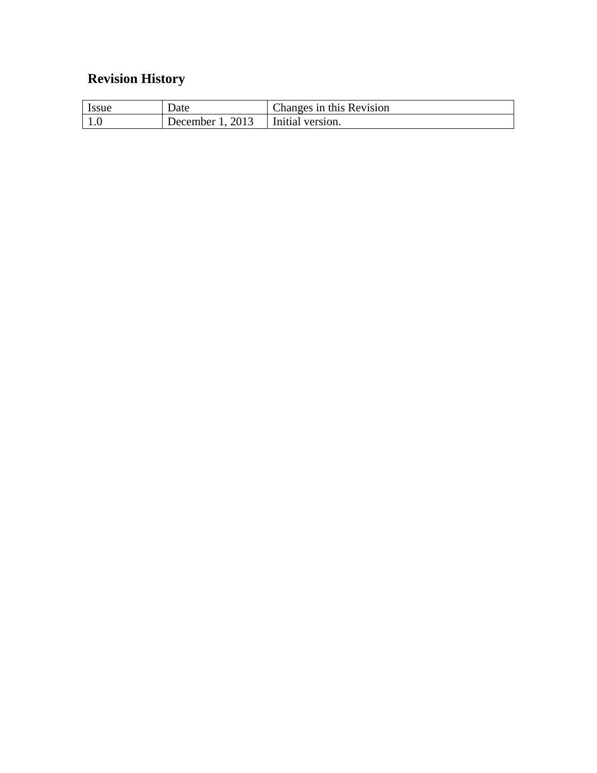# **Revision History**

| <i>Issue</i> | Date               | Changes in this Revision |
|--------------|--------------------|--------------------------|
|              | December 1, $2013$ | Initial version.         |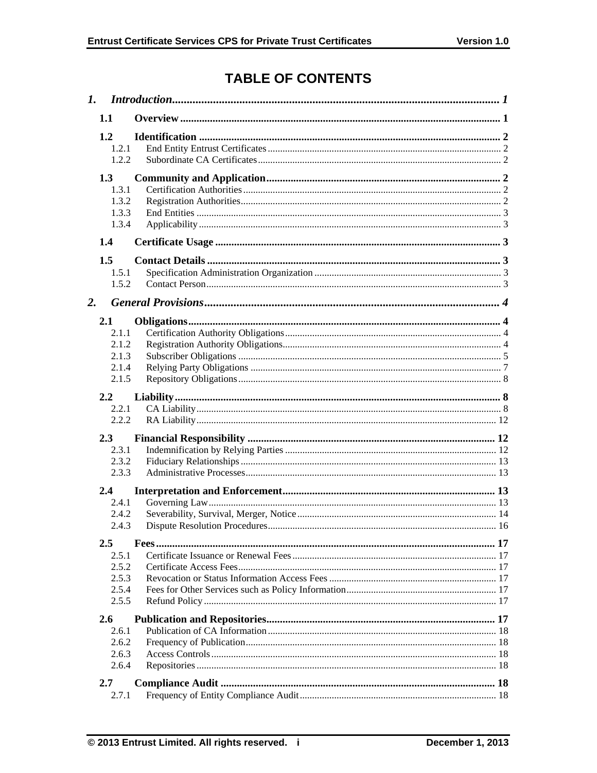# **TABLE OF CONTENTS**

|                  | $\mathbf{I}$ .                            |  |  |
|------------------|-------------------------------------------|--|--|
|                  | 1.1                                       |  |  |
|                  | 1.2<br>1.2.1<br>1.2.2                     |  |  |
|                  | 1.3<br>1.3.1<br>1.3.2<br>1.3.3<br>1.3.4   |  |  |
|                  | 1.4                                       |  |  |
| $\overline{2}$ . | 1.5<br>1.5.1<br>1.5.2                     |  |  |
|                  | 2.1                                       |  |  |
|                  | 2.1.1<br>2.1.2<br>2.1.3<br>2.1.4<br>2.1.5 |  |  |
|                  | 2.2                                       |  |  |
|                  | 2.2.1<br>2.2.2                            |  |  |
|                  |                                           |  |  |
|                  | 2.3<br>2.3.1<br>2.3.2<br>2.3.3            |  |  |
|                  | 2.4                                       |  |  |
|                  | 2.4.1<br>2.4.2<br>2.4.3                   |  |  |
|                  | $2.5\,$                                   |  |  |
|                  | 2.5.1<br>2.5.2<br>2.5.3<br>2.5.4<br>2.5.5 |  |  |
|                  | 2.6                                       |  |  |
|                  | 2.6.1<br>2.6.2<br>2.6.3<br>2.6.4          |  |  |
|                  | 2.7                                       |  |  |
|                  | 2.7.1                                     |  |  |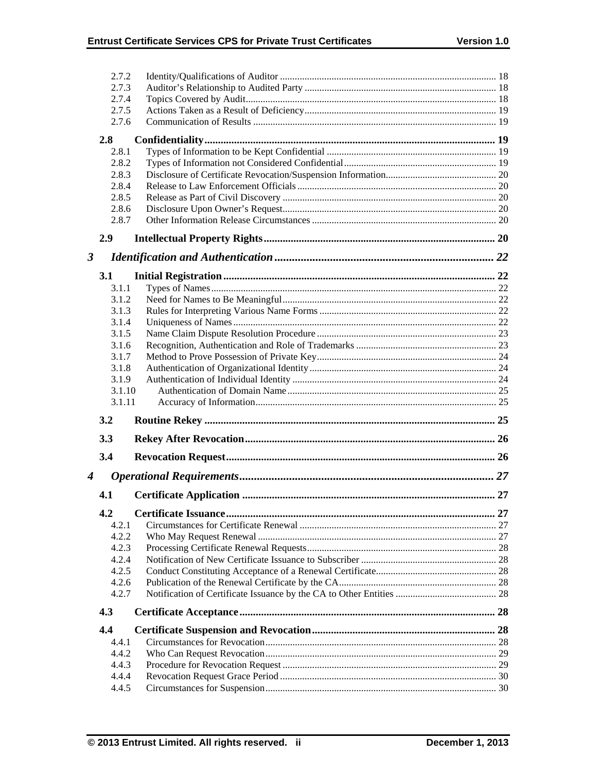|                      | 2.7.2          |  |
|----------------------|----------------|--|
|                      | 2.7.3          |  |
|                      | 2.7.4          |  |
|                      | 2.7.5          |  |
|                      | 2.7.6          |  |
|                      | 2.8            |  |
|                      | 2.8.1          |  |
|                      | 2.8.2          |  |
|                      | 2.8.3          |  |
|                      | 2.8.4          |  |
|                      | 2.8.5          |  |
| 2.8.6                |                |  |
|                      | 2.8.7          |  |
|                      | 2.9            |  |
| $\boldsymbol{\beta}$ |                |  |
|                      | 3.1            |  |
|                      | 3.1.1          |  |
|                      | 3.1.2          |  |
|                      | 3.1.3          |  |
|                      | 3.1.4          |  |
|                      | 3.1.5          |  |
|                      | 3.1.6          |  |
|                      | 3.1.7          |  |
|                      | 3.1.8          |  |
|                      | 3.1.9          |  |
|                      |                |  |
|                      | 3.1.10         |  |
|                      | 3.1.11         |  |
|                      | 3.2            |  |
|                      | 3.3            |  |
|                      | 3.4            |  |
|                      |                |  |
|                      | 4.1            |  |
|                      | 4.2            |  |
|                      | 4.2.1          |  |
|                      | 4.2.2          |  |
|                      | 4.2.3          |  |
|                      | 4.2.4          |  |
|                      | 4.2.5          |  |
|                      | 4.2.6          |  |
| $\boldsymbol{4}$     | 4.2.7          |  |
|                      | 4.3            |  |
|                      | 4.4            |  |
|                      | 4.4.1          |  |
|                      | 4.4.2          |  |
|                      | 4.4.3          |  |
|                      | 4.4.4<br>4.4.5 |  |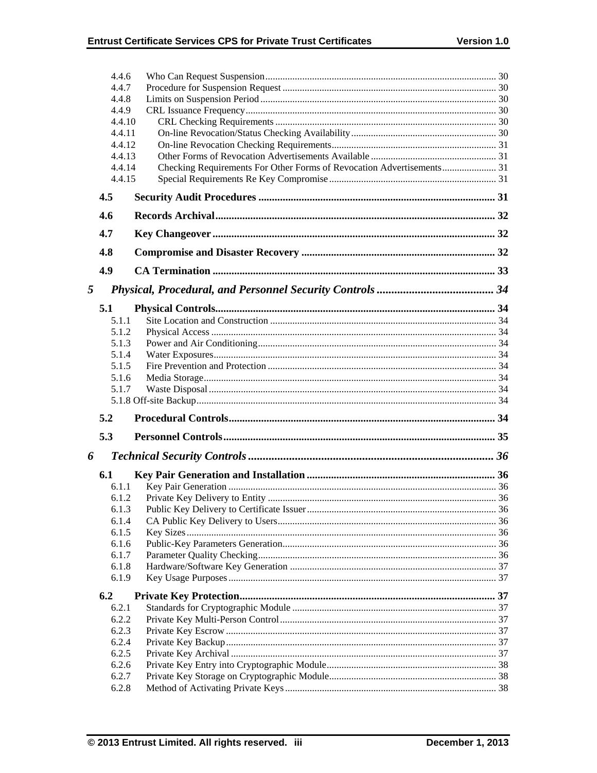|   | 4.4.6<br>4.4.7 |                                                                       |  |
|---|----------------|-----------------------------------------------------------------------|--|
|   | 4.4.8          |                                                                       |  |
|   | 4.4.9          |                                                                       |  |
|   | 4.4.10         |                                                                       |  |
|   | 4.4.11         |                                                                       |  |
|   | 4.4.12         |                                                                       |  |
|   | 4.4.13         |                                                                       |  |
|   | 4.4.14         | Checking Requirements For Other Forms of Revocation Advertisements 31 |  |
|   | 4.4.15         |                                                                       |  |
|   | 4.5            |                                                                       |  |
|   | 4.6            |                                                                       |  |
|   | 4.7            |                                                                       |  |
|   | 4.8            |                                                                       |  |
|   | 4.9            |                                                                       |  |
| 5 |                |                                                                       |  |
|   | 5.1            |                                                                       |  |
|   | 5.1.1          |                                                                       |  |
|   | 5.1.2          |                                                                       |  |
|   | 5.1.3          |                                                                       |  |
|   | 5.1.4          |                                                                       |  |
|   | 5.1.5          |                                                                       |  |
|   | 5.1.6          |                                                                       |  |
|   | 5.1.7          |                                                                       |  |
|   |                |                                                                       |  |
|   | 5.2            |                                                                       |  |
|   | 5.3            |                                                                       |  |
| 6 |                |                                                                       |  |
|   | 6.1            |                                                                       |  |
|   | 6.1.1          |                                                                       |  |
|   | 6.1.2          |                                                                       |  |
|   | 6.1.3          |                                                                       |  |
|   |                |                                                                       |  |
|   | 6.1.4          |                                                                       |  |
|   | 6.1.5          |                                                                       |  |
|   | 6.1.6          |                                                                       |  |
|   | 6.1.7          |                                                                       |  |
|   | 6.1.8<br>6.1.9 |                                                                       |  |
|   | 6.2            |                                                                       |  |
|   | 6.2.1          |                                                                       |  |
|   | 6.2.2          |                                                                       |  |
|   | 6.2.3          |                                                                       |  |
|   | 6.2.4          |                                                                       |  |
|   | 6.2.5          |                                                                       |  |
|   | 6.2.6          |                                                                       |  |
|   | 6.2.7<br>6.2.8 |                                                                       |  |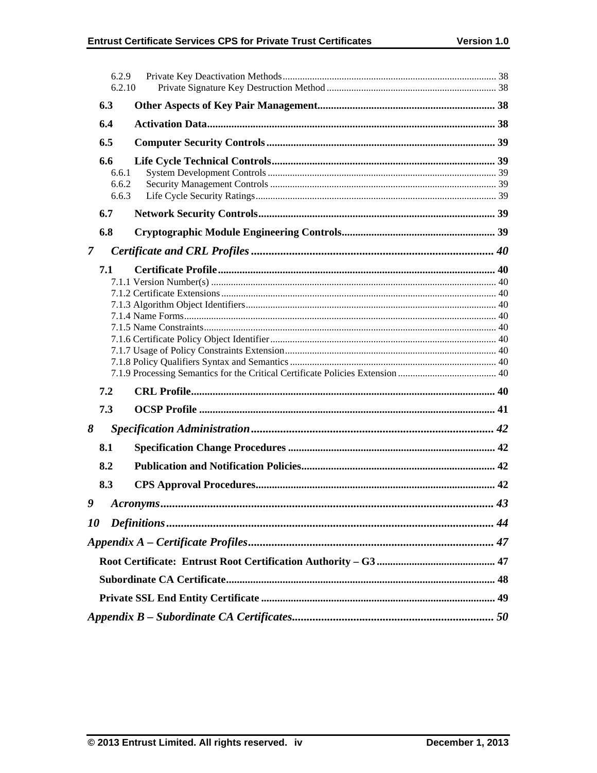|               | 6.2.9<br>6.2.10                |           |    |
|---------------|--------------------------------|-----------|----|
|               | 6.3                            |           |    |
| 6.4           |                                |           |    |
|               | 6.5                            |           |    |
|               | 6.6<br>6.6.1<br>6.6.2<br>6.6.3 |           |    |
|               | 6.7                            |           |    |
|               | 6.8                            |           |    |
| $\mathcal{I}$ |                                |           |    |
|               | 7.1                            |           |    |
|               | 7.2                            |           |    |
|               | 7.3                            |           |    |
| 8             |                                |           |    |
|               | 8.1                            |           |    |
|               | 8.2                            |           |    |
|               | 8.3                            |           |    |
| 9             |                                | Acronyms. | 43 |
| 10            |                                |           |    |
|               |                                |           |    |
|               |                                |           |    |
|               |                                |           |    |
|               |                                |           |    |
|               |                                |           |    |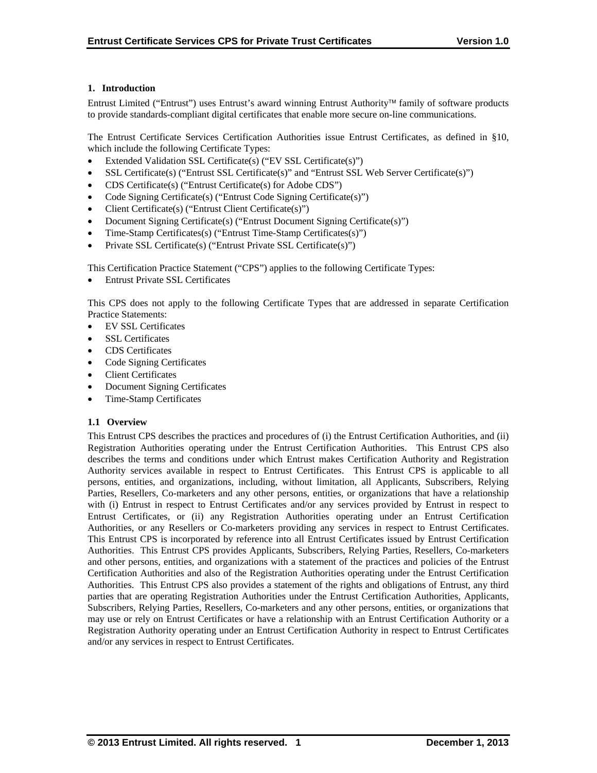# **1. Introduction**

Entrust Limited ("Entrust") uses Entrust's award winning Entrust Authority family of software products to provide standards-compliant digital certificates that enable more secure on-line communications.

The Entrust Certificate Services Certification Authorities issue Entrust Certificates, as defined in §10, which include the following Certificate Types:

- Extended Validation SSL Certificate(s) ("EV SSL Certificate(s)")
- SSL Certificate(s) ("Entrust SSL Certificate(s)" and "Entrust SSL Web Server Certificate(s)")
- CDS Certificate(s) ("Entrust Certificate(s) for Adobe CDS")
- Code Signing Certificate(s) ("Entrust Code Signing Certificate(s)")
- Client Certificate(s) ("Entrust Client Certificate(s)")
- Document Signing Certificate(s) ("Entrust Document Signing Certificate(s)")
- Time-Stamp Certificates(s) ("Entrust Time-Stamp Certificates(s)")
- Private SSL Certificate(s) ("Entrust Private SSL Certificate(s)")

This Certification Practice Statement ("CPS") applies to the following Certificate Types:

Entrust Private SSL Certificates

This CPS does not apply to the following Certificate Types that are addressed in separate Certification Practice Statements:

- EV SSL Certificates
- SSL Certificates
- CDS Certificates
- Code Signing Certificates
- Client Certificates
- Document Signing Certificates
- Time-Stamp Certificates

## **1.1 Overview**

This Entrust CPS describes the practices and procedures of (i) the Entrust Certification Authorities, and (ii) Registration Authorities operating under the Entrust Certification Authorities. This Entrust CPS also describes the terms and conditions under which Entrust makes Certification Authority and Registration Authority services available in respect to Entrust Certificates. This Entrust CPS is applicable to all persons, entities, and organizations, including, without limitation, all Applicants, Subscribers, Relying Parties, Resellers, Co-marketers and any other persons, entities, or organizations that have a relationship with (i) Entrust in respect to Entrust Certificates and/or any services provided by Entrust in respect to Entrust Certificates, or (ii) any Registration Authorities operating under an Entrust Certification Authorities, or any Resellers or Co-marketers providing any services in respect to Entrust Certificates. This Entrust CPS is incorporated by reference into all Entrust Certificates issued by Entrust Certification Authorities. This Entrust CPS provides Applicants, Subscribers, Relying Parties, Resellers, Co-marketers and other persons, entities, and organizations with a statement of the practices and policies of the Entrust Certification Authorities and also of the Registration Authorities operating under the Entrust Certification Authorities. This Entrust CPS also provides a statement of the rights and obligations of Entrust, any third parties that are operating Registration Authorities under the Entrust Certification Authorities, Applicants, Subscribers, Relying Parties, Resellers, Co-marketers and any other persons, entities, or organizations that may use or rely on Entrust Certificates or have a relationship with an Entrust Certification Authority or a Registration Authority operating under an Entrust Certification Authority in respect to Entrust Certificates and/or any services in respect to Entrust Certificates.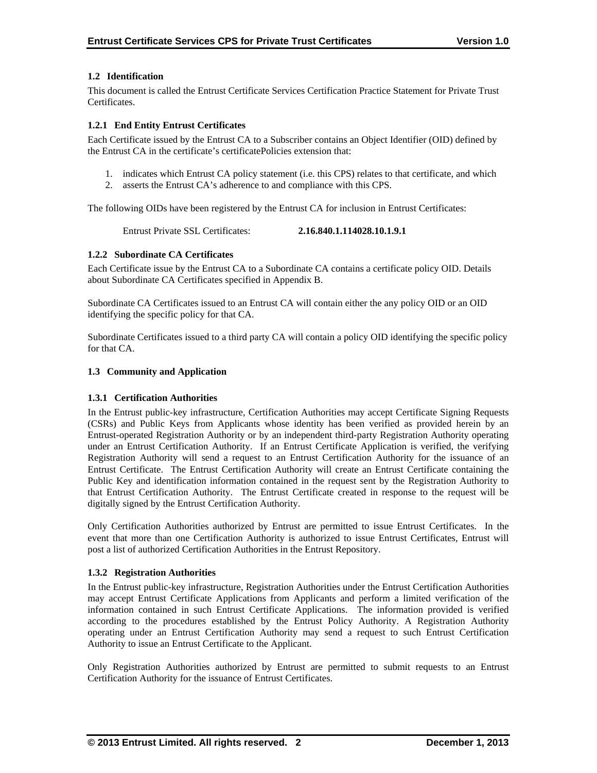# **1.2 Identification**

This document is called the Entrust Certificate Services Certification Practice Statement for Private Trust Certificates.

## **1.2.1 End Entity Entrust Certificates**

Each Certificate issued by the Entrust CA to a Subscriber contains an Object Identifier (OID) defined by the Entrust CA in the certificate's certificatePolicies extension that:

- 1. indicates which Entrust CA policy statement (i.e. this CPS) relates to that certificate, and which
- 2. asserts the Entrust CA's adherence to and compliance with this CPS.

The following OIDs have been registered by the Entrust CA for inclusion in Entrust Certificates:

Entrust Private SSL Certificates: **2.16.840.1.114028.10.1.9.1**

# **1.2.2 Subordinate CA Certificates**

Each Certificate issue by the Entrust CA to a Subordinate CA contains a certificate policy OID. Details about Subordinate CA Certificates specified in Appendix B.

Subordinate CA Certificates issued to an Entrust CA will contain either the any policy OID or an OID identifying the specific policy for that CA.

Subordinate Certificates issued to a third party CA will contain a policy OID identifying the specific policy for that CA.

# **1.3 Community and Application**

## **1.3.1 Certification Authorities**

In the Entrust public-key infrastructure, Certification Authorities may accept Certificate Signing Requests (CSRs) and Public Keys from Applicants whose identity has been verified as provided herein by an Entrust-operated Registration Authority or by an independent third-party Registration Authority operating under an Entrust Certification Authority. If an Entrust Certificate Application is verified, the verifying Registration Authority will send a request to an Entrust Certification Authority for the issuance of an Entrust Certificate. The Entrust Certification Authority will create an Entrust Certificate containing the Public Key and identification information contained in the request sent by the Registration Authority to that Entrust Certification Authority. The Entrust Certificate created in response to the request will be digitally signed by the Entrust Certification Authority.

Only Certification Authorities authorized by Entrust are permitted to issue Entrust Certificates. In the event that more than one Certification Authority is authorized to issue Entrust Certificates, Entrust will post a list of authorized Certification Authorities in the Entrust Repository.

## **1.3.2 Registration Authorities**

In the Entrust public-key infrastructure, Registration Authorities under the Entrust Certification Authorities may accept Entrust Certificate Applications from Applicants and perform a limited verification of the information contained in such Entrust Certificate Applications. The information provided is verified according to the procedures established by the Entrust Policy Authority. A Registration Authority operating under an Entrust Certification Authority may send a request to such Entrust Certification Authority to issue an Entrust Certificate to the Applicant.

Only Registration Authorities authorized by Entrust are permitted to submit requests to an Entrust Certification Authority for the issuance of Entrust Certificates.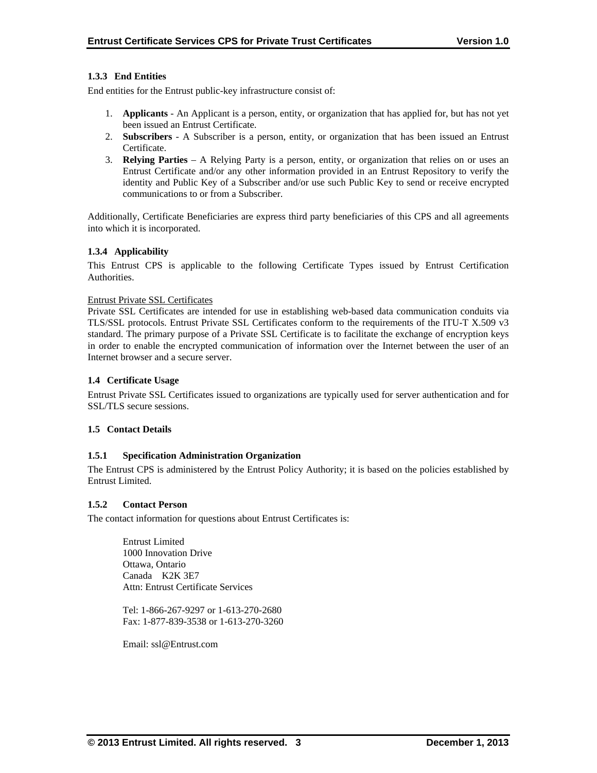# **1.3.3 End Entities**

End entities for the Entrust public-key infrastructure consist of:

- 1. **Applicants** An Applicant is a person, entity, or organization that has applied for, but has not yet been issued an Entrust Certificate.
- 2. **Subscribers**  A Subscriber is a person, entity, or organization that has been issued an Entrust Certificate.
- 3. **Relying Parties**  A Relying Party is a person, entity, or organization that relies on or uses an Entrust Certificate and/or any other information provided in an Entrust Repository to verify the identity and Public Key of a Subscriber and/or use such Public Key to send or receive encrypted communications to or from a Subscriber.

Additionally, Certificate Beneficiaries are express third party beneficiaries of this CPS and all agreements into which it is incorporated.

## **1.3.4 Applicability**

This Entrust CPS is applicable to the following Certificate Types issued by Entrust Certification Authorities.

#### Entrust Private SSL Certificates

Private SSL Certificates are intended for use in establishing web-based data communication conduits via TLS/SSL protocols. Entrust Private SSL Certificates conform to the requirements of the ITU-T X.509 v3 standard. The primary purpose of a Private SSL Certificate is to facilitate the exchange of encryption keys in order to enable the encrypted communication of information over the Internet between the user of an Internet browser and a secure server.

#### **1.4 Certificate Usage**

Entrust Private SSL Certificates issued to organizations are typically used for server authentication and for SSL/TLS secure sessions.

## **1.5 Contact Details**

## **1.5.1 Specification Administration Organization**

The Entrust CPS is administered by the Entrust Policy Authority; it is based on the policies established by Entrust Limited.

## **1.5.2 Contact Person**

The contact information for questions about Entrust Certificates is:

 Entrust Limited 1000 Innovation Drive Ottawa, Ontario Canada K2K 3E7 Attn: Entrust Certificate Services

Tel: 1-866-267-9297 or 1-613-270-2680 Fax: 1-877-839-3538 or 1-613-270-3260

Email: ssl@Entrust.com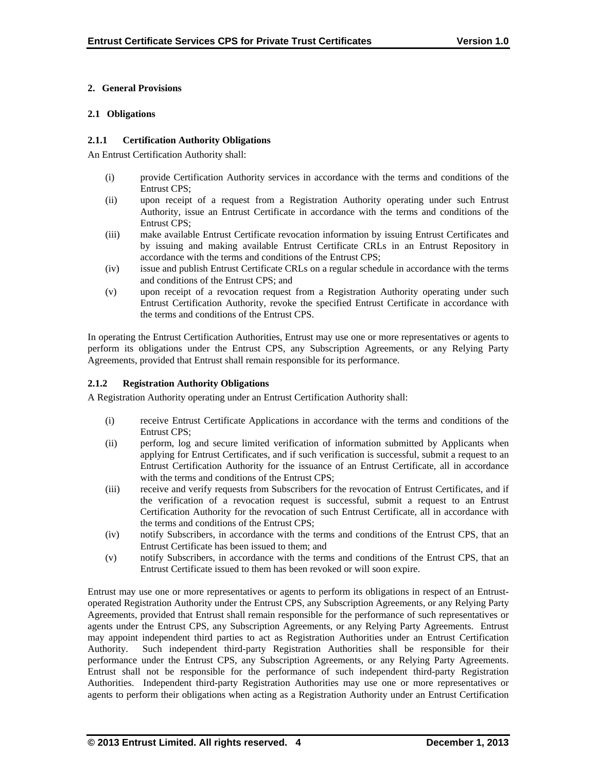# **2. General Provisions**

## **2.1 Obligations**

## **2.1.1 Certification Authority Obligations**

An Entrust Certification Authority shall:

- (i) provide Certification Authority services in accordance with the terms and conditions of the Entrust CPS;
- (ii) upon receipt of a request from a Registration Authority operating under such Entrust Authority, issue an Entrust Certificate in accordance with the terms and conditions of the Entrust CPS;
- (iii) make available Entrust Certificate revocation information by issuing Entrust Certificates and by issuing and making available Entrust Certificate CRLs in an Entrust Repository in accordance with the terms and conditions of the Entrust CPS;
- (iv) issue and publish Entrust Certificate CRLs on a regular schedule in accordance with the terms and conditions of the Entrust CPS; and
- (v) upon receipt of a revocation request from a Registration Authority operating under such Entrust Certification Authority, revoke the specified Entrust Certificate in accordance with the terms and conditions of the Entrust CPS.

In operating the Entrust Certification Authorities, Entrust may use one or more representatives or agents to perform its obligations under the Entrust CPS, any Subscription Agreements, or any Relying Party Agreements, provided that Entrust shall remain responsible for its performance.

# **2.1.2 Registration Authority Obligations**

A Registration Authority operating under an Entrust Certification Authority shall:

- (i) receive Entrust Certificate Applications in accordance with the terms and conditions of the Entrust CPS;
- (ii) perform, log and secure limited verification of information submitted by Applicants when applying for Entrust Certificates, and if such verification is successful, submit a request to an Entrust Certification Authority for the issuance of an Entrust Certificate, all in accordance with the terms and conditions of the Entrust CPS:
- (iii) receive and verify requests from Subscribers for the revocation of Entrust Certificates, and if the verification of a revocation request is successful, submit a request to an Entrust Certification Authority for the revocation of such Entrust Certificate, all in accordance with the terms and conditions of the Entrust CPS;
- (iv) notify Subscribers, in accordance with the terms and conditions of the Entrust CPS, that an Entrust Certificate has been issued to them; and
- (v) notify Subscribers, in accordance with the terms and conditions of the Entrust CPS, that an Entrust Certificate issued to them has been revoked or will soon expire.

Entrust may use one or more representatives or agents to perform its obligations in respect of an Entrustoperated Registration Authority under the Entrust CPS, any Subscription Agreements, or any Relying Party Agreements, provided that Entrust shall remain responsible for the performance of such representatives or agents under the Entrust CPS, any Subscription Agreements, or any Relying Party Agreements. Entrust may appoint independent third parties to act as Registration Authorities under an Entrust Certification Authority. Such independent third-party Registration Authorities shall be responsible for their performance under the Entrust CPS, any Subscription Agreements, or any Relying Party Agreements. Entrust shall not be responsible for the performance of such independent third-party Registration Authorities. Independent third-party Registration Authorities may use one or more representatives or agents to perform their obligations when acting as a Registration Authority under an Entrust Certification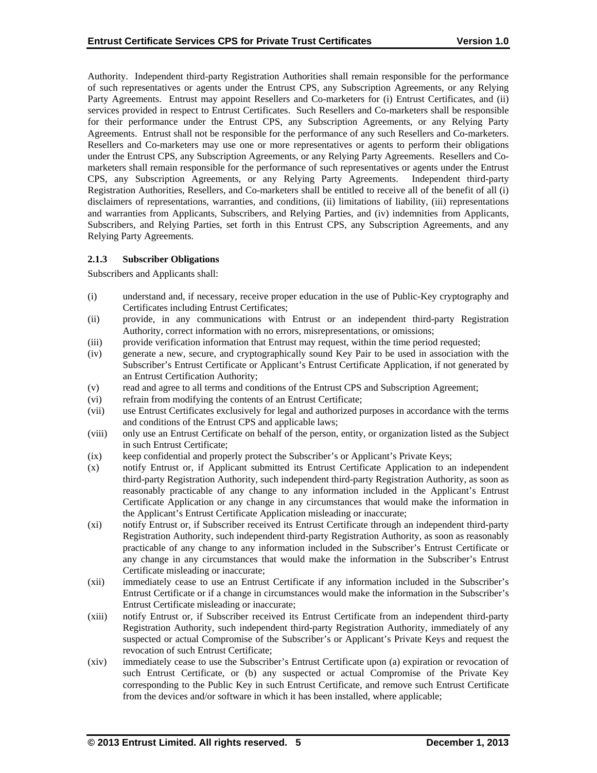Authority. Independent third-party Registration Authorities shall remain responsible for the performance of such representatives or agents under the Entrust CPS, any Subscription Agreements, or any Relying Party Agreements. Entrust may appoint Resellers and Co-marketers for (i) Entrust Certificates, and (ii) services provided in respect to Entrust Certificates. Such Resellers and Co-marketers shall be responsible for their performance under the Entrust CPS, any Subscription Agreements, or any Relying Party Agreements. Entrust shall not be responsible for the performance of any such Resellers and Co-marketers. Resellers and Co-marketers may use one or more representatives or agents to perform their obligations under the Entrust CPS, any Subscription Agreements, or any Relying Party Agreements. Resellers and Comarketers shall remain responsible for the performance of such representatives or agents under the Entrust CPS, any Subscription Agreements, or any Relying Party Agreements. Independent third-party Registration Authorities, Resellers, and Co-marketers shall be entitled to receive all of the benefit of all (i) disclaimers of representations, warranties, and conditions, (ii) limitations of liability, (iii) representations and warranties from Applicants, Subscribers, and Relying Parties, and (iv) indemnities from Applicants, Subscribers, and Relying Parties, set forth in this Entrust CPS, any Subscription Agreements, and any Relying Party Agreements.

# **2.1.3 Subscriber Obligations**

Subscribers and Applicants shall:

- (i) understand and, if necessary, receive proper education in the use of Public-Key cryptography and Certificates including Entrust Certificates;
- (ii) provide, in any communications with Entrust or an independent third-party Registration Authority, correct information with no errors, misrepresentations, or omissions;
- (iii) provide verification information that Entrust may request, within the time period requested;
- (iv) generate a new, secure, and cryptographically sound Key Pair to be used in association with the Subscriber's Entrust Certificate or Applicant's Entrust Certificate Application, if not generated by an Entrust Certification Authority;
- (v) read and agree to all terms and conditions of the Entrust CPS and Subscription Agreement;
- (vi) refrain from modifying the contents of an Entrust Certificate;
- (vii) use Entrust Certificates exclusively for legal and authorized purposes in accordance with the terms and conditions of the Entrust CPS and applicable laws;
- (viii) only use an Entrust Certificate on behalf of the person, entity, or organization listed as the Subject in such Entrust Certificate;
- (ix) keep confidential and properly protect the Subscriber's or Applicant's Private Keys;
- (x) notify Entrust or, if Applicant submitted its Entrust Certificate Application to an independent third-party Registration Authority, such independent third-party Registration Authority, as soon as reasonably practicable of any change to any information included in the Applicant's Entrust Certificate Application or any change in any circumstances that would make the information in the Applicant's Entrust Certificate Application misleading or inaccurate;
- (xi) notify Entrust or, if Subscriber received its Entrust Certificate through an independent third-party Registration Authority, such independent third-party Registration Authority, as soon as reasonably practicable of any change to any information included in the Subscriber's Entrust Certificate or any change in any circumstances that would make the information in the Subscriber's Entrust Certificate misleading or inaccurate;
- (xii) immediately cease to use an Entrust Certificate if any information included in the Subscriber's Entrust Certificate or if a change in circumstances would make the information in the Subscriber's Entrust Certificate misleading or inaccurate;
- (xiii) notify Entrust or, if Subscriber received its Entrust Certificate from an independent third-party Registration Authority, such independent third-party Registration Authority, immediately of any suspected or actual Compromise of the Subscriber's or Applicant's Private Keys and request the revocation of such Entrust Certificate;
- (xiv) immediately cease to use the Subscriber's Entrust Certificate upon (a) expiration or revocation of such Entrust Certificate, or (b) any suspected or actual Compromise of the Private Key corresponding to the Public Key in such Entrust Certificate, and remove such Entrust Certificate from the devices and/or software in which it has been installed, where applicable;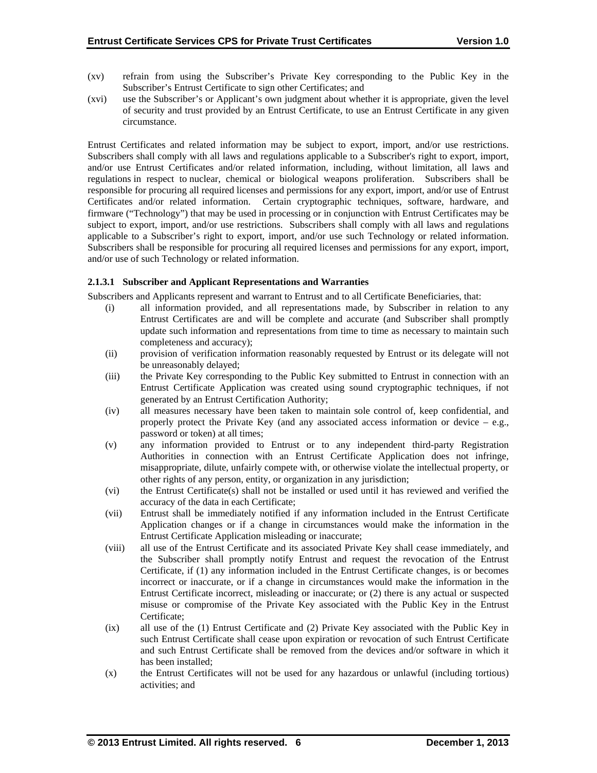- (xv) refrain from using the Subscriber's Private Key corresponding to the Public Key in the Subscriber's Entrust Certificate to sign other Certificates; and
- (xvi) use the Subscriber's or Applicant's own judgment about whether it is appropriate, given the level of security and trust provided by an Entrust Certificate, to use an Entrust Certificate in any given circumstance.

Entrust Certificates and related information may be subject to export, import, and/or use restrictions. Subscribers shall comply with all laws and regulations applicable to a Subscriber's right to export, import, and/or use Entrust Certificates and/or related information, including, without limitation, all laws and regulations in respect to nuclear, chemical or biological weapons proliferation. Subscribers shall be responsible for procuring all required licenses and permissions for any export, import, and/or use of Entrust Certificates and/or related information. Certain cryptographic techniques, software, hardware, and firmware ("Technology") that may be used in processing or in conjunction with Entrust Certificates may be subject to export, import, and/or use restrictions. Subscribers shall comply with all laws and regulations applicable to a Subscriber's right to export, import, and/or use such Technology or related information. Subscribers shall be responsible for procuring all required licenses and permissions for any export, import, and/or use of such Technology or related information.

# **2.1.3.1 Subscriber and Applicant Representations and Warranties**

Subscribers and Applicants represent and warrant to Entrust and to all Certificate Beneficiaries, that:

- (i) all information provided, and all representations made, by Subscriber in relation to any Entrust Certificates are and will be complete and accurate (and Subscriber shall promptly update such information and representations from time to time as necessary to maintain such completeness and accuracy);
- (ii) provision of verification information reasonably requested by Entrust or its delegate will not be unreasonably delayed;
- (iii) the Private Key corresponding to the Public Key submitted to Entrust in connection with an Entrust Certificate Application was created using sound cryptographic techniques, if not generated by an Entrust Certification Authority;
- (iv) all measures necessary have been taken to maintain sole control of, keep confidential, and properly protect the Private Key (and any associated access information or device  $-$  e.g., password or token) at all times;
- (v) any information provided to Entrust or to any independent third-party Registration Authorities in connection with an Entrust Certificate Application does not infringe, misappropriate, dilute, unfairly compete with, or otherwise violate the intellectual property, or other rights of any person, entity, or organization in any jurisdiction;
- (vi) the Entrust Certificate(s) shall not be installed or used until it has reviewed and verified the accuracy of the data in each Certificate;
- (vii) Entrust shall be immediately notified if any information included in the Entrust Certificate Application changes or if a change in circumstances would make the information in the Entrust Certificate Application misleading or inaccurate;
- (viii) all use of the Entrust Certificate and its associated Private Key shall cease immediately, and the Subscriber shall promptly notify Entrust and request the revocation of the Entrust Certificate, if (1) any information included in the Entrust Certificate changes, is or becomes incorrect or inaccurate, or if a change in circumstances would make the information in the Entrust Certificate incorrect, misleading or inaccurate; or (2) there is any actual or suspected misuse or compromise of the Private Key associated with the Public Key in the Entrust Certificate;
- (ix) all use of the (1) Entrust Certificate and (2) Private Key associated with the Public Key in such Entrust Certificate shall cease upon expiration or revocation of such Entrust Certificate and such Entrust Certificate shall be removed from the devices and/or software in which it has been installed;
- (x) the Entrust Certificates will not be used for any hazardous or unlawful (including tortious) activities; and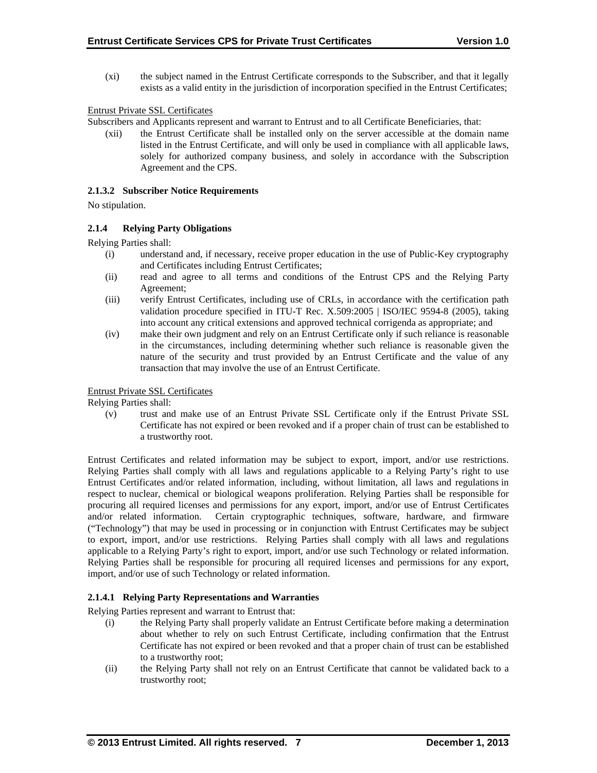(xi) the subject named in the Entrust Certificate corresponds to the Subscriber, and that it legally exists as a valid entity in the jurisdiction of incorporation specified in the Entrust Certificates;

## Entrust Private SSL Certificates

Subscribers and Applicants represent and warrant to Entrust and to all Certificate Beneficiaries, that:

(xii) the Entrust Certificate shall be installed only on the server accessible at the domain name listed in the Entrust Certificate, and will only be used in compliance with all applicable laws, solely for authorized company business, and solely in accordance with the Subscription Agreement and the CPS.

#### **2.1.3.2 Subscriber Notice Requirements**

No stipulation.

## **2.1.4 Relying Party Obligations**

Relying Parties shall:

- (i) understand and, if necessary, receive proper education in the use of Public-Key cryptography and Certificates including Entrust Certificates;
- (ii) read and agree to all terms and conditions of the Entrust CPS and the Relying Party Agreement;
- (iii) verify Entrust Certificates, including use of CRLs, in accordance with the certification path validation procedure specified in ITU-T Rec. X.509:2005 | ISO/IEC 9594-8 (2005), taking into account any critical extensions and approved technical corrigenda as appropriate; and
- (iv) make their own judgment and rely on an Entrust Certificate only if such reliance is reasonable in the circumstances, including determining whether such reliance is reasonable given the nature of the security and trust provided by an Entrust Certificate and the value of any transaction that may involve the use of an Entrust Certificate.

## Entrust Private SSL Certificates

Relying Parties shall:

(v) trust and make use of an Entrust Private SSL Certificate only if the Entrust Private SSL Certificate has not expired or been revoked and if a proper chain of trust can be established to a trustworthy root.

Entrust Certificates and related information may be subject to export, import, and/or use restrictions. Relying Parties shall comply with all laws and regulations applicable to a Relying Party's right to use Entrust Certificates and/or related information, including, without limitation, all laws and regulations in respect to nuclear, chemical or biological weapons proliferation. Relying Parties shall be responsible for procuring all required licenses and permissions for any export, import, and/or use of Entrust Certificates and/or related information. Certain cryptographic techniques, software, hardware, and firmware ("Technology") that may be used in processing or in conjunction with Entrust Certificates may be subject to export, import, and/or use restrictions. Relying Parties shall comply with all laws and regulations applicable to a Relying Party's right to export, import, and/or use such Technology or related information. Relying Parties shall be responsible for procuring all required licenses and permissions for any export, import, and/or use of such Technology or related information.

## **2.1.4.1 Relying Party Representations and Warranties**

Relying Parties represent and warrant to Entrust that:

- (i) the Relying Party shall properly validate an Entrust Certificate before making a determination about whether to rely on such Entrust Certificate, including confirmation that the Entrust Certificate has not expired or been revoked and that a proper chain of trust can be established to a trustworthy root;
- (ii) the Relying Party shall not rely on an Entrust Certificate that cannot be validated back to a trustworthy root;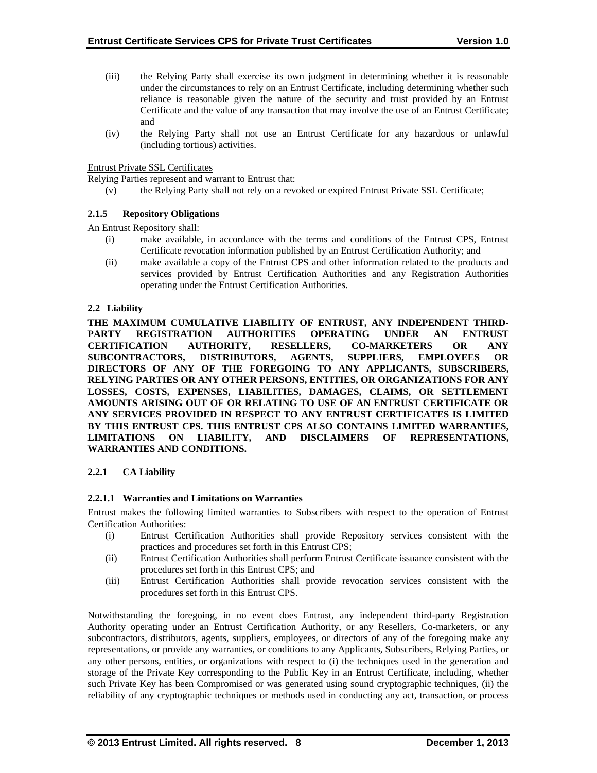- (iii) the Relying Party shall exercise its own judgment in determining whether it is reasonable under the circumstances to rely on an Entrust Certificate, including determining whether such reliance is reasonable given the nature of the security and trust provided by an Entrust Certificate and the value of any transaction that may involve the use of an Entrust Certificate; and
- (iv) the Relying Party shall not use an Entrust Certificate for any hazardous or unlawful (including tortious) activities.

Entrust Private SSL Certificates

Relying Parties represent and warrant to Entrust that:

(v) the Relying Party shall not rely on a revoked or expired Entrust Private SSL Certificate;

#### **2.1.5 Repository Obligations**

An Entrust Repository shall:

- (i) make available, in accordance with the terms and conditions of the Entrust CPS, Entrust Certificate revocation information published by an Entrust Certification Authority; and
- (ii) make available a copy of the Entrust CPS and other information related to the products and services provided by Entrust Certification Authorities and any Registration Authorities operating under the Entrust Certification Authorities.

#### **2.2 Liability**

**THE MAXIMUM CUMULATIVE LIABILITY OF ENTRUST, ANY INDEPENDENT THIRD-PARTY REGISTRATION AUTHORITIES OPERATING UNDER AN ENTRUST CERTIFICATION AUTHORITY, RESELLERS, CO-MARKETERS OR ANY SUBCONTRACTORS, DISTRIBUTORS, AGENTS, SUPPLIERS, EMPLOYEES OR DIRECTORS OF ANY OF THE FOREGOING TO ANY APPLICANTS, SUBSCRIBERS, RELYING PARTIES OR ANY OTHER PERSONS, ENTITIES, OR ORGANIZATIONS FOR ANY LOSSES, COSTS, EXPENSES, LIABILITIES, DAMAGES, CLAIMS, OR SETTLEMENT AMOUNTS ARISING OUT OF OR RELATING TO USE OF AN ENTRUST CERTIFICATE OR ANY SERVICES PROVIDED IN RESPECT TO ANY ENTRUST CERTIFICATES IS LIMITED BY THIS ENTRUST CPS. THIS ENTRUST CPS ALSO CONTAINS LIMITED WARRANTIES, LIMITATIONS ON LIABILITY, AND DISCLAIMERS OF REPRESENTATIONS, WARRANTIES AND CONDITIONS.** 

## **2.2.1 CA Liability**

#### **2.2.1.1 Warranties and Limitations on Warranties**

Entrust makes the following limited warranties to Subscribers with respect to the operation of Entrust Certification Authorities:

- (i) Entrust Certification Authorities shall provide Repository services consistent with the practices and procedures set forth in this Entrust CPS;
- (ii) Entrust Certification Authorities shall perform Entrust Certificate issuance consistent with the procedures set forth in this Entrust CPS; and
- (iii) Entrust Certification Authorities shall provide revocation services consistent with the procedures set forth in this Entrust CPS.

Notwithstanding the foregoing, in no event does Entrust, any independent third-party Registration Authority operating under an Entrust Certification Authority, or any Resellers, Co-marketers, or any subcontractors, distributors, agents, suppliers, employees, or directors of any of the foregoing make any representations, or provide any warranties, or conditions to any Applicants, Subscribers, Relying Parties, or any other persons, entities, or organizations with respect to (i) the techniques used in the generation and storage of the Private Key corresponding to the Public Key in an Entrust Certificate, including, whether such Private Key has been Compromised or was generated using sound cryptographic techniques, (ii) the reliability of any cryptographic techniques or methods used in conducting any act, transaction, or process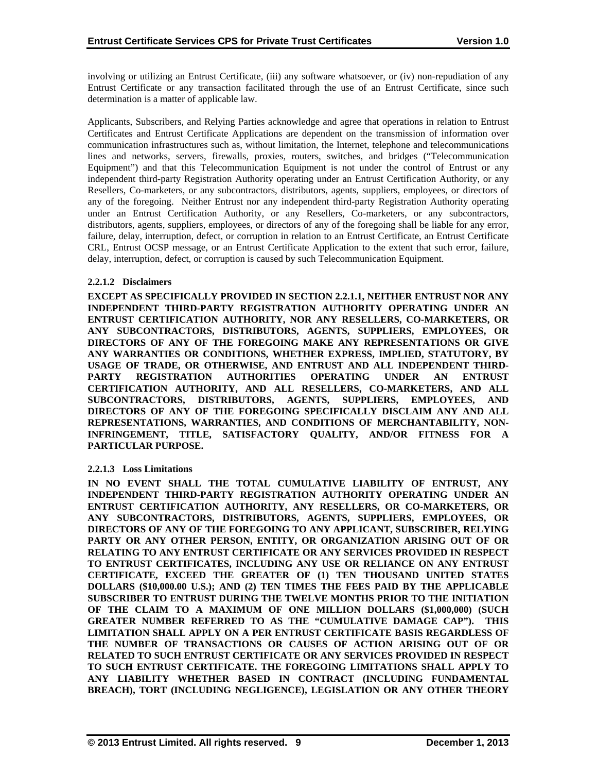involving or utilizing an Entrust Certificate, (iii) any software whatsoever, or (iv) non-repudiation of any Entrust Certificate or any transaction facilitated through the use of an Entrust Certificate, since such determination is a matter of applicable law.

Applicants, Subscribers, and Relying Parties acknowledge and agree that operations in relation to Entrust Certificates and Entrust Certificate Applications are dependent on the transmission of information over communication infrastructures such as, without limitation, the Internet, telephone and telecommunications lines and networks, servers, firewalls, proxies, routers, switches, and bridges ("Telecommunication Equipment") and that this Telecommunication Equipment is not under the control of Entrust or any independent third-party Registration Authority operating under an Entrust Certification Authority, or any Resellers, Co-marketers, or any subcontractors, distributors, agents, suppliers, employees, or directors of any of the foregoing. Neither Entrust nor any independent third-party Registration Authority operating under an Entrust Certification Authority, or any Resellers, Co-marketers, or any subcontractors, distributors, agents, suppliers, employees, or directors of any of the foregoing shall be liable for any error, failure, delay, interruption, defect, or corruption in relation to an Entrust Certificate, an Entrust Certificate CRL, Entrust OCSP message, or an Entrust Certificate Application to the extent that such error, failure, delay, interruption, defect, or corruption is caused by such Telecommunication Equipment.

# **2.2.1.2 Disclaimers**

**EXCEPT AS SPECIFICALLY PROVIDED IN SECTION 2.2.1.1, NEITHER ENTRUST NOR ANY INDEPENDENT THIRD-PARTY REGISTRATION AUTHORITY OPERATING UNDER AN ENTRUST CERTIFICATION AUTHORITY, NOR ANY RESELLERS, CO-MARKETERS, OR ANY SUBCONTRACTORS, DISTRIBUTORS, AGENTS, SUPPLIERS, EMPLOYEES, OR DIRECTORS OF ANY OF THE FOREGOING MAKE ANY REPRESENTATIONS OR GIVE ANY WARRANTIES OR CONDITIONS, WHETHER EXPRESS, IMPLIED, STATUTORY, BY USAGE OF TRADE, OR OTHERWISE, AND ENTRUST AND ALL INDEPENDENT THIRD-PARTY REGISTRATION AUTHORITIES OPERATING UNDER AN ENTRUST CERTIFICATION AUTHORITY, AND ALL RESELLERS, CO-MARKETERS, AND ALL SUBCONTRACTORS, DISTRIBUTORS, AGENTS, SUPPLIERS, EMPLOYEES, AND DIRECTORS OF ANY OF THE FOREGOING SPECIFICALLY DISCLAIM ANY AND ALL REPRESENTATIONS, WARRANTIES, AND CONDITIONS OF MERCHANTABILITY, NON-INFRINGEMENT, TITLE, SATISFACTORY QUALITY, AND/OR FITNESS FOR A PARTICULAR PURPOSE.** 

## **2.2.1.3 Loss Limitations**

**IN NO EVENT SHALL THE TOTAL CUMULATIVE LIABILITY OF ENTRUST, ANY INDEPENDENT THIRD-PARTY REGISTRATION AUTHORITY OPERATING UNDER AN ENTRUST CERTIFICATION AUTHORITY, ANY RESELLERS, OR CO-MARKETERS, OR ANY SUBCONTRACTORS, DISTRIBUTORS, AGENTS, SUPPLIERS, EMPLOYEES, OR DIRECTORS OF ANY OF THE FOREGOING TO ANY APPLICANT, SUBSCRIBER, RELYING PARTY OR ANY OTHER PERSON, ENTITY, OR ORGANIZATION ARISING OUT OF OR RELATING TO ANY ENTRUST CERTIFICATE OR ANY SERVICES PROVIDED IN RESPECT TO ENTRUST CERTIFICATES, INCLUDING ANY USE OR RELIANCE ON ANY ENTRUST CERTIFICATE, EXCEED THE GREATER OF (1) TEN THOUSAND UNITED STATES DOLLARS (\$10,000.00 U.S.); AND (2) TEN TIMES THE FEES PAID BY THE APPLICABLE SUBSCRIBER TO ENTRUST DURING THE TWELVE MONTHS PRIOR TO THE INITIATION OF THE CLAIM TO A MAXIMUM OF ONE MILLION DOLLARS (\$1,000,000) (SUCH GREATER NUMBER REFERRED TO AS THE "CUMULATIVE DAMAGE CAP"). THIS LIMITATION SHALL APPLY ON A PER ENTRUST CERTIFICATE BASIS REGARDLESS OF THE NUMBER OF TRANSACTIONS OR CAUSES OF ACTION ARISING OUT OF OR RELATED TO SUCH ENTRUST CERTIFICATE OR ANY SERVICES PROVIDED IN RESPECT TO SUCH ENTRUST CERTIFICATE. THE FOREGOING LIMITATIONS SHALL APPLY TO ANY LIABILITY WHETHER BASED IN CONTRACT (INCLUDING FUNDAMENTAL BREACH), TORT (INCLUDING NEGLIGENCE), LEGISLATION OR ANY OTHER THEORY**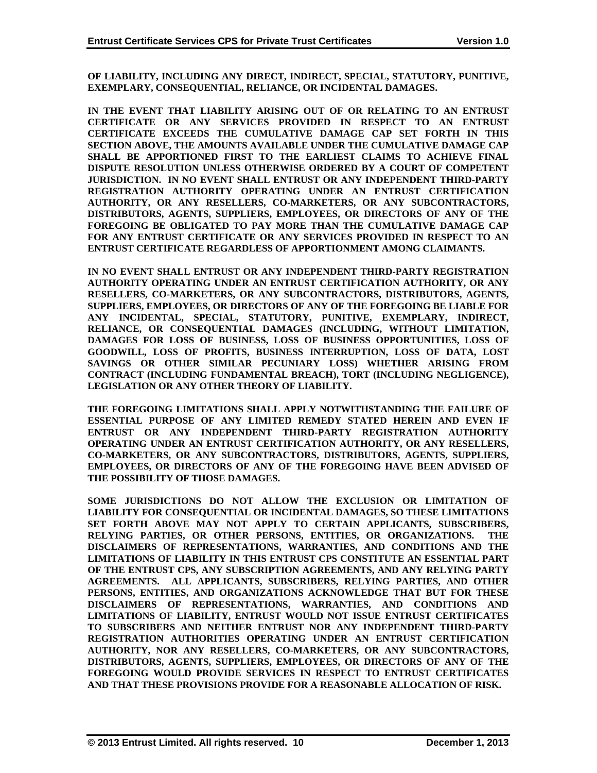**OF LIABILITY, INCLUDING ANY DIRECT, INDIRECT, SPECIAL, STATUTORY, PUNITIVE, EXEMPLARY, CONSEQUENTIAL, RELIANCE, OR INCIDENTAL DAMAGES.** 

**IN THE EVENT THAT LIABILITY ARISING OUT OF OR RELATING TO AN ENTRUST CERTIFICATE OR ANY SERVICES PROVIDED IN RESPECT TO AN ENTRUST CERTIFICATE EXCEEDS THE CUMULATIVE DAMAGE CAP SET FORTH IN THIS SECTION ABOVE, THE AMOUNTS AVAILABLE UNDER THE CUMULATIVE DAMAGE CAP SHALL BE APPORTIONED FIRST TO THE EARLIEST CLAIMS TO ACHIEVE FINAL DISPUTE RESOLUTION UNLESS OTHERWISE ORDERED BY A COURT OF COMPETENT JURISDICTION. IN NO EVENT SHALL ENTRUST OR ANY INDEPENDENT THIRD-PARTY REGISTRATION AUTHORITY OPERATING UNDER AN ENTRUST CERTIFICATION AUTHORITY, OR ANY RESELLERS, CO-MARKETERS, OR ANY SUBCONTRACTORS, DISTRIBUTORS, AGENTS, SUPPLIERS, EMPLOYEES, OR DIRECTORS OF ANY OF THE FOREGOING BE OBLIGATED TO PAY MORE THAN THE CUMULATIVE DAMAGE CAP FOR ANY ENTRUST CERTIFICATE OR ANY SERVICES PROVIDED IN RESPECT TO AN ENTRUST CERTIFICATE REGARDLESS OF APPORTIONMENT AMONG CLAIMANTS.** 

**IN NO EVENT SHALL ENTRUST OR ANY INDEPENDENT THIRD-PARTY REGISTRATION AUTHORITY OPERATING UNDER AN ENTRUST CERTIFICATION AUTHORITY, OR ANY RESELLERS, CO-MARKETERS, OR ANY SUBCONTRACTORS, DISTRIBUTORS, AGENTS, SUPPLIERS, EMPLOYEES, OR DIRECTORS OF ANY OF THE FOREGOING BE LIABLE FOR ANY INCIDENTAL, SPECIAL, STATUTORY, PUNITIVE, EXEMPLARY, INDIRECT, RELIANCE, OR CONSEQUENTIAL DAMAGES (INCLUDING, WITHOUT LIMITATION, DAMAGES FOR LOSS OF BUSINESS, LOSS OF BUSINESS OPPORTUNITIES, LOSS OF GOODWILL, LOSS OF PROFITS, BUSINESS INTERRUPTION, LOSS OF DATA, LOST SAVINGS OR OTHER SIMILAR PECUNIARY LOSS) WHETHER ARISING FROM CONTRACT (INCLUDING FUNDAMENTAL BREACH), TORT (INCLUDING NEGLIGENCE), LEGISLATION OR ANY OTHER THEORY OF LIABILITY.** 

**THE FOREGOING LIMITATIONS SHALL APPLY NOTWITHSTANDING THE FAILURE OF ESSENTIAL PURPOSE OF ANY LIMITED REMEDY STATED HEREIN AND EVEN IF ENTRUST OR ANY INDEPENDENT THIRD-PARTY REGISTRATION AUTHORITY OPERATING UNDER AN ENTRUST CERTIFICATION AUTHORITY, OR ANY RESELLERS, CO-MARKETERS, OR ANY SUBCONTRACTORS, DISTRIBUTORS, AGENTS, SUPPLIERS, EMPLOYEES, OR DIRECTORS OF ANY OF THE FOREGOING HAVE BEEN ADVISED OF THE POSSIBILITY OF THOSE DAMAGES.** 

**SOME JURISDICTIONS DO NOT ALLOW THE EXCLUSION OR LIMITATION OF LIABILITY FOR CONSEQUENTIAL OR INCIDENTAL DAMAGES, SO THESE LIMITATIONS SET FORTH ABOVE MAY NOT APPLY TO CERTAIN APPLICANTS, SUBSCRIBERS, RELYING PARTIES, OR OTHER PERSONS, ENTITIES, OR ORGANIZATIONS. THE DISCLAIMERS OF REPRESENTATIONS, WARRANTIES, AND CONDITIONS AND THE LIMITATIONS OF LIABILITY IN THIS ENTRUST CPS CONSTITUTE AN ESSENTIAL PART OF THE ENTRUST CPS, ANY SUBSCRIPTION AGREEMENTS, AND ANY RELYING PARTY AGREEMENTS. ALL APPLICANTS, SUBSCRIBERS, RELYING PARTIES, AND OTHER PERSONS, ENTITIES, AND ORGANIZATIONS ACKNOWLEDGE THAT BUT FOR THESE DISCLAIMERS OF REPRESENTATIONS, WARRANTIES, AND CONDITIONS AND LIMITATIONS OF LIABILITY, ENTRUST WOULD NOT ISSUE ENTRUST CERTIFICATES TO SUBSCRIBERS AND NEITHER ENTRUST NOR ANY INDEPENDENT THIRD-PARTY REGISTRATION AUTHORITIES OPERATING UNDER AN ENTRUST CERTIFICATION AUTHORITY, NOR ANY RESELLERS, CO-MARKETERS, OR ANY SUBCONTRACTORS, DISTRIBUTORS, AGENTS, SUPPLIERS, EMPLOYEES, OR DIRECTORS OF ANY OF THE FOREGOING WOULD PROVIDE SERVICES IN RESPECT TO ENTRUST CERTIFICATES AND THAT THESE PROVISIONS PROVIDE FOR A REASONABLE ALLOCATION OF RISK.**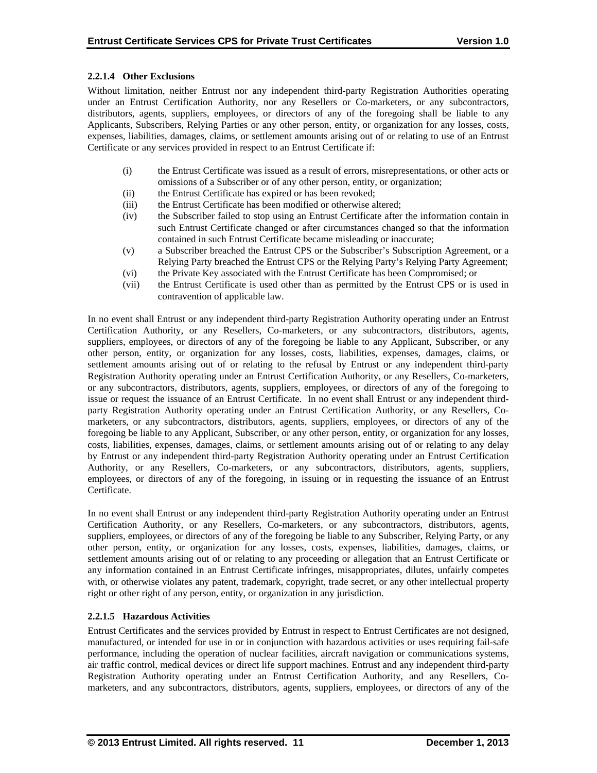# **2.2.1.4 Other Exclusions**

Without limitation, neither Entrust nor any independent third-party Registration Authorities operating under an Entrust Certification Authority, nor any Resellers or Co-marketers, or any subcontractors, distributors, agents, suppliers, employees, or directors of any of the foregoing shall be liable to any Applicants, Subscribers, Relying Parties or any other person, entity, or organization for any losses, costs, expenses, liabilities, damages, claims, or settlement amounts arising out of or relating to use of an Entrust Certificate or any services provided in respect to an Entrust Certificate if:

- (i) the Entrust Certificate was issued as a result of errors, misrepresentations, or other acts or omissions of a Subscriber or of any other person, entity, or organization;
- (ii) the Entrust Certificate has expired or has been revoked;
- (iii) the Entrust Certificate has been modified or otherwise altered;
- (iv) the Subscriber failed to stop using an Entrust Certificate after the information contain in such Entrust Certificate changed or after circumstances changed so that the information contained in such Entrust Certificate became misleading or inaccurate;
- (v) a Subscriber breached the Entrust CPS or the Subscriber's Subscription Agreement, or a Relying Party breached the Entrust CPS or the Relying Party's Relying Party Agreement;
- (vi) the Private Key associated with the Entrust Certificate has been Compromised; or
- (vii) the Entrust Certificate is used other than as permitted by the Entrust CPS or is used in contravention of applicable law.

In no event shall Entrust or any independent third-party Registration Authority operating under an Entrust Certification Authority, or any Resellers, Co-marketers, or any subcontractors, distributors, agents, suppliers, employees, or directors of any of the foregoing be liable to any Applicant, Subscriber, or any other person, entity, or organization for any losses, costs, liabilities, expenses, damages, claims, or settlement amounts arising out of or relating to the refusal by Entrust or any independent third-party Registration Authority operating under an Entrust Certification Authority, or any Resellers, Co-marketers, or any subcontractors, distributors, agents, suppliers, employees, or directors of any of the foregoing to issue or request the issuance of an Entrust Certificate. In no event shall Entrust or any independent thirdparty Registration Authority operating under an Entrust Certification Authority, or any Resellers, Comarketers, or any subcontractors, distributors, agents, suppliers, employees, or directors of any of the foregoing be liable to any Applicant, Subscriber, or any other person, entity, or organization for any losses, costs, liabilities, expenses, damages, claims, or settlement amounts arising out of or relating to any delay by Entrust or any independent third-party Registration Authority operating under an Entrust Certification Authority, or any Resellers, Co-marketers, or any subcontractors, distributors, agents, suppliers, employees, or directors of any of the foregoing, in issuing or in requesting the issuance of an Entrust Certificate.

In no event shall Entrust or any independent third-party Registration Authority operating under an Entrust Certification Authority, or any Resellers, Co-marketers, or any subcontractors, distributors, agents, suppliers, employees, or directors of any of the foregoing be liable to any Subscriber, Relying Party, or any other person, entity, or organization for any losses, costs, expenses, liabilities, damages, claims, or settlement amounts arising out of or relating to any proceeding or allegation that an Entrust Certificate or any information contained in an Entrust Certificate infringes, misappropriates, dilutes, unfairly competes with, or otherwise violates any patent, trademark, copyright, trade secret, or any other intellectual property right or other right of any person, entity, or organization in any jurisdiction.

# **2.2.1.5 Hazardous Activities**

Entrust Certificates and the services provided by Entrust in respect to Entrust Certificates are not designed, manufactured, or intended for use in or in conjunction with hazardous activities or uses requiring fail-safe performance, including the operation of nuclear facilities, aircraft navigation or communications systems, air traffic control, medical devices or direct life support machines. Entrust and any independent third-party Registration Authority operating under an Entrust Certification Authority, and any Resellers, Comarketers, and any subcontractors, distributors, agents, suppliers, employees, or directors of any of the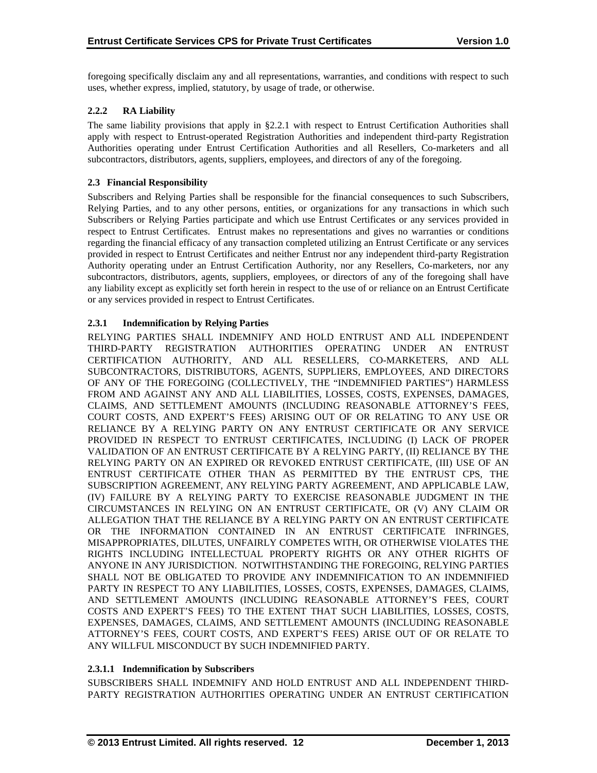foregoing specifically disclaim any and all representations, warranties, and conditions with respect to such uses, whether express, implied, statutory, by usage of trade, or otherwise.

# **2.2.2 RA Liability**

The same liability provisions that apply in §2.2.1 with respect to Entrust Certification Authorities shall apply with respect to Entrust-operated Registration Authorities and independent third-party Registration Authorities operating under Entrust Certification Authorities and all Resellers, Co-marketers and all subcontractors, distributors, agents, suppliers, employees, and directors of any of the foregoing.

## **2.3 Financial Responsibility**

Subscribers and Relying Parties shall be responsible for the financial consequences to such Subscribers, Relying Parties, and to any other persons, entities, or organizations for any transactions in which such Subscribers or Relying Parties participate and which use Entrust Certificates or any services provided in respect to Entrust Certificates. Entrust makes no representations and gives no warranties or conditions regarding the financial efficacy of any transaction completed utilizing an Entrust Certificate or any services provided in respect to Entrust Certificates and neither Entrust nor any independent third-party Registration Authority operating under an Entrust Certification Authority, nor any Resellers, Co-marketers, nor any subcontractors, distributors, agents, suppliers, employees, or directors of any of the foregoing shall have any liability except as explicitly set forth herein in respect to the use of or reliance on an Entrust Certificate or any services provided in respect to Entrust Certificates.

# **2.3.1 Indemnification by Relying Parties**

RELYING PARTIES SHALL INDEMNIFY AND HOLD ENTRUST AND ALL INDEPENDENT THIRD-PARTY REGISTRATION AUTHORITIES OPERATING UNDER AN ENTRUST CERTIFICATION AUTHORITY, AND ALL RESELLERS, CO-MARKETERS, AND ALL SUBCONTRACTORS, DISTRIBUTORS, AGENTS, SUPPLIERS, EMPLOYEES, AND DIRECTORS OF ANY OF THE FOREGOING (COLLECTIVELY, THE "INDEMNIFIED PARTIES") HARMLESS FROM AND AGAINST ANY AND ALL LIABILITIES, LOSSES, COSTS, EXPENSES, DAMAGES, CLAIMS, AND SETTLEMENT AMOUNTS (INCLUDING REASONABLE ATTORNEY'S FEES, COURT COSTS, AND EXPERT'S FEES) ARISING OUT OF OR RELATING TO ANY USE OR RELIANCE BY A RELYING PARTY ON ANY ENTRUST CERTIFICATE OR ANY SERVICE PROVIDED IN RESPECT TO ENTRUST CERTIFICATES, INCLUDING (I) LACK OF PROPER VALIDATION OF AN ENTRUST CERTIFICATE BY A RELYING PARTY, (II) RELIANCE BY THE RELYING PARTY ON AN EXPIRED OR REVOKED ENTRUST CERTIFICATE, (III) USE OF AN ENTRUST CERTIFICATE OTHER THAN AS PERMITTED BY THE ENTRUST CPS, THE SUBSCRIPTION AGREEMENT, ANY RELYING PARTY AGREEMENT, AND APPLICABLE LAW, (IV) FAILURE BY A RELYING PARTY TO EXERCISE REASONABLE JUDGMENT IN THE CIRCUMSTANCES IN RELYING ON AN ENTRUST CERTIFICATE, OR (V) ANY CLAIM OR ALLEGATION THAT THE RELIANCE BY A RELYING PARTY ON AN ENTRUST CERTIFICATE OR THE INFORMATION CONTAINED IN AN ENTRUST CERTIFICATE INFRINGES, MISAPPROPRIATES, DILUTES, UNFAIRLY COMPETES WITH, OR OTHERWISE VIOLATES THE RIGHTS INCLUDING INTELLECTUAL PROPERTY RIGHTS OR ANY OTHER RIGHTS OF ANYONE IN ANY JURISDICTION. NOTWITHSTANDING THE FOREGOING, RELYING PARTIES SHALL NOT BE OBLIGATED TO PROVIDE ANY INDEMNIFICATION TO AN INDEMNIFIED PARTY IN RESPECT TO ANY LIABILITIES, LOSSES, COSTS, EXPENSES, DAMAGES, CLAIMS, AND SETTLEMENT AMOUNTS (INCLUDING REASONABLE ATTORNEY'S FEES, COURT COSTS AND EXPERT'S FEES) TO THE EXTENT THAT SUCH LIABILITIES, LOSSES, COSTS, EXPENSES, DAMAGES, CLAIMS, AND SETTLEMENT AMOUNTS (INCLUDING REASONABLE ATTORNEY'S FEES, COURT COSTS, AND EXPERT'S FEES) ARISE OUT OF OR RELATE TO ANY WILLFUL MISCONDUCT BY SUCH INDEMNIFIED PARTY.

## **2.3.1.1 Indemnification by Subscribers**

SUBSCRIBERS SHALL INDEMNIFY AND HOLD ENTRUST AND ALL INDEPENDENT THIRD-PARTY REGISTRATION AUTHORITIES OPERATING UNDER AN ENTRUST CERTIFICATION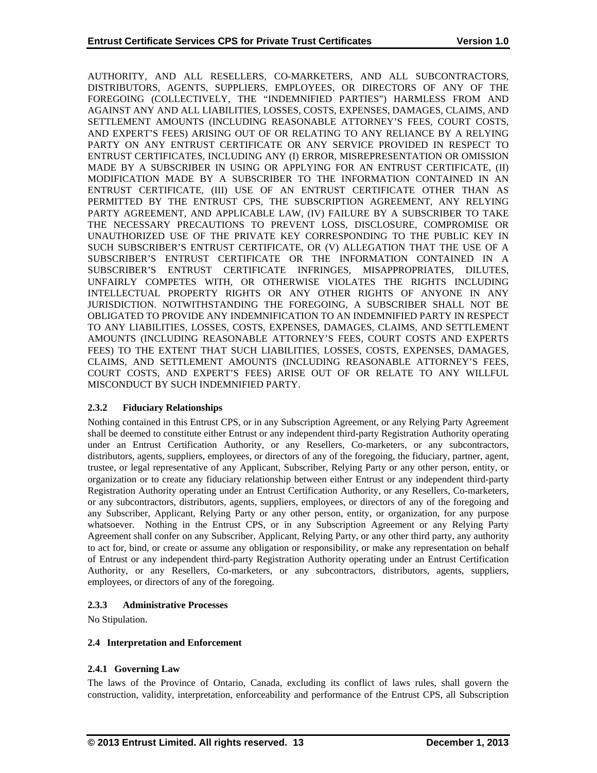AUTHORITY, AND ALL RESELLERS, CO-MARKETERS, AND ALL SUBCONTRACTORS, DISTRIBUTORS, AGENTS, SUPPLIERS, EMPLOYEES, OR DIRECTORS OF ANY OF THE FOREGOING (COLLECTIVELY, THE "INDEMNIFIED PARTIES") HARMLESS FROM AND AGAINST ANY AND ALL LIABILITIES, LOSSES, COSTS, EXPENSES, DAMAGES, CLAIMS, AND SETTLEMENT AMOUNTS (INCLUDING REASONABLE ATTORNEY'S FEES, COURT COSTS, AND EXPERT'S FEES) ARISING OUT OF OR RELATING TO ANY RELIANCE BY A RELYING PARTY ON ANY ENTRUST CERTIFICATE OR ANY SERVICE PROVIDED IN RESPECT TO ENTRUST CERTIFICATES, INCLUDING ANY (I) ERROR, MISREPRESENTATION OR OMISSION MADE BY A SUBSCRIBER IN USING OR APPLYING FOR AN ENTRUST CERTIFICATE, (II) MODIFICATION MADE BY A SUBSCRIBER TO THE INFORMATION CONTAINED IN AN ENTRUST CERTIFICATE, (III) USE OF AN ENTRUST CERTIFICATE OTHER THAN AS PERMITTED BY THE ENTRUST CPS, THE SUBSCRIPTION AGREEMENT, ANY RELYING PARTY AGREEMENT, AND APPLICABLE LAW, (IV) FAILURE BY A SUBSCRIBER TO TAKE THE NECESSARY PRECAUTIONS TO PREVENT LOSS, DISCLOSURE, COMPROMISE OR UNAUTHORIZED USE OF THE PRIVATE KEY CORRESPONDING TO THE PUBLIC KEY IN SUCH SUBSCRIBER'S ENTRUST CERTIFICATE, OR (V) ALLEGATION THAT THE USE OF A SUBSCRIBER'S ENTRUST CERTIFICATE OR THE INFORMATION CONTAINED IN A SUBSCRIBER'S ENTRUST CERTIFICATE INFRINGES, MISAPPROPRIATES, DILUTES, UNFAIRLY COMPETES WITH, OR OTHERWISE VIOLATES THE RIGHTS INCLUDING INTELLECTUAL PROPERTY RIGHTS OR ANY OTHER RIGHTS OF ANYONE IN ANY JURISDICTION. NOTWITHSTANDING THE FOREGOING, A SUBSCRIBER SHALL NOT BE OBLIGATED TO PROVIDE ANY INDEMNIFICATION TO AN INDEMNIFIED PARTY IN RESPECT TO ANY LIABILITIES, LOSSES, COSTS, EXPENSES, DAMAGES, CLAIMS, AND SETTLEMENT AMOUNTS (INCLUDING REASONABLE ATTORNEY'S FEES, COURT COSTS AND EXPERTS FEES) TO THE EXTENT THAT SUCH LIABILITIES, LOSSES, COSTS, EXPENSES, DAMAGES, CLAIMS, AND SETTLEMENT AMOUNTS (INCLUDING REASONABLE ATTORNEY'S FEES, COURT COSTS, AND EXPERT'S FEES) ARISE OUT OF OR RELATE TO ANY WILLFUL MISCONDUCT BY SUCH INDEMNIFIED PARTY.

# **2.3.2 Fiduciary Relationships**

Nothing contained in this Entrust CPS, or in any Subscription Agreement, or any Relying Party Agreement shall be deemed to constitute either Entrust or any independent third-party Registration Authority operating under an Entrust Certification Authority, or any Resellers, Co-marketers, or any subcontractors, distributors, agents, suppliers, employees, or directors of any of the foregoing, the fiduciary, partner, agent, trustee, or legal representative of any Applicant, Subscriber, Relying Party or any other person, entity, or organization or to create any fiduciary relationship between either Entrust or any independent third-party Registration Authority operating under an Entrust Certification Authority, or any Resellers, Co-marketers, or any subcontractors, distributors, agents, suppliers, employees, or directors of any of the foregoing and any Subscriber, Applicant, Relying Party or any other person, entity, or organization, for any purpose whatsoever. Nothing in the Entrust CPS, or in any Subscription Agreement or any Relying Party Agreement shall confer on any Subscriber, Applicant, Relying Party, or any other third party, any authority to act for, bind, or create or assume any obligation or responsibility, or make any representation on behalf of Entrust or any independent third-party Registration Authority operating under an Entrust Certification Authority, or any Resellers, Co-marketers, or any subcontractors, distributors, agents, suppliers, employees, or directors of any of the foregoing.

# **2.3.3 Administrative Processes**

No Stipulation.

# **2.4 Interpretation and Enforcement**

# **2.4.1 Governing Law**

The laws of the Province of Ontario, Canada, excluding its conflict of laws rules, shall govern the construction, validity, interpretation, enforceability and performance of the Entrust CPS, all Subscription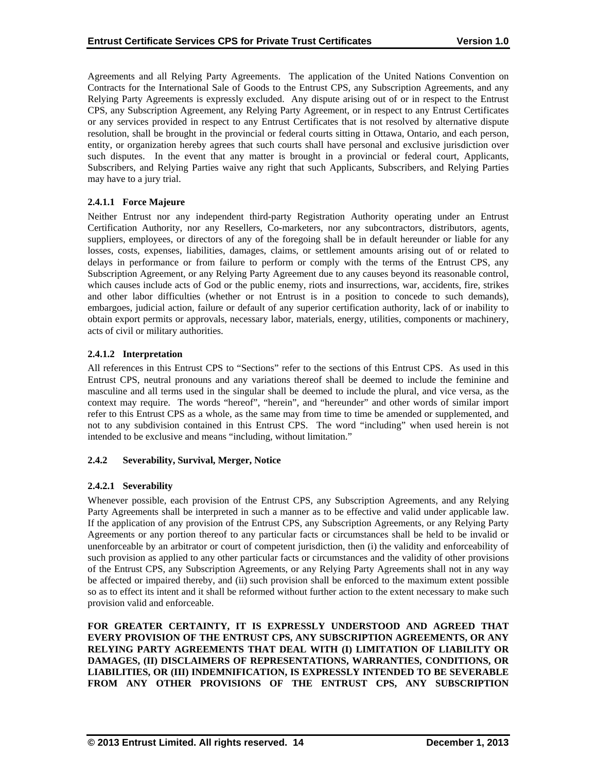Agreements and all Relying Party Agreements. The application of the United Nations Convention on Contracts for the International Sale of Goods to the Entrust CPS, any Subscription Agreements, and any Relying Party Agreements is expressly excluded. Any dispute arising out of or in respect to the Entrust CPS, any Subscription Agreement, any Relying Party Agreement, or in respect to any Entrust Certificates or any services provided in respect to any Entrust Certificates that is not resolved by alternative dispute resolution, shall be brought in the provincial or federal courts sitting in Ottawa, Ontario, and each person, entity, or organization hereby agrees that such courts shall have personal and exclusive jurisdiction over such disputes. In the event that any matter is brought in a provincial or federal court, Applicants, Subscribers, and Relying Parties waive any right that such Applicants, Subscribers, and Relying Parties may have to a jury trial.

# **2.4.1.1 Force Majeure**

Neither Entrust nor any independent third-party Registration Authority operating under an Entrust Certification Authority, nor any Resellers, Co-marketers, nor any subcontractors, distributors, agents, suppliers, employees, or directors of any of the foregoing shall be in default hereunder or liable for any losses, costs, expenses, liabilities, damages, claims, or settlement amounts arising out of or related to delays in performance or from failure to perform or comply with the terms of the Entrust CPS, any Subscription Agreement, or any Relying Party Agreement due to any causes beyond its reasonable control, which causes include acts of God or the public enemy, riots and insurrections, war, accidents, fire, strikes and other labor difficulties (whether or not Entrust is in a position to concede to such demands), embargoes, judicial action, failure or default of any superior certification authority, lack of or inability to obtain export permits or approvals, necessary labor, materials, energy, utilities, components or machinery, acts of civil or military authorities.

# **2.4.1.2 Interpretation**

All references in this Entrust CPS to "Sections" refer to the sections of this Entrust CPS. As used in this Entrust CPS, neutral pronouns and any variations thereof shall be deemed to include the feminine and masculine and all terms used in the singular shall be deemed to include the plural, and vice versa, as the context may require. The words "hereof", "herein", and "hereunder" and other words of similar import refer to this Entrust CPS as a whole, as the same may from time to time be amended or supplemented, and not to any subdivision contained in this Entrust CPS. The word "including" when used herein is not intended to be exclusive and means "including, without limitation."

## **2.4.2 Severability, Survival, Merger, Notice**

# **2.4.2.1 Severability**

Whenever possible, each provision of the Entrust CPS, any Subscription Agreements, and any Relying Party Agreements shall be interpreted in such a manner as to be effective and valid under applicable law. If the application of any provision of the Entrust CPS, any Subscription Agreements, or any Relying Party Agreements or any portion thereof to any particular facts or circumstances shall be held to be invalid or unenforceable by an arbitrator or court of competent jurisdiction, then (i) the validity and enforceability of such provision as applied to any other particular facts or circumstances and the validity of other provisions of the Entrust CPS, any Subscription Agreements, or any Relying Party Agreements shall not in any way be affected or impaired thereby, and (ii) such provision shall be enforced to the maximum extent possible so as to effect its intent and it shall be reformed without further action to the extent necessary to make such provision valid and enforceable.

**FOR GREATER CERTAINTY, IT IS EXPRESSLY UNDERSTOOD AND AGREED THAT EVERY PROVISION OF THE ENTRUST CPS, ANY SUBSCRIPTION AGREEMENTS, OR ANY RELYING PARTY AGREEMENTS THAT DEAL WITH (I) LIMITATION OF LIABILITY OR DAMAGES, (II) DISCLAIMERS OF REPRESENTATIONS, WARRANTIES, CONDITIONS, OR LIABILITIES, OR (III) INDEMNIFICATION, IS EXPRESSLY INTENDED TO BE SEVERABLE FROM ANY OTHER PROVISIONS OF THE ENTRUST CPS, ANY SUBSCRIPTION**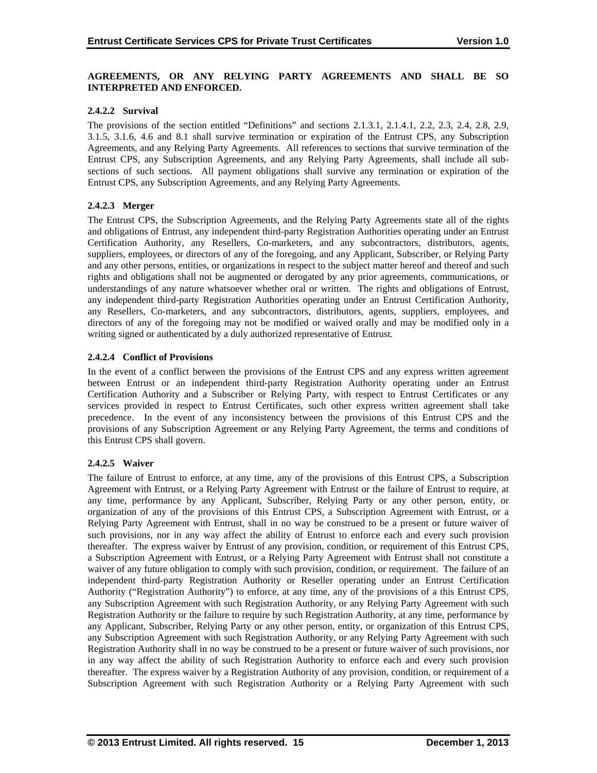# **AGREEMENTS, OR ANY RELYING PARTY AGREEMENTS AND SHALL BE SO INTERPRETED AND ENFORCED.**

## **2.4.2.2 Survival**

The provisions of the section entitled "Definitions" and sections 2.1.3.1, 2.1.4.1, 2.2, 2.3, 2.4, 2.8, 2.9, 3.1.5, 3.1.6, 4.6 and 8.1 shall survive termination or expiration of the Entrust CPS, any Subscription Agreements, and any Relying Party Agreements. All references to sections that survive termination of the Entrust CPS, any Subscription Agreements, and any Relying Party Agreements, shall include all subsections of such sections. All payment obligations shall survive any termination or expiration of the Entrust CPS, any Subscription Agreements, and any Relying Party Agreements.

# **2.4.2.3 Merger**

The Entrust CPS, the Subscription Agreements, and the Relying Party Agreements state all of the rights and obligations of Entrust, any independent third-party Registration Authorities operating under an Entrust Certification Authority, any Resellers, Co-marketers, and any subcontractors, distributors, agents, suppliers, employees, or directors of any of the foregoing, and any Applicant, Subscriber, or Relying Party and any other persons, entities, or organizations in respect to the subject matter hereof and thereof and such rights and obligations shall not be augmented or derogated by any prior agreements, communications, or understandings of any nature whatsoever whether oral or written. The rights and obligations of Entrust, any independent third-party Registration Authorities operating under an Entrust Certification Authority, any Resellers, Co-marketers, and any subcontractors, distributors, agents, suppliers, employees, and directors of any of the foregoing may not be modified or waived orally and may be modified only in a writing signed or authenticated by a duly authorized representative of Entrust.

# **2.4.2.4 Conflict of Provisions**

In the event of a conflict between the provisions of the Entrust CPS and any express written agreement between Entrust or an independent third-party Registration Authority operating under an Entrust Certification Authority and a Subscriber or Relying Party, with respect to Entrust Certificates or any services provided in respect to Entrust Certificates, such other express written agreement shall take precedence. In the event of any inconsistency between the provisions of this Entrust CPS and the provisions of any Subscription Agreement or any Relying Party Agreement, the terms and conditions of this Entrust CPS shall govern.

# **2.4.2.5 Waiver**

The failure of Entrust to enforce, at any time, any of the provisions of this Entrust CPS, a Subscription Agreement with Entrust, or a Relying Party Agreement with Entrust or the failure of Entrust to require, at any time, performance by any Applicant, Subscriber, Relying Party or any other person, entity, or organization of any of the provisions of this Entrust CPS, a Subscription Agreement with Entrust, or a Relying Party Agreement with Entrust, shall in no way be construed to be a present or future waiver of such provisions, nor in any way affect the ability of Entrust to enforce each and every such provision thereafter. The express waiver by Entrust of any provision, condition, or requirement of this Entrust CPS, a Subscription Agreement with Entrust, or a Relying Party Agreement with Entrust shall not constitute a waiver of any future obligation to comply with such provision, condition, or requirement. The failure of an independent third-party Registration Authority or Reseller operating under an Entrust Certification Authority ("Registration Authority") to enforce, at any time, any of the provisions of a this Entrust CPS, any Subscription Agreement with such Registration Authority, or any Relying Party Agreement with such Registration Authority or the failure to require by such Registration Authority, at any time, performance by any Applicant, Subscriber, Relying Party or any other person, entity, or organization of this Entrust CPS, any Subscription Agreement with such Registration Authority, or any Relying Party Agreement with such Registration Authority shall in no way be construed to be a present or future waiver of such provisions, nor in any way affect the ability of such Registration Authority to enforce each and every such provision thereafter. The express waiver by a Registration Authority of any provision, condition, or requirement of a Subscription Agreement with such Registration Authority or a Relying Party Agreement with such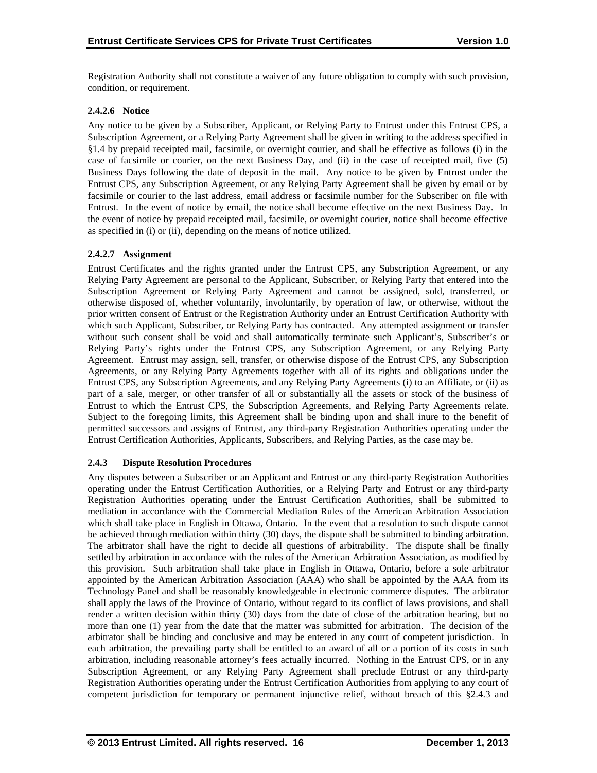Registration Authority shall not constitute a waiver of any future obligation to comply with such provision, condition, or requirement.

# **2.4.2.6 Notice**

Any notice to be given by a Subscriber, Applicant, or Relying Party to Entrust under this Entrust CPS, a Subscription Agreement, or a Relying Party Agreement shall be given in writing to the address specified in §1.4 by prepaid receipted mail, facsimile, or overnight courier, and shall be effective as follows (i) in the case of facsimile or courier, on the next Business Day, and (ii) in the case of receipted mail, five (5) Business Days following the date of deposit in the mail. Any notice to be given by Entrust under the Entrust CPS, any Subscription Agreement, or any Relying Party Agreement shall be given by email or by facsimile or courier to the last address, email address or facsimile number for the Subscriber on file with Entrust. In the event of notice by email, the notice shall become effective on the next Business Day. In the event of notice by prepaid receipted mail, facsimile, or overnight courier, notice shall become effective as specified in (i) or (ii), depending on the means of notice utilized.

# **2.4.2.7 Assignment**

Entrust Certificates and the rights granted under the Entrust CPS, any Subscription Agreement, or any Relying Party Agreement are personal to the Applicant, Subscriber, or Relying Party that entered into the Subscription Agreement or Relying Party Agreement and cannot be assigned, sold, transferred, or otherwise disposed of, whether voluntarily, involuntarily, by operation of law, or otherwise, without the prior written consent of Entrust or the Registration Authority under an Entrust Certification Authority with which such Applicant, Subscriber, or Relying Party has contracted. Any attempted assignment or transfer without such consent shall be void and shall automatically terminate such Applicant's, Subscriber's or Relying Party's rights under the Entrust CPS, any Subscription Agreement, or any Relying Party Agreement. Entrust may assign, sell, transfer, or otherwise dispose of the Entrust CPS, any Subscription Agreements, or any Relying Party Agreements together with all of its rights and obligations under the Entrust CPS, any Subscription Agreements, and any Relying Party Agreements (i) to an Affiliate, or (ii) as part of a sale, merger, or other transfer of all or substantially all the assets or stock of the business of Entrust to which the Entrust CPS, the Subscription Agreements, and Relying Party Agreements relate. Subject to the foregoing limits, this Agreement shall be binding upon and shall inure to the benefit of permitted successors and assigns of Entrust, any third-party Registration Authorities operating under the Entrust Certification Authorities, Applicants, Subscribers, and Relying Parties, as the case may be.

## **2.4.3 Dispute Resolution Procedures**

Any disputes between a Subscriber or an Applicant and Entrust or any third-party Registration Authorities operating under the Entrust Certification Authorities, or a Relying Party and Entrust or any third-party Registration Authorities operating under the Entrust Certification Authorities, shall be submitted to mediation in accordance with the Commercial Mediation Rules of the American Arbitration Association which shall take place in English in Ottawa, Ontario. In the event that a resolution to such dispute cannot be achieved through mediation within thirty (30) days, the dispute shall be submitted to binding arbitration. The arbitrator shall have the right to decide all questions of arbitrability. The dispute shall be finally settled by arbitration in accordance with the rules of the American Arbitration Association, as modified by this provision. Such arbitration shall take place in English in Ottawa, Ontario, before a sole arbitrator appointed by the American Arbitration Association (AAA) who shall be appointed by the AAA from its Technology Panel and shall be reasonably knowledgeable in electronic commerce disputes. The arbitrator shall apply the laws of the Province of Ontario, without regard to its conflict of laws provisions, and shall render a written decision within thirty (30) days from the date of close of the arbitration hearing, but no more than one (1) year from the date that the matter was submitted for arbitration. The decision of the arbitrator shall be binding and conclusive and may be entered in any court of competent jurisdiction. In each arbitration, the prevailing party shall be entitled to an award of all or a portion of its costs in such arbitration, including reasonable attorney's fees actually incurred. Nothing in the Entrust CPS, or in any Subscription Agreement, or any Relying Party Agreement shall preclude Entrust or any third-party Registration Authorities operating under the Entrust Certification Authorities from applying to any court of competent jurisdiction for temporary or permanent injunctive relief, without breach of this §2.4.3 and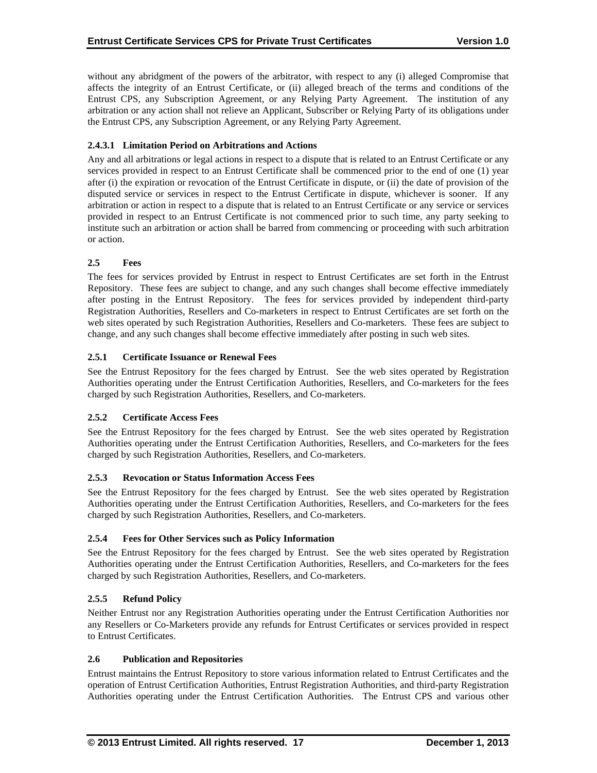without any abridgment of the powers of the arbitrator, with respect to any (i) alleged Compromise that affects the integrity of an Entrust Certificate, or (ii) alleged breach of the terms and conditions of the Entrust CPS, any Subscription Agreement, or any Relying Party Agreement. The institution of any arbitration or any action shall not relieve an Applicant, Subscriber or Relying Party of its obligations under the Entrust CPS, any Subscription Agreement, or any Relying Party Agreement.

# **2.4.3.1 Limitation Period on Arbitrations and Actions**

Any and all arbitrations or legal actions in respect to a dispute that is related to an Entrust Certificate or any services provided in respect to an Entrust Certificate shall be commenced prior to the end of one (1) year after (i) the expiration or revocation of the Entrust Certificate in dispute, or (ii) the date of provision of the disputed service or services in respect to the Entrust Certificate in dispute, whichever is sooner. If any arbitration or action in respect to a dispute that is related to an Entrust Certificate or any service or services provided in respect to an Entrust Certificate is not commenced prior to such time, any party seeking to institute such an arbitration or action shall be barred from commencing or proceeding with such arbitration or action.

# **2.5 Fees**

The fees for services provided by Entrust in respect to Entrust Certificates are set forth in the Entrust Repository. These fees are subject to change, and any such changes shall become effective immediately after posting in the Entrust Repository. The fees for services provided by independent third-party Registration Authorities, Resellers and Co-marketers in respect to Entrust Certificates are set forth on the web sites operated by such Registration Authorities, Resellers and Co-marketers. These fees are subject to change, and any such changes shall become effective immediately after posting in such web sites.

# **2.5.1 Certificate Issuance or Renewal Fees**

See the Entrust Repository for the fees charged by Entrust. See the web sites operated by Registration Authorities operating under the Entrust Certification Authorities, Resellers, and Co-marketers for the fees charged by such Registration Authorities, Resellers, and Co-marketers.

## **2.5.2 Certificate Access Fees**

See the Entrust Repository for the fees charged by Entrust. See the web sites operated by Registration Authorities operating under the Entrust Certification Authorities, Resellers, and Co-marketers for the fees charged by such Registration Authorities, Resellers, and Co-marketers.

## **2.5.3 Revocation or Status Information Access Fees**

See the Entrust Repository for the fees charged by Entrust. See the web sites operated by Registration Authorities operating under the Entrust Certification Authorities, Resellers, and Co-marketers for the fees charged by such Registration Authorities, Resellers, and Co-marketers.

## **2.5.4 Fees for Other Services such as Policy Information**

See the Entrust Repository for the fees charged by Entrust. See the web sites operated by Registration Authorities operating under the Entrust Certification Authorities, Resellers, and Co-marketers for the fees charged by such Registration Authorities, Resellers, and Co-marketers.

# **2.5.5 Refund Policy**

Neither Entrust nor any Registration Authorities operating under the Entrust Certification Authorities nor any Resellers or Co-Marketers provide any refunds for Entrust Certificates or services provided in respect to Entrust Certificates.

# **2.6 Publication and Repositories**

Entrust maintains the Entrust Repository to store various information related to Entrust Certificates and the operation of Entrust Certification Authorities, Entrust Registration Authorities, and third-party Registration Authorities operating under the Entrust Certification Authorities. The Entrust CPS and various other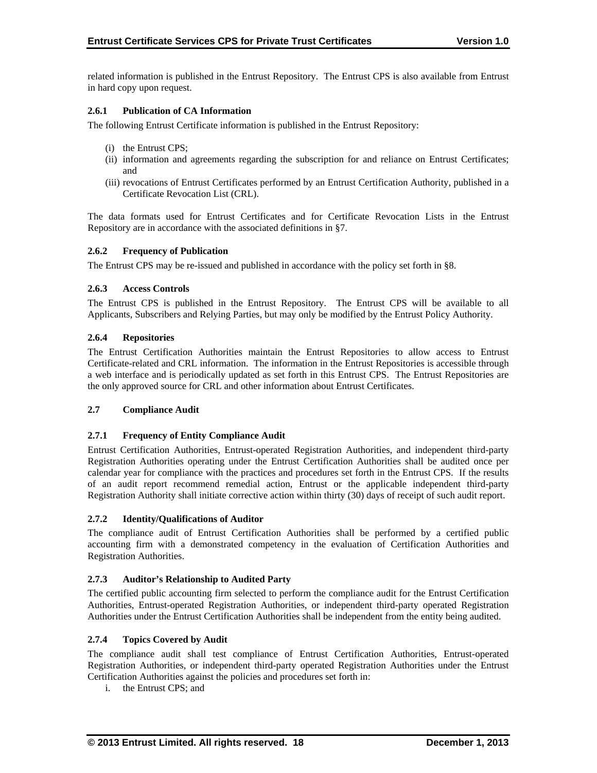related information is published in the Entrust Repository. The Entrust CPS is also available from Entrust in hard copy upon request.

## **2.6.1 Publication of CA Information**

The following Entrust Certificate information is published in the Entrust Repository:

- (i) the Entrust CPS;
- (ii) information and agreements regarding the subscription for and reliance on Entrust Certificates; and
- (iii) revocations of Entrust Certificates performed by an Entrust Certification Authority, published in a Certificate Revocation List (CRL).

The data formats used for Entrust Certificates and for Certificate Revocation Lists in the Entrust Repository are in accordance with the associated definitions in §7.

## **2.6.2 Frequency of Publication**

The Entrust CPS may be re-issued and published in accordance with the policy set forth in §8.

# **2.6.3 Access Controls**

The Entrust CPS is published in the Entrust Repository. The Entrust CPS will be available to all Applicants, Subscribers and Relying Parties, but may only be modified by the Entrust Policy Authority.

# **2.6.4 Repositories**

The Entrust Certification Authorities maintain the Entrust Repositories to allow access to Entrust Certificate-related and CRL information. The information in the Entrust Repositories is accessible through a web interface and is periodically updated as set forth in this Entrust CPS. The Entrust Repositories are the only approved source for CRL and other information about Entrust Certificates.

## **2.7 Compliance Audit**

## **2.7.1 Frequency of Entity Compliance Audit**

Entrust Certification Authorities, Entrust-operated Registration Authorities, and independent third-party Registration Authorities operating under the Entrust Certification Authorities shall be audited once per calendar year for compliance with the practices and procedures set forth in the Entrust CPS. If the results of an audit report recommend remedial action, Entrust or the applicable independent third-party Registration Authority shall initiate corrective action within thirty (30) days of receipt of such audit report.

## **2.7.2 Identity/Qualifications of Auditor**

The compliance audit of Entrust Certification Authorities shall be performed by a certified public accounting firm with a demonstrated competency in the evaluation of Certification Authorities and Registration Authorities.

## **2.7.3 Auditor's Relationship to Audited Party**

The certified public accounting firm selected to perform the compliance audit for the Entrust Certification Authorities, Entrust-operated Registration Authorities, or independent third-party operated Registration Authorities under the Entrust Certification Authorities shall be independent from the entity being audited.

## **2.7.4 Topics Covered by Audit**

The compliance audit shall test compliance of Entrust Certification Authorities, Entrust-operated Registration Authorities, or independent third-party operated Registration Authorities under the Entrust Certification Authorities against the policies and procedures set forth in:

i. the Entrust CPS; and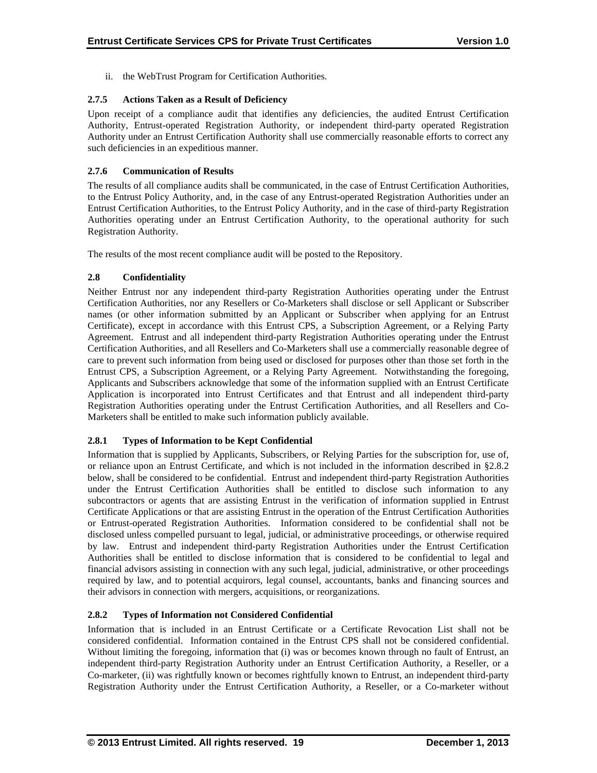ii. the WebTrust Program for Certification Authorities.

# **2.7.5 Actions Taken as a Result of Deficiency**

Upon receipt of a compliance audit that identifies any deficiencies, the audited Entrust Certification Authority, Entrust-operated Registration Authority, or independent third-party operated Registration Authority under an Entrust Certification Authority shall use commercially reasonable efforts to correct any such deficiencies in an expeditious manner.

## **2.7.6 Communication of Results**

The results of all compliance audits shall be communicated, in the case of Entrust Certification Authorities, to the Entrust Policy Authority, and, in the case of any Entrust-operated Registration Authorities under an Entrust Certification Authorities, to the Entrust Policy Authority, and in the case of third-party Registration Authorities operating under an Entrust Certification Authority, to the operational authority for such Registration Authority.

The results of the most recent compliance audit will be posted to the Repository.

# **2.8 Confidentiality**

Neither Entrust nor any independent third-party Registration Authorities operating under the Entrust Certification Authorities, nor any Resellers or Co-Marketers shall disclose or sell Applicant or Subscriber names (or other information submitted by an Applicant or Subscriber when applying for an Entrust Certificate), except in accordance with this Entrust CPS, a Subscription Agreement, or a Relying Party Agreement. Entrust and all independent third-party Registration Authorities operating under the Entrust Certification Authorities, and all Resellers and Co-Marketers shall use a commercially reasonable degree of care to prevent such information from being used or disclosed for purposes other than those set forth in the Entrust CPS, a Subscription Agreement, or a Relying Party Agreement. Notwithstanding the foregoing, Applicants and Subscribers acknowledge that some of the information supplied with an Entrust Certificate Application is incorporated into Entrust Certificates and that Entrust and all independent third-party Registration Authorities operating under the Entrust Certification Authorities, and all Resellers and Co-Marketers shall be entitled to make such information publicly available.

## **2.8.1 Types of Information to be Kept Confidential**

Information that is supplied by Applicants, Subscribers, or Relying Parties for the subscription for, use of, or reliance upon an Entrust Certificate, and which is not included in the information described in §2.8.2 below, shall be considered to be confidential. Entrust and independent third-party Registration Authorities under the Entrust Certification Authorities shall be entitled to disclose such information to any subcontractors or agents that are assisting Entrust in the verification of information supplied in Entrust Certificate Applications or that are assisting Entrust in the operation of the Entrust Certification Authorities or Entrust-operated Registration Authorities. Information considered to be confidential shall not be disclosed unless compelled pursuant to legal, judicial, or administrative proceedings, or otherwise required by law. Entrust and independent third-party Registration Authorities under the Entrust Certification Authorities shall be entitled to disclose information that is considered to be confidential to legal and financial advisors assisting in connection with any such legal, judicial, administrative, or other proceedings required by law, and to potential acquirors, legal counsel, accountants, banks and financing sources and their advisors in connection with mergers, acquisitions, or reorganizations.

# **2.8.2 Types of Information not Considered Confidential**

Information that is included in an Entrust Certificate or a Certificate Revocation List shall not be considered confidential. Information contained in the Entrust CPS shall not be considered confidential. Without limiting the foregoing, information that (i) was or becomes known through no fault of Entrust, an independent third-party Registration Authority under an Entrust Certification Authority, a Reseller, or a Co-marketer, (ii) was rightfully known or becomes rightfully known to Entrust, an independent third-party Registration Authority under the Entrust Certification Authority, a Reseller, or a Co-marketer without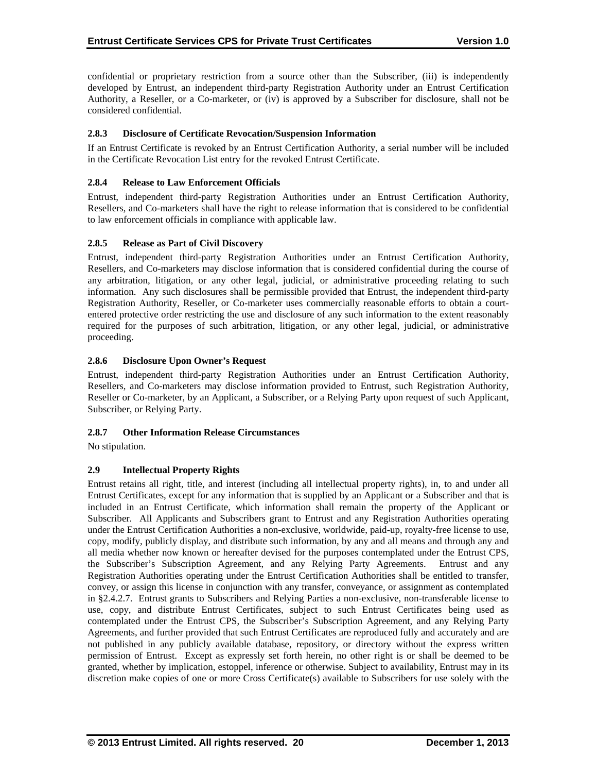confidential or proprietary restriction from a source other than the Subscriber, (iii) is independently developed by Entrust, an independent third-party Registration Authority under an Entrust Certification Authority, a Reseller, or a Co-marketer, or (iv) is approved by a Subscriber for disclosure, shall not be considered confidential.

## **2.8.3 Disclosure of Certificate Revocation/Suspension Information**

If an Entrust Certificate is revoked by an Entrust Certification Authority, a serial number will be included in the Certificate Revocation List entry for the revoked Entrust Certificate.

# **2.8.4 Release to Law Enforcement Officials**

Entrust, independent third-party Registration Authorities under an Entrust Certification Authority, Resellers, and Co-marketers shall have the right to release information that is considered to be confidential to law enforcement officials in compliance with applicable law.

# **2.8.5 Release as Part of Civil Discovery**

Entrust, independent third-party Registration Authorities under an Entrust Certification Authority, Resellers, and Co-marketers may disclose information that is considered confidential during the course of any arbitration, litigation, or any other legal, judicial, or administrative proceeding relating to such information. Any such disclosures shall be permissible provided that Entrust, the independent third-party Registration Authority, Reseller, or Co-marketer uses commercially reasonable efforts to obtain a courtentered protective order restricting the use and disclosure of any such information to the extent reasonably required for the purposes of such arbitration, litigation, or any other legal, judicial, or administrative proceeding.

# **2.8.6 Disclosure Upon Owner's Request**

Entrust, independent third-party Registration Authorities under an Entrust Certification Authority, Resellers, and Co-marketers may disclose information provided to Entrust, such Registration Authority, Reseller or Co-marketer, by an Applicant, a Subscriber, or a Relying Party upon request of such Applicant, Subscriber, or Relying Party.

## **2.8.7 Other Information Release Circumstances**

No stipulation.

# **2.9 Intellectual Property Rights**

Entrust retains all right, title, and interest (including all intellectual property rights), in, to and under all Entrust Certificates, except for any information that is supplied by an Applicant or a Subscriber and that is included in an Entrust Certificate, which information shall remain the property of the Applicant or Subscriber. All Applicants and Subscribers grant to Entrust and any Registration Authorities operating under the Entrust Certification Authorities a non-exclusive, worldwide, paid-up, royalty-free license to use, copy, modify, publicly display, and distribute such information, by any and all means and through any and all media whether now known or hereafter devised for the purposes contemplated under the Entrust CPS, the Subscriber's Subscription Agreement, and any Relying Party Agreements. Entrust and any Registration Authorities operating under the Entrust Certification Authorities shall be entitled to transfer, convey, or assign this license in conjunction with any transfer, conveyance, or assignment as contemplated in §2.4.2.7. Entrust grants to Subscribers and Relying Parties a non-exclusive, non-transferable license to use, copy, and distribute Entrust Certificates, subject to such Entrust Certificates being used as contemplated under the Entrust CPS, the Subscriber's Subscription Agreement, and any Relying Party Agreements, and further provided that such Entrust Certificates are reproduced fully and accurately and are not published in any publicly available database, repository, or directory without the express written permission of Entrust. Except as expressly set forth herein, no other right is or shall be deemed to be granted, whether by implication, estoppel, inference or otherwise. Subject to availability, Entrust may in its discretion make copies of one or more Cross Certificate(s) available to Subscribers for use solely with the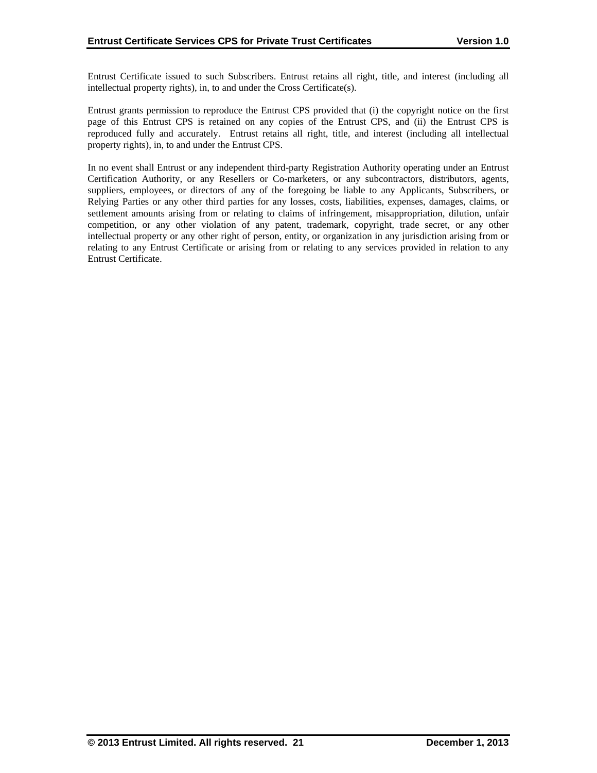Entrust Certificate issued to such Subscribers. Entrust retains all right, title, and interest (including all intellectual property rights), in, to and under the Cross Certificate(s).

Entrust grants permission to reproduce the Entrust CPS provided that (i) the copyright notice on the first page of this Entrust CPS is retained on any copies of the Entrust CPS, and (ii) the Entrust CPS is reproduced fully and accurately. Entrust retains all right, title, and interest (including all intellectual property rights), in, to and under the Entrust CPS.

In no event shall Entrust or any independent third-party Registration Authority operating under an Entrust Certification Authority, or any Resellers or Co-marketers, or any subcontractors, distributors, agents, suppliers, employees, or directors of any of the foregoing be liable to any Applicants, Subscribers, or Relying Parties or any other third parties for any losses, costs, liabilities, expenses, damages, claims, or settlement amounts arising from or relating to claims of infringement, misappropriation, dilution, unfair competition, or any other violation of any patent, trademark, copyright, trade secret, or any other intellectual property or any other right of person, entity, or organization in any jurisdiction arising from or relating to any Entrust Certificate or arising from or relating to any services provided in relation to any Entrust Certificate.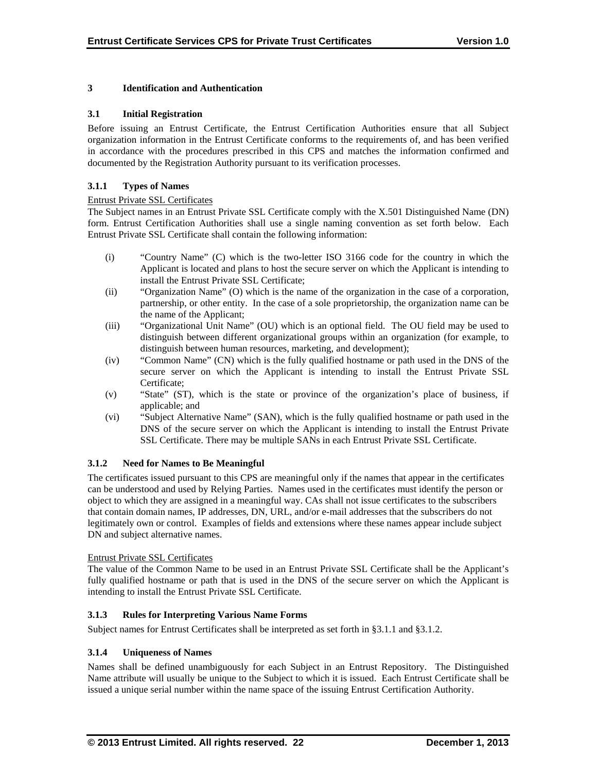# **3 Identification and Authentication**

## **3.1 Initial Registration**

Before issuing an Entrust Certificate, the Entrust Certification Authorities ensure that all Subject organization information in the Entrust Certificate conforms to the requirements of, and has been verified in accordance with the procedures prescribed in this CPS and matches the information confirmed and documented by the Registration Authority pursuant to its verification processes.

## **3.1.1 Types of Names**

## Entrust Private SSL Certificates

The Subject names in an Entrust Private SSL Certificate comply with the X.501 Distinguished Name (DN) form. Entrust Certification Authorities shall use a single naming convention as set forth below. Each Entrust Private SSL Certificate shall contain the following information:

- (i) "Country Name" (C) which is the two-letter ISO 3166 code for the country in which the Applicant is located and plans to host the secure server on which the Applicant is intending to install the Entrust Private SSL Certificate;
- (ii) "Organization Name" (O) which is the name of the organization in the case of a corporation, partnership, or other entity. In the case of a sole proprietorship, the organization name can be the name of the Applicant;
- (iii) "Organizational Unit Name" (OU) which is an optional field. The OU field may be used to distinguish between different organizational groups within an organization (for example, to distinguish between human resources, marketing, and development);
- (iv) "Common Name" (CN) which is the fully qualified hostname or path used in the DNS of the secure server on which the Applicant is intending to install the Entrust Private SSL Certificate;
- (v) "State" (ST), which is the state or province of the organization's place of business, if applicable; and
- (vi) "Subject Alternative Name" (SAN), which is the fully qualified hostname or path used in the DNS of the secure server on which the Applicant is intending to install the Entrust Private SSL Certificate. There may be multiple SANs in each Entrust Private SSL Certificate.

## **3.1.2 Need for Names to Be Meaningful**

The certificates issued pursuant to this CPS are meaningful only if the names that appear in the certificates can be understood and used by Relying Parties. Names used in the certificates must identify the person or object to which they are assigned in a meaningful way. CAs shall not issue certificates to the subscribers that contain domain names, IP addresses, DN, URL, and/or e-mail addresses that the subscribers do not legitimately own or control. Examples of fields and extensions where these names appear include subject DN and subject alternative names.

## Entrust Private SSL Certificates

The value of the Common Name to be used in an Entrust Private SSL Certificate shall be the Applicant's fully qualified hostname or path that is used in the DNS of the secure server on which the Applicant is intending to install the Entrust Private SSL Certificate.

## **3.1.3 Rules for Interpreting Various Name Forms**

Subject names for Entrust Certificates shall be interpreted as set forth in §3.1.1 and §3.1.2.

# **3.1.4 Uniqueness of Names**

Names shall be defined unambiguously for each Subject in an Entrust Repository. The Distinguished Name attribute will usually be unique to the Subject to which it is issued. Each Entrust Certificate shall be issued a unique serial number within the name space of the issuing Entrust Certification Authority.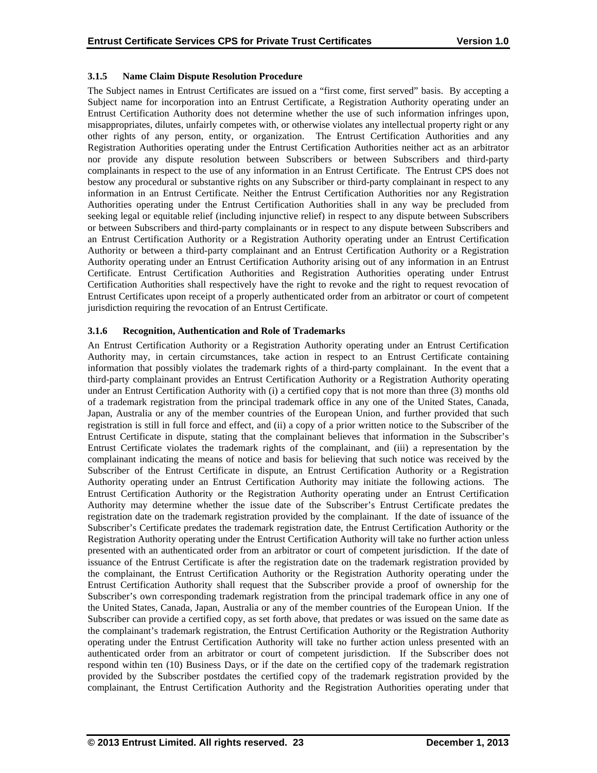## **3.1.5 Name Claim Dispute Resolution Procedure**

The Subject names in Entrust Certificates are issued on a "first come, first served" basis. By accepting a Subject name for incorporation into an Entrust Certificate, a Registration Authority operating under an Entrust Certification Authority does not determine whether the use of such information infringes upon, misappropriates, dilutes, unfairly competes with, or otherwise violates any intellectual property right or any other rights of any person, entity, or organization. The Entrust Certification Authorities and any Registration Authorities operating under the Entrust Certification Authorities neither act as an arbitrator nor provide any dispute resolution between Subscribers or between Subscribers and third-party complainants in respect to the use of any information in an Entrust Certificate. The Entrust CPS does not bestow any procedural or substantive rights on any Subscriber or third-party complainant in respect to any information in an Entrust Certificate. Neither the Entrust Certification Authorities nor any Registration Authorities operating under the Entrust Certification Authorities shall in any way be precluded from seeking legal or equitable relief (including injunctive relief) in respect to any dispute between Subscribers or between Subscribers and third-party complainants or in respect to any dispute between Subscribers and an Entrust Certification Authority or a Registration Authority operating under an Entrust Certification Authority or between a third-party complainant and an Entrust Certification Authority or a Registration Authority operating under an Entrust Certification Authority arising out of any information in an Entrust Certificate. Entrust Certification Authorities and Registration Authorities operating under Entrust Certification Authorities shall respectively have the right to revoke and the right to request revocation of Entrust Certificates upon receipt of a properly authenticated order from an arbitrator or court of competent jurisdiction requiring the revocation of an Entrust Certificate.

# **3.1.6 Recognition, Authentication and Role of Trademarks**

An Entrust Certification Authority or a Registration Authority operating under an Entrust Certification Authority may, in certain circumstances, take action in respect to an Entrust Certificate containing information that possibly violates the trademark rights of a third-party complainant. In the event that a third-party complainant provides an Entrust Certification Authority or a Registration Authority operating under an Entrust Certification Authority with (i) a certified copy that is not more than three (3) months old of a trademark registration from the principal trademark office in any one of the United States, Canada, Japan, Australia or any of the member countries of the European Union, and further provided that such registration is still in full force and effect, and (ii) a copy of a prior written notice to the Subscriber of the Entrust Certificate in dispute, stating that the complainant believes that information in the Subscriber's Entrust Certificate violates the trademark rights of the complainant, and (iii) a representation by the complainant indicating the means of notice and basis for believing that such notice was received by the Subscriber of the Entrust Certificate in dispute, an Entrust Certification Authority or a Registration Authority operating under an Entrust Certification Authority may initiate the following actions. The Entrust Certification Authority or the Registration Authority operating under an Entrust Certification Authority may determine whether the issue date of the Subscriber's Entrust Certificate predates the registration date on the trademark registration provided by the complainant. If the date of issuance of the Subscriber's Certificate predates the trademark registration date, the Entrust Certification Authority or the Registration Authority operating under the Entrust Certification Authority will take no further action unless presented with an authenticated order from an arbitrator or court of competent jurisdiction. If the date of issuance of the Entrust Certificate is after the registration date on the trademark registration provided by the complainant, the Entrust Certification Authority or the Registration Authority operating under the Entrust Certification Authority shall request that the Subscriber provide a proof of ownership for the Subscriber's own corresponding trademark registration from the principal trademark office in any one of the United States, Canada, Japan, Australia or any of the member countries of the European Union. If the Subscriber can provide a certified copy, as set forth above, that predates or was issued on the same date as the complainant's trademark registration, the Entrust Certification Authority or the Registration Authority operating under the Entrust Certification Authority will take no further action unless presented with an authenticated order from an arbitrator or court of competent jurisdiction. If the Subscriber does not respond within ten (10) Business Days, or if the date on the certified copy of the trademark registration provided by the Subscriber postdates the certified copy of the trademark registration provided by the complainant, the Entrust Certification Authority and the Registration Authorities operating under that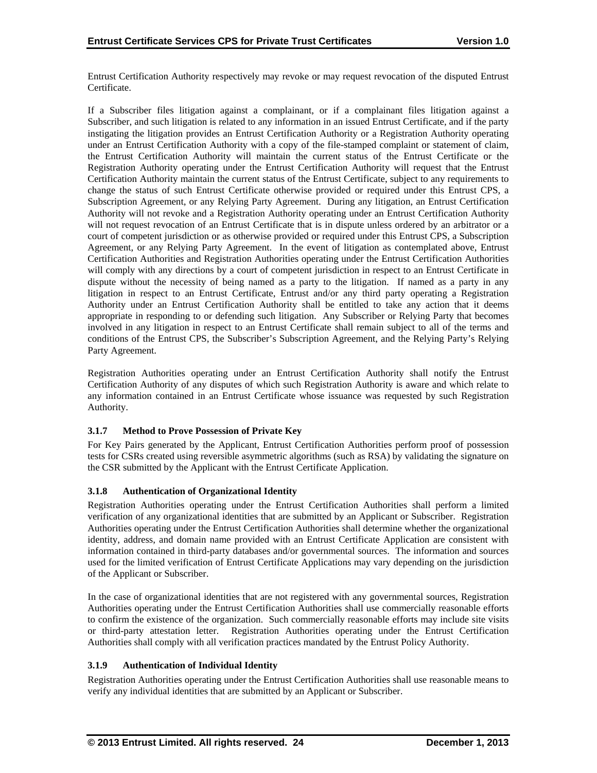Entrust Certification Authority respectively may revoke or may request revocation of the disputed Entrust Certificate.

If a Subscriber files litigation against a complainant, or if a complainant files litigation against a Subscriber, and such litigation is related to any information in an issued Entrust Certificate, and if the party instigating the litigation provides an Entrust Certification Authority or a Registration Authority operating under an Entrust Certification Authority with a copy of the file-stamped complaint or statement of claim, the Entrust Certification Authority will maintain the current status of the Entrust Certificate or the Registration Authority operating under the Entrust Certification Authority will request that the Entrust Certification Authority maintain the current status of the Entrust Certificate, subject to any requirements to change the status of such Entrust Certificate otherwise provided or required under this Entrust CPS, a Subscription Agreement, or any Relying Party Agreement. During any litigation, an Entrust Certification Authority will not revoke and a Registration Authority operating under an Entrust Certification Authority will not request revocation of an Entrust Certificate that is in dispute unless ordered by an arbitrator or a court of competent jurisdiction or as otherwise provided or required under this Entrust CPS, a Subscription Agreement, or any Relying Party Agreement. In the event of litigation as contemplated above, Entrust Certification Authorities and Registration Authorities operating under the Entrust Certification Authorities will comply with any directions by a court of competent jurisdiction in respect to an Entrust Certificate in dispute without the necessity of being named as a party to the litigation. If named as a party in any litigation in respect to an Entrust Certificate, Entrust and/or any third party operating a Registration Authority under an Entrust Certification Authority shall be entitled to take any action that it deems appropriate in responding to or defending such litigation. Any Subscriber or Relying Party that becomes involved in any litigation in respect to an Entrust Certificate shall remain subject to all of the terms and conditions of the Entrust CPS, the Subscriber's Subscription Agreement, and the Relying Party's Relying Party Agreement.

Registration Authorities operating under an Entrust Certification Authority shall notify the Entrust Certification Authority of any disputes of which such Registration Authority is aware and which relate to any information contained in an Entrust Certificate whose issuance was requested by such Registration Authority.

# **3.1.7 Method to Prove Possession of Private Key**

For Key Pairs generated by the Applicant, Entrust Certification Authorities perform proof of possession tests for CSRs created using reversible asymmetric algorithms (such as RSA) by validating the signature on the CSR submitted by the Applicant with the Entrust Certificate Application.

## **3.1.8 Authentication of Organizational Identity**

Registration Authorities operating under the Entrust Certification Authorities shall perform a limited verification of any organizational identities that are submitted by an Applicant or Subscriber. Registration Authorities operating under the Entrust Certification Authorities shall determine whether the organizational identity, address, and domain name provided with an Entrust Certificate Application are consistent with information contained in third-party databases and/or governmental sources. The information and sources used for the limited verification of Entrust Certificate Applications may vary depending on the jurisdiction of the Applicant or Subscriber.

In the case of organizational identities that are not registered with any governmental sources, Registration Authorities operating under the Entrust Certification Authorities shall use commercially reasonable efforts to confirm the existence of the organization. Such commercially reasonable efforts may include site visits or third-party attestation letter. Registration Authorities operating under the Entrust Certification Authorities shall comply with all verification practices mandated by the Entrust Policy Authority.

# **3.1.9 Authentication of Individual Identity**

Registration Authorities operating under the Entrust Certification Authorities shall use reasonable means to verify any individual identities that are submitted by an Applicant or Subscriber.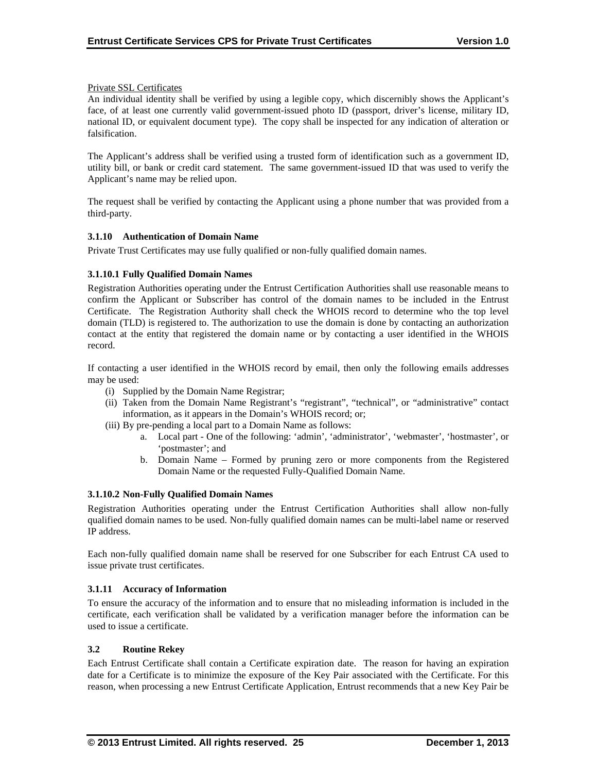## Private SSL Certificates

An individual identity shall be verified by using a legible copy, which discernibly shows the Applicant's face, of at least one currently valid government-issued photo ID (passport, driver's license, military ID, national ID, or equivalent document type). The copy shall be inspected for any indication of alteration or falsification.

The Applicant's address shall be verified using a trusted form of identification such as a government ID, utility bill, or bank or credit card statement. The same government-issued ID that was used to verify the Applicant's name may be relied upon.

The request shall be verified by contacting the Applicant using a phone number that was provided from a third-party.

# **3.1.10 Authentication of Domain Name**

Private Trust Certificates may use fully qualified or non-fully qualified domain names.

# **3.1.10.1 Fully Qualified Domain Names**

Registration Authorities operating under the Entrust Certification Authorities shall use reasonable means to confirm the Applicant or Subscriber has control of the domain names to be included in the Entrust Certificate. The Registration Authority shall check the WHOIS record to determine who the top level domain (TLD) is registered to. The authorization to use the domain is done by contacting an authorization contact at the entity that registered the domain name or by contacting a user identified in the WHOIS record.

If contacting a user identified in the WHOIS record by email, then only the following emails addresses may be used:

- (i) Supplied by the Domain Name Registrar;
- (ii) Taken from the Domain Name Registrant's "registrant", "technical", or "administrative" contact information, as it appears in the Domain's WHOIS record; or;
- (iii) By pre-pending a local part to a Domain Name as follows:
	- a. Local part One of the following: 'admin', 'administrator', 'webmaster', 'hostmaster', or 'postmaster'; and
	- b. Domain Name Formed by pruning zero or more components from the Registered Domain Name or the requested Fully-Qualified Domain Name.

## **3.1.10.2 Non-Fully Qualified Domain Names**

Registration Authorities operating under the Entrust Certification Authorities shall allow non-fully qualified domain names to be used. Non-fully qualified domain names can be multi-label name or reserved IP address.

Each non-fully qualified domain name shall be reserved for one Subscriber for each Entrust CA used to issue private trust certificates.

## **3.1.11 Accuracy of Information**

To ensure the accuracy of the information and to ensure that no misleading information is included in the certificate, each verification shall be validated by a verification manager before the information can be used to issue a certificate.

## **3.2 Routine Rekey**

Each Entrust Certificate shall contain a Certificate expiration date. The reason for having an expiration date for a Certificate is to minimize the exposure of the Key Pair associated with the Certificate. For this reason, when processing a new Entrust Certificate Application, Entrust recommends that a new Key Pair be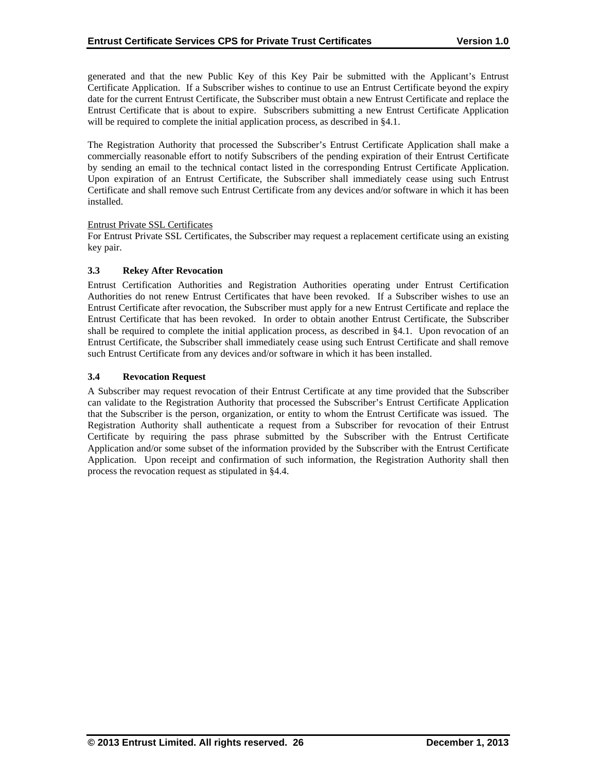generated and that the new Public Key of this Key Pair be submitted with the Applicant's Entrust Certificate Application. If a Subscriber wishes to continue to use an Entrust Certificate beyond the expiry date for the current Entrust Certificate, the Subscriber must obtain a new Entrust Certificate and replace the Entrust Certificate that is about to expire. Subscribers submitting a new Entrust Certificate Application will be required to complete the initial application process, as described in §4.1.

The Registration Authority that processed the Subscriber's Entrust Certificate Application shall make a commercially reasonable effort to notify Subscribers of the pending expiration of their Entrust Certificate by sending an email to the technical contact listed in the corresponding Entrust Certificate Application. Upon expiration of an Entrust Certificate, the Subscriber shall immediately cease using such Entrust Certificate and shall remove such Entrust Certificate from any devices and/or software in which it has been installed.

## Entrust Private SSL Certificates

For Entrust Private SSL Certificates, the Subscriber may request a replacement certificate using an existing key pair.

# **3.3 Rekey After Revocation**

Entrust Certification Authorities and Registration Authorities operating under Entrust Certification Authorities do not renew Entrust Certificates that have been revoked. If a Subscriber wishes to use an Entrust Certificate after revocation, the Subscriber must apply for a new Entrust Certificate and replace the Entrust Certificate that has been revoked. In order to obtain another Entrust Certificate, the Subscriber shall be required to complete the initial application process, as described in §4.1. Upon revocation of an Entrust Certificate, the Subscriber shall immediately cease using such Entrust Certificate and shall remove such Entrust Certificate from any devices and/or software in which it has been installed.

# **3.4 Revocation Request**

A Subscriber may request revocation of their Entrust Certificate at any time provided that the Subscriber can validate to the Registration Authority that processed the Subscriber's Entrust Certificate Application that the Subscriber is the person, organization, or entity to whom the Entrust Certificate was issued. The Registration Authority shall authenticate a request from a Subscriber for revocation of their Entrust Certificate by requiring the pass phrase submitted by the Subscriber with the Entrust Certificate Application and/or some subset of the information provided by the Subscriber with the Entrust Certificate Application. Upon receipt and confirmation of such information, the Registration Authority shall then process the revocation request as stipulated in §4.4.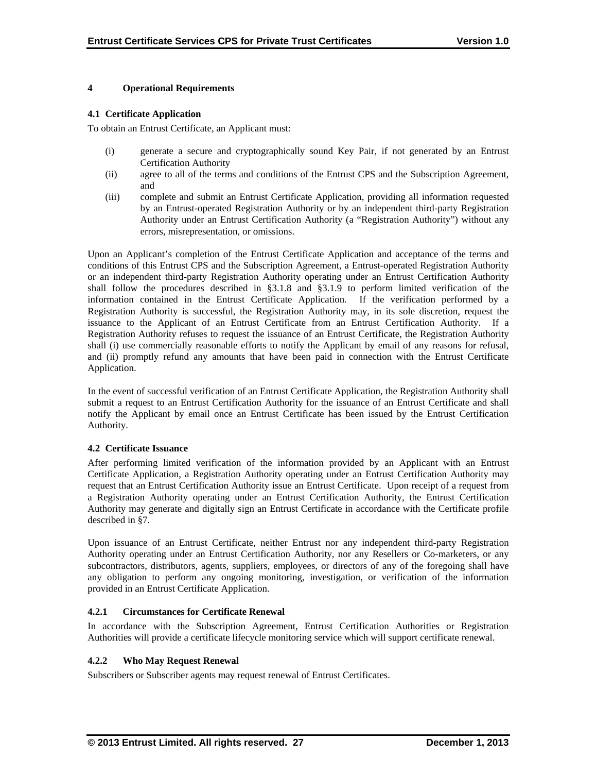# **4 Operational Requirements**

## **4.1 Certificate Application**

To obtain an Entrust Certificate, an Applicant must:

- (i) generate a secure and cryptographically sound Key Pair, if not generated by an Entrust Certification Authority
- (ii) agree to all of the terms and conditions of the Entrust CPS and the Subscription Agreement, and
- (iii) complete and submit an Entrust Certificate Application, providing all information requested by an Entrust-operated Registration Authority or by an independent third-party Registration Authority under an Entrust Certification Authority (a "Registration Authority") without any errors, misrepresentation, or omissions.

Upon an Applicant's completion of the Entrust Certificate Application and acceptance of the terms and conditions of this Entrust CPS and the Subscription Agreement, a Entrust-operated Registration Authority or an independent third-party Registration Authority operating under an Entrust Certification Authority shall follow the procedures described in §3.1.8 and §3.1.9 to perform limited verification of the information contained in the Entrust Certificate Application. If the verification performed by a Registration Authority is successful, the Registration Authority may, in its sole discretion, request the issuance to the Applicant of an Entrust Certificate from an Entrust Certification Authority. If a Registration Authority refuses to request the issuance of an Entrust Certificate, the Registration Authority shall (i) use commercially reasonable efforts to notify the Applicant by email of any reasons for refusal, and (ii) promptly refund any amounts that have been paid in connection with the Entrust Certificate Application.

In the event of successful verification of an Entrust Certificate Application, the Registration Authority shall submit a request to an Entrust Certification Authority for the issuance of an Entrust Certificate and shall notify the Applicant by email once an Entrust Certificate has been issued by the Entrust Certification Authority.

## **4.2 Certificate Issuance**

After performing limited verification of the information provided by an Applicant with an Entrust Certificate Application, a Registration Authority operating under an Entrust Certification Authority may request that an Entrust Certification Authority issue an Entrust Certificate. Upon receipt of a request from a Registration Authority operating under an Entrust Certification Authority, the Entrust Certification Authority may generate and digitally sign an Entrust Certificate in accordance with the Certificate profile described in §7.

Upon issuance of an Entrust Certificate, neither Entrust nor any independent third-party Registration Authority operating under an Entrust Certification Authority, nor any Resellers or Co-marketers, or any subcontractors, distributors, agents, suppliers, employees, or directors of any of the foregoing shall have any obligation to perform any ongoing monitoring, investigation, or verification of the information provided in an Entrust Certificate Application.

# **4.2.1 Circumstances for Certificate Renewal**

In accordance with the Subscription Agreement, Entrust Certification Authorities or Registration Authorities will provide a certificate lifecycle monitoring service which will support certificate renewal.

# **4.2.2 Who May Request Renewal**

Subscribers or Subscriber agents may request renewal of Entrust Certificates.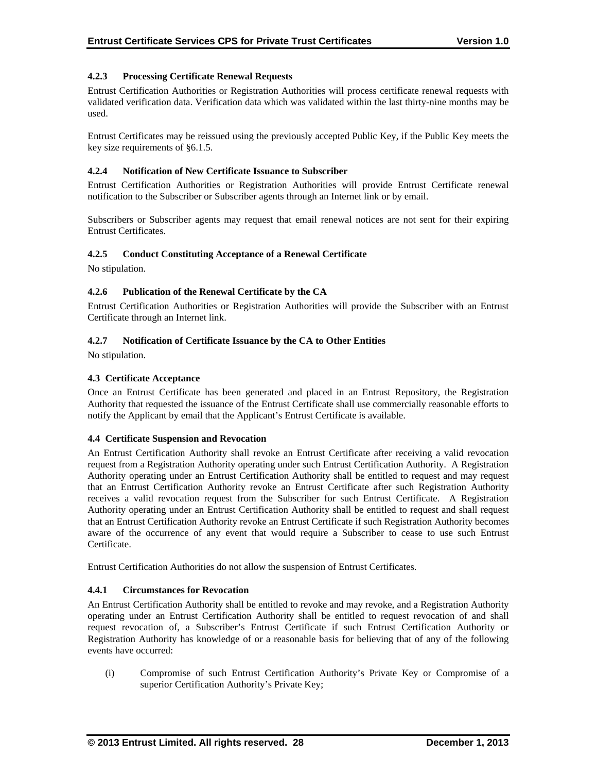# **4.2.3 Processing Certificate Renewal Requests**

Entrust Certification Authorities or Registration Authorities will process certificate renewal requests with validated verification data. Verification data which was validated within the last thirty-nine months may be used.

Entrust Certificates may be reissued using the previously accepted Public Key, if the Public Key meets the key size requirements of §6.1.5.

## **4.2.4 Notification of New Certificate Issuance to Subscriber**

Entrust Certification Authorities or Registration Authorities will provide Entrust Certificate renewal notification to the Subscriber or Subscriber agents through an Internet link or by email.

Subscribers or Subscriber agents may request that email renewal notices are not sent for their expiring Entrust Certificates.

# **4.2.5 Conduct Constituting Acceptance of a Renewal Certificate**

No stipulation.

# **4.2.6 Publication of the Renewal Certificate by the CA**

Entrust Certification Authorities or Registration Authorities will provide the Subscriber with an Entrust Certificate through an Internet link.

# **4.2.7 Notification of Certificate Issuance by the CA to Other Entities**

No stipulation.

# **4.3 Certificate Acceptance**

Once an Entrust Certificate has been generated and placed in an Entrust Repository, the Registration Authority that requested the issuance of the Entrust Certificate shall use commercially reasonable efforts to notify the Applicant by email that the Applicant's Entrust Certificate is available.

## **4.4 Certificate Suspension and Revocation**

An Entrust Certification Authority shall revoke an Entrust Certificate after receiving a valid revocation request from a Registration Authority operating under such Entrust Certification Authority. A Registration Authority operating under an Entrust Certification Authority shall be entitled to request and may request that an Entrust Certification Authority revoke an Entrust Certificate after such Registration Authority receives a valid revocation request from the Subscriber for such Entrust Certificate. A Registration Authority operating under an Entrust Certification Authority shall be entitled to request and shall request that an Entrust Certification Authority revoke an Entrust Certificate if such Registration Authority becomes aware of the occurrence of any event that would require a Subscriber to cease to use such Entrust Certificate.

Entrust Certification Authorities do not allow the suspension of Entrust Certificates.

## **4.4.1 Circumstances for Revocation**

An Entrust Certification Authority shall be entitled to revoke and may revoke, and a Registration Authority operating under an Entrust Certification Authority shall be entitled to request revocation of and shall request revocation of, a Subscriber's Entrust Certificate if such Entrust Certification Authority or Registration Authority has knowledge of or a reasonable basis for believing that of any of the following events have occurred:

(i) Compromise of such Entrust Certification Authority's Private Key or Compromise of a superior Certification Authority's Private Key;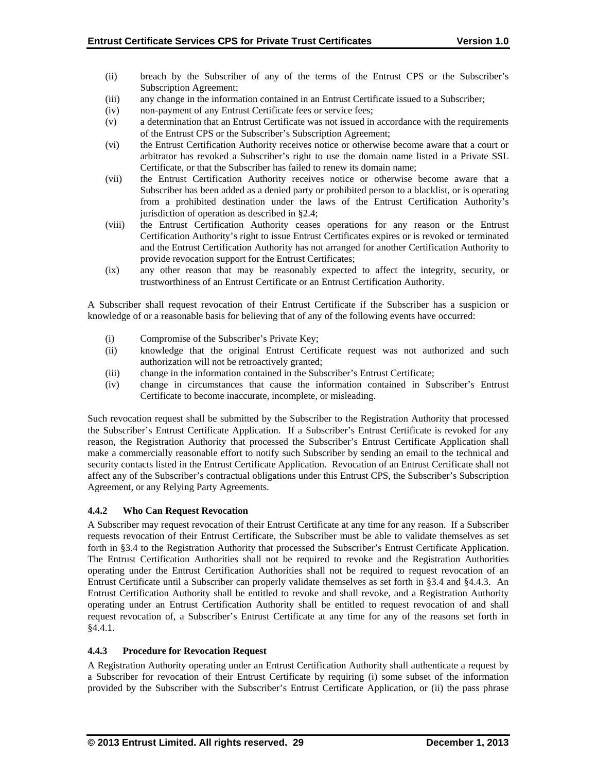- (ii) breach by the Subscriber of any of the terms of the Entrust CPS or the Subscriber's Subscription Agreement;
- (iii) any change in the information contained in an Entrust Certificate issued to a Subscriber;
- (iv) non-payment of any Entrust Certificate fees or service fees;
- (v) a determination that an Entrust Certificate was not issued in accordance with the requirements of the Entrust CPS or the Subscriber's Subscription Agreement;
- (vi) the Entrust Certification Authority receives notice or otherwise become aware that a court or arbitrator has revoked a Subscriber's right to use the domain name listed in a Private SSL Certificate, or that the Subscriber has failed to renew its domain name;
- (vii) the Entrust Certification Authority receives notice or otherwise become aware that a Subscriber has been added as a denied party or prohibited person to a blacklist, or is operating from a prohibited destination under the laws of the Entrust Certification Authority's jurisdiction of operation as described in §2.4;
- (viii) the Entrust Certification Authority ceases operations for any reason or the Entrust Certification Authority's right to issue Entrust Certificates expires or is revoked or terminated and the Entrust Certification Authority has not arranged for another Certification Authority to provide revocation support for the Entrust Certificates;
- (ix) any other reason that may be reasonably expected to affect the integrity, security, or trustworthiness of an Entrust Certificate or an Entrust Certification Authority.

A Subscriber shall request revocation of their Entrust Certificate if the Subscriber has a suspicion or knowledge of or a reasonable basis for believing that of any of the following events have occurred:

- (i) Compromise of the Subscriber's Private Key;
- (ii) knowledge that the original Entrust Certificate request was not authorized and such authorization will not be retroactively granted;
- (iii) change in the information contained in the Subscriber's Entrust Certificate;
- (iv) change in circumstances that cause the information contained in Subscriber's Entrust Certificate to become inaccurate, incomplete, or misleading.

Such revocation request shall be submitted by the Subscriber to the Registration Authority that processed the Subscriber's Entrust Certificate Application. If a Subscriber's Entrust Certificate is revoked for any reason, the Registration Authority that processed the Subscriber's Entrust Certificate Application shall make a commercially reasonable effort to notify such Subscriber by sending an email to the technical and security contacts listed in the Entrust Certificate Application. Revocation of an Entrust Certificate shall not affect any of the Subscriber's contractual obligations under this Entrust CPS, the Subscriber's Subscription Agreement, or any Relying Party Agreements.

# **4.4.2 Who Can Request Revocation**

A Subscriber may request revocation of their Entrust Certificate at any time for any reason. If a Subscriber requests revocation of their Entrust Certificate, the Subscriber must be able to validate themselves as set forth in §3.4 to the Registration Authority that processed the Subscriber's Entrust Certificate Application. The Entrust Certification Authorities shall not be required to revoke and the Registration Authorities operating under the Entrust Certification Authorities shall not be required to request revocation of an Entrust Certificate until a Subscriber can properly validate themselves as set forth in §3.4 and §4.4.3. An Entrust Certification Authority shall be entitled to revoke and shall revoke, and a Registration Authority operating under an Entrust Certification Authority shall be entitled to request revocation of and shall request revocation of, a Subscriber's Entrust Certificate at any time for any of the reasons set forth in §4.4.1.

# **4.4.3 Procedure for Revocation Request**

A Registration Authority operating under an Entrust Certification Authority shall authenticate a request by a Subscriber for revocation of their Entrust Certificate by requiring (i) some subset of the information provided by the Subscriber with the Subscriber's Entrust Certificate Application, or (ii) the pass phrase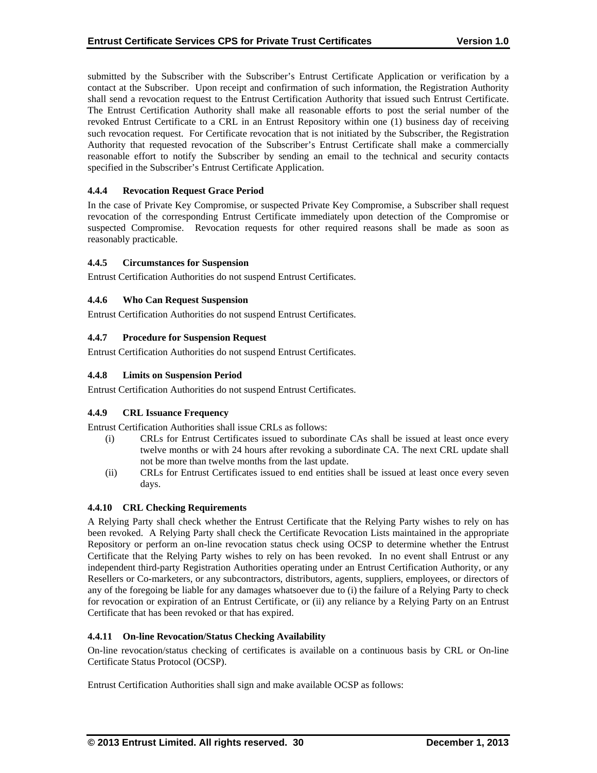submitted by the Subscriber with the Subscriber's Entrust Certificate Application or verification by a contact at the Subscriber. Upon receipt and confirmation of such information, the Registration Authority shall send a revocation request to the Entrust Certification Authority that issued such Entrust Certificate. The Entrust Certification Authority shall make all reasonable efforts to post the serial number of the revoked Entrust Certificate to a CRL in an Entrust Repository within one (1) business day of receiving such revocation request. For Certificate revocation that is not initiated by the Subscriber, the Registration Authority that requested revocation of the Subscriber's Entrust Certificate shall make a commercially reasonable effort to notify the Subscriber by sending an email to the technical and security contacts specified in the Subscriber's Entrust Certificate Application.

# **4.4.4 Revocation Request Grace Period**

In the case of Private Key Compromise, or suspected Private Key Compromise, a Subscriber shall request revocation of the corresponding Entrust Certificate immediately upon detection of the Compromise or suspected Compromise. Revocation requests for other required reasons shall be made as soon as reasonably practicable.

## **4.4.5 Circumstances for Suspension**

Entrust Certification Authorities do not suspend Entrust Certificates.

# **4.4.6 Who Can Request Suspension**

Entrust Certification Authorities do not suspend Entrust Certificates.

# **4.4.7 Procedure for Suspension Request**

Entrust Certification Authorities do not suspend Entrust Certificates.

# **4.4.8 Limits on Suspension Period**

Entrust Certification Authorities do not suspend Entrust Certificates.

## **4.4.9 CRL Issuance Frequency**

Entrust Certification Authorities shall issue CRLs as follows:

- (i) CRLs for Entrust Certificates issued to subordinate CAs shall be issued at least once every twelve months or with 24 hours after revoking a subordinate CA. The next CRL update shall not be more than twelve months from the last update.
- (ii) CRLs for Entrust Certificates issued to end entities shall be issued at least once every seven days.

## **4.4.10 CRL Checking Requirements**

A Relying Party shall check whether the Entrust Certificate that the Relying Party wishes to rely on has been revoked. A Relying Party shall check the Certificate Revocation Lists maintained in the appropriate Repository or perform an on-line revocation status check using OCSP to determine whether the Entrust Certificate that the Relying Party wishes to rely on has been revoked. In no event shall Entrust or any independent third-party Registration Authorities operating under an Entrust Certification Authority, or any Resellers or Co-marketers, or any subcontractors, distributors, agents, suppliers, employees, or directors of any of the foregoing be liable for any damages whatsoever due to (i) the failure of a Relying Party to check for revocation or expiration of an Entrust Certificate, or (ii) any reliance by a Relying Party on an Entrust Certificate that has been revoked or that has expired.

## **4.4.11 On-line Revocation/Status Checking Availability**

On-line revocation/status checking of certificates is available on a continuous basis by CRL or On-line Certificate Status Protocol (OCSP).

Entrust Certification Authorities shall sign and make available OCSP as follows: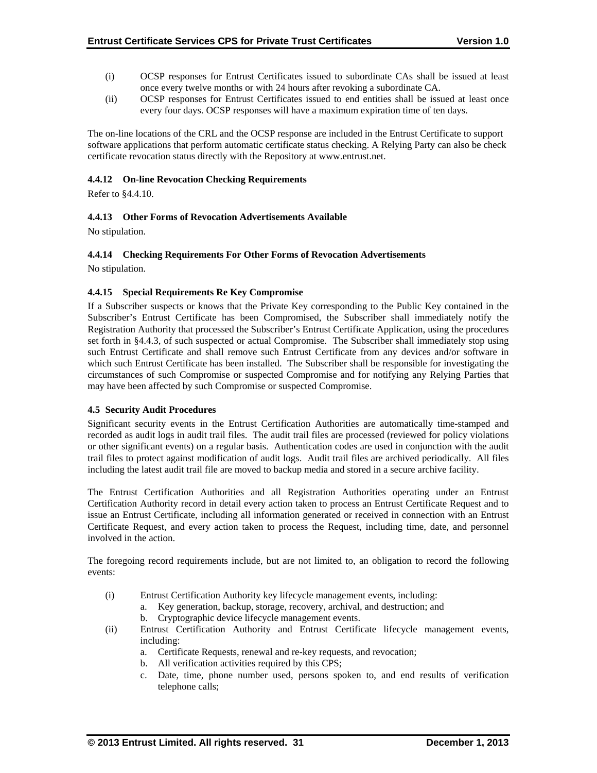- (i) OCSP responses for Entrust Certificates issued to subordinate CAs shall be issued at least once every twelve months or with 24 hours after revoking a subordinate CA.
- (ii) OCSP responses for Entrust Certificates issued to end entities shall be issued at least once every four days. OCSP responses will have a maximum expiration time of ten days.

The on-line locations of the CRL and the OCSP response are included in the Entrust Certificate to support software applications that perform automatic certificate status checking. A Relying Party can also be check certificate revocation status directly with the Repository at www.entrust.net.

## **4.4.12 On-line Revocation Checking Requirements**

Refer to §4.4.10.

# **4.4.13 Other Forms of Revocation Advertisements Available**

No stipulation.

# **4.4.14 Checking Requirements For Other Forms of Revocation Advertisements**

No stipulation.

## **4.4.15 Special Requirements Re Key Compromise**

If a Subscriber suspects or knows that the Private Key corresponding to the Public Key contained in the Subscriber's Entrust Certificate has been Compromised, the Subscriber shall immediately notify the Registration Authority that processed the Subscriber's Entrust Certificate Application, using the procedures set forth in §4.4.3, of such suspected or actual Compromise. The Subscriber shall immediately stop using such Entrust Certificate and shall remove such Entrust Certificate from any devices and/or software in which such Entrust Certificate has been installed. The Subscriber shall be responsible for investigating the circumstances of such Compromise or suspected Compromise and for notifying any Relying Parties that may have been affected by such Compromise or suspected Compromise.

## **4.5 Security Audit Procedures**

Significant security events in the Entrust Certification Authorities are automatically time-stamped and recorded as audit logs in audit trail files. The audit trail files are processed (reviewed for policy violations or other significant events) on a regular basis. Authentication codes are used in conjunction with the audit trail files to protect against modification of audit logs. Audit trail files are archived periodically. All files including the latest audit trail file are moved to backup media and stored in a secure archive facility.

The Entrust Certification Authorities and all Registration Authorities operating under an Entrust Certification Authority record in detail every action taken to process an Entrust Certificate Request and to issue an Entrust Certificate, including all information generated or received in connection with an Entrust Certificate Request, and every action taken to process the Request, including time, date, and personnel involved in the action.

The foregoing record requirements include, but are not limited to, an obligation to record the following events:

- (i) Entrust Certification Authority key lifecycle management events, including:
	- a. Key generation, backup, storage, recovery, archival, and destruction; and
		- b. Cryptographic device lifecycle management events.
- (ii) Entrust Certification Authority and Entrust Certificate lifecycle management events, including:
	- a. Certificate Requests, renewal and re-key requests, and revocation;
	- b. All verification activities required by this CPS;
	- c. Date, time, phone number used, persons spoken to, and end results of verification telephone calls;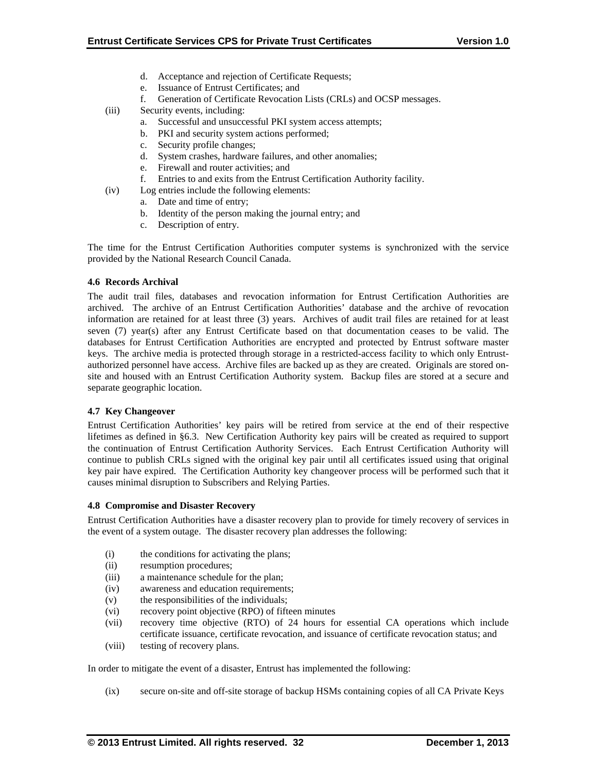- d. Acceptance and rejection of Certificate Requests;
- e. Issuance of Entrust Certificates; and
- f. Generation of Certificate Revocation Lists (CRLs) and OCSP messages.
- (iii) Security events, including:
	- a. Successful and unsuccessful PKI system access attempts;
	- b. PKI and security system actions performed;
	- c. Security profile changes;
	- d. System crashes, hardware failures, and other anomalies;
	- e. Firewall and router activities; and
	- f. Entries to and exits from the Entrust Certification Authority facility.
- (iv) Log entries include the following elements:
	- a. Date and time of entry;
		- b. Identity of the person making the journal entry; and
	- c. Description of entry.

The time for the Entrust Certification Authorities computer systems is synchronized with the service provided by the National Research Council Canada.

## **4.6 Records Archival**

The audit trail files, databases and revocation information for Entrust Certification Authorities are archived. The archive of an Entrust Certification Authorities' database and the archive of revocation information are retained for at least three (3) years. Archives of audit trail files are retained for at least seven (7) year(s) after any Entrust Certificate based on that documentation ceases to be valid. The databases for Entrust Certification Authorities are encrypted and protected by Entrust software master keys. The archive media is protected through storage in a restricted-access facility to which only Entrustauthorized personnel have access. Archive files are backed up as they are created. Originals are stored onsite and housed with an Entrust Certification Authority system. Backup files are stored at a secure and separate geographic location.

## **4.7 Key Changeover**

Entrust Certification Authorities' key pairs will be retired from service at the end of their respective lifetimes as defined in §6.3. New Certification Authority key pairs will be created as required to support the continuation of Entrust Certification Authority Services. Each Entrust Certification Authority will continue to publish CRLs signed with the original key pair until all certificates issued using that original key pair have expired. The Certification Authority key changeover process will be performed such that it causes minimal disruption to Subscribers and Relying Parties.

## **4.8 Compromise and Disaster Recovery**

Entrust Certification Authorities have a disaster recovery plan to provide for timely recovery of services in the event of a system outage. The disaster recovery plan addresses the following:

- (i) the conditions for activating the plans;
- (ii) resumption procedures;
- (iii) a maintenance schedule for the plan;
- (iv) awareness and education requirements;
- (v) the responsibilities of the individuals;
- (vi) recovery point objective (RPO) of fifteen minutes
- (vii) recovery time objective (RTO) of 24 hours for essential CA operations which include certificate issuance, certificate revocation, and issuance of certificate revocation status; and
- (viii) testing of recovery plans.

In order to mitigate the event of a disaster, Entrust has implemented the following:

(ix) secure on-site and off-site storage of backup HSMs containing copies of all CA Private Keys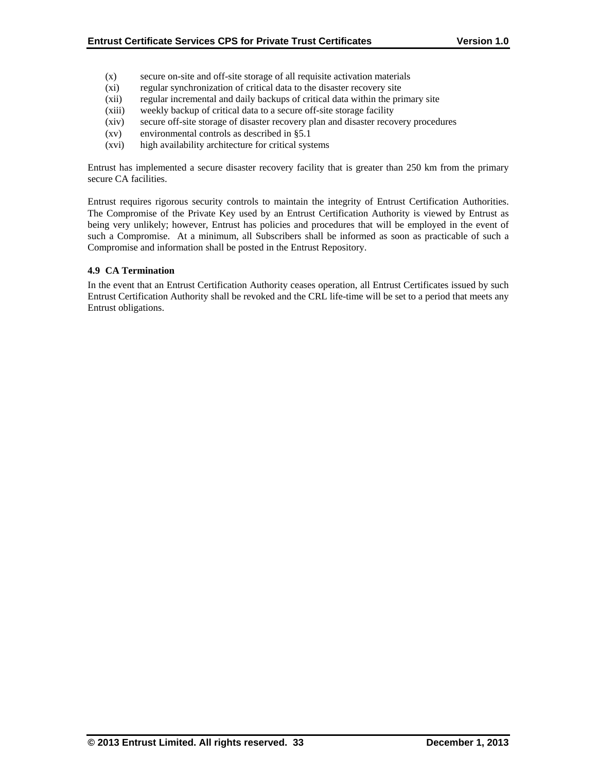- (x) secure on-site and off-site storage of all requisite activation materials
- (xi) regular synchronization of critical data to the disaster recovery site
- (xii) regular incremental and daily backups of critical data within the primary site
- (xiii) weekly backup of critical data to a secure off-site storage facility
- (xiv) secure off-site storage of disaster recovery plan and disaster recovery procedures
- (xv) environmental controls as described in §5.1
- (xvi) high availability architecture for critical systems

Entrust has implemented a secure disaster recovery facility that is greater than 250 km from the primary secure CA facilities.

Entrust requires rigorous security controls to maintain the integrity of Entrust Certification Authorities. The Compromise of the Private Key used by an Entrust Certification Authority is viewed by Entrust as being very unlikely; however, Entrust has policies and procedures that will be employed in the event of such a Compromise. At a minimum, all Subscribers shall be informed as soon as practicable of such a Compromise and information shall be posted in the Entrust Repository.

#### **4.9 CA Termination**

In the event that an Entrust Certification Authority ceases operation, all Entrust Certificates issued by such Entrust Certification Authority shall be revoked and the CRL life-time will be set to a period that meets any Entrust obligations.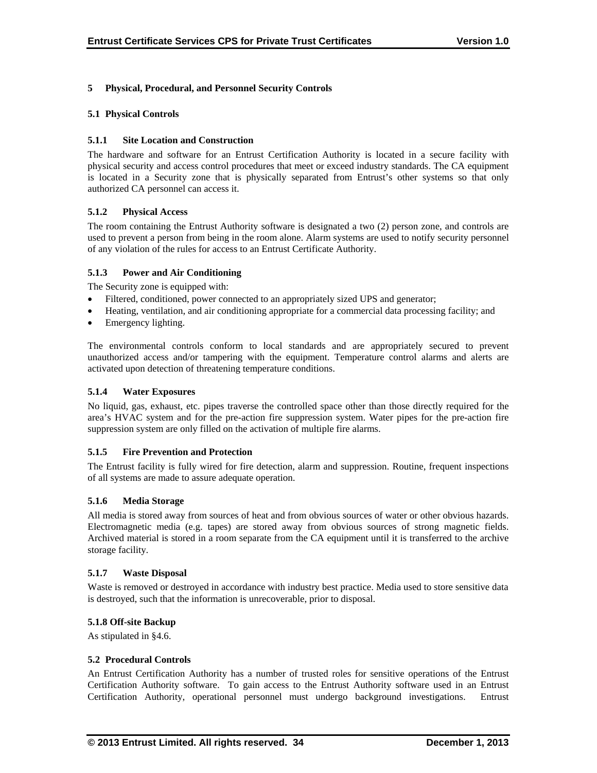# **5 Physical, Procedural, and Personnel Security Controls**

## **5.1 Physical Controls**

## **5.1.1 Site Location and Construction**

The hardware and software for an Entrust Certification Authority is located in a secure facility with physical security and access control procedures that meet or exceed industry standards. The CA equipment is located in a Security zone that is physically separated from Entrust's other systems so that only authorized CA personnel can access it.

# **5.1.2 Physical Access**

The room containing the Entrust Authority software is designated a two (2) person zone, and controls are used to prevent a person from being in the room alone. Alarm systems are used to notify security personnel of any violation of the rules for access to an Entrust Certificate Authority.

# **5.1.3 Power and Air Conditioning**

The Security zone is equipped with:

- Filtered, conditioned, power connected to an appropriately sized UPS and generator;
- Heating, ventilation, and air conditioning appropriate for a commercial data processing facility; and
- Emergency lighting.

The environmental controls conform to local standards and are appropriately secured to prevent unauthorized access and/or tampering with the equipment. Temperature control alarms and alerts are activated upon detection of threatening temperature conditions.

## **5.1.4 Water Exposures**

No liquid, gas, exhaust, etc. pipes traverse the controlled space other than those directly required for the area's HVAC system and for the pre-action fire suppression system. Water pipes for the pre-action fire suppression system are only filled on the activation of multiple fire alarms.

## **5.1.5 Fire Prevention and Protection**

The Entrust facility is fully wired for fire detection, alarm and suppression. Routine, frequent inspections of all systems are made to assure adequate operation.

## **5.1.6 Media Storage**

All media is stored away from sources of heat and from obvious sources of water or other obvious hazards. Electromagnetic media (e.g. tapes) are stored away from obvious sources of strong magnetic fields. Archived material is stored in a room separate from the CA equipment until it is transferred to the archive storage facility.

## **5.1.7 Waste Disposal**

Waste is removed or destroyed in accordance with industry best practice. Media used to store sensitive data is destroyed, such that the information is unrecoverable, prior to disposal.

## **5.1.8 Off-site Backup**

As stipulated in §4.6.

## **5.2 Procedural Controls**

An Entrust Certification Authority has a number of trusted roles for sensitive operations of the Entrust Certification Authority software. To gain access to the Entrust Authority software used in an Entrust Certification Authority, operational personnel must undergo background investigations. Entrust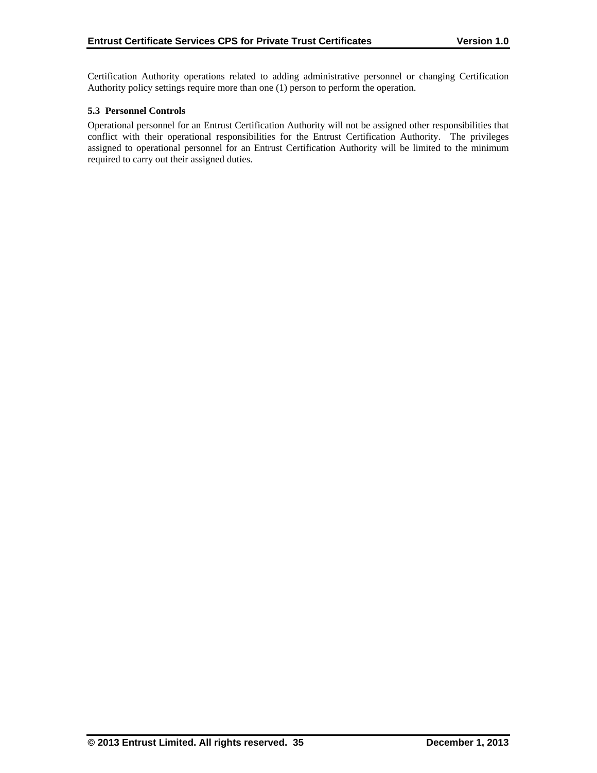Certification Authority operations related to adding administrative personnel or changing Certification Authority policy settings require more than one (1) person to perform the operation.

## **5.3 Personnel Controls**

Operational personnel for an Entrust Certification Authority will not be assigned other responsibilities that conflict with their operational responsibilities for the Entrust Certification Authority. The privileges assigned to operational personnel for an Entrust Certification Authority will be limited to the minimum required to carry out their assigned duties.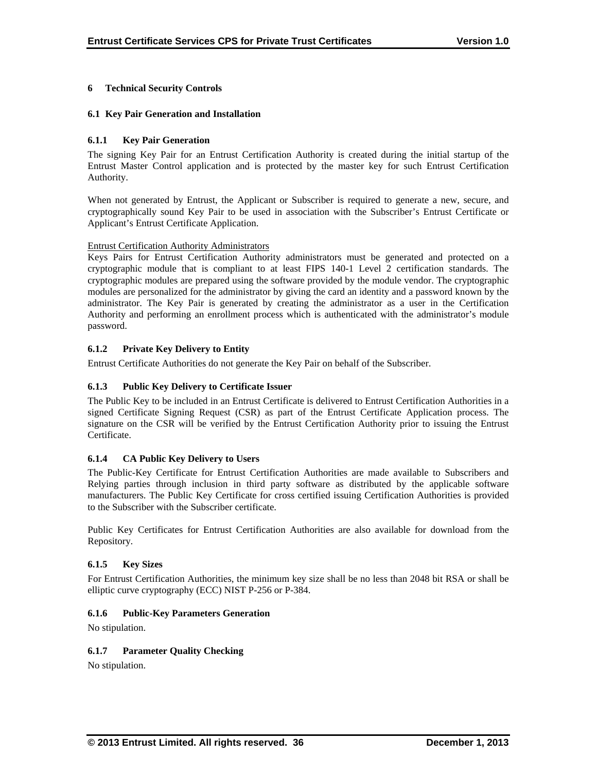# **6 Technical Security Controls**

## **6.1 Key Pair Generation and Installation**

## **6.1.1 Key Pair Generation**

The signing Key Pair for an Entrust Certification Authority is created during the initial startup of the Entrust Master Control application and is protected by the master key for such Entrust Certification Authority.

When not generated by Entrust, the Applicant or Subscriber is required to generate a new, secure, and cryptographically sound Key Pair to be used in association with the Subscriber's Entrust Certificate or Applicant's Entrust Certificate Application.

## Entrust Certification Authority Administrators

Keys Pairs for Entrust Certification Authority administrators must be generated and protected on a cryptographic module that is compliant to at least FIPS 140-1 Level 2 certification standards. The cryptographic modules are prepared using the software provided by the module vendor. The cryptographic modules are personalized for the administrator by giving the card an identity and a password known by the administrator. The Key Pair is generated by creating the administrator as a user in the Certification Authority and performing an enrollment process which is authenticated with the administrator's module password.

# **6.1.2 Private Key Delivery to Entity**

Entrust Certificate Authorities do not generate the Key Pair on behalf of the Subscriber.

## **6.1.3 Public Key Delivery to Certificate Issuer**

The Public Key to be included in an Entrust Certificate is delivered to Entrust Certification Authorities in a signed Certificate Signing Request (CSR) as part of the Entrust Certificate Application process. The signature on the CSR will be verified by the Entrust Certification Authority prior to issuing the Entrust Certificate.

## **6.1.4 CA Public Key Delivery to Users**

The Public-Key Certificate for Entrust Certification Authorities are made available to Subscribers and Relying parties through inclusion in third party software as distributed by the applicable software manufacturers. The Public Key Certificate for cross certified issuing Certification Authorities is provided to the Subscriber with the Subscriber certificate.

Public Key Certificates for Entrust Certification Authorities are also available for download from the Repository.

## **6.1.5 Key Sizes**

For Entrust Certification Authorities, the minimum key size shall be no less than 2048 bit RSA or shall be elliptic curve cryptography (ECC) NIST P-256 or P-384.

## **6.1.6 Public-Key Parameters Generation**

No stipulation.

# **6.1.7 Parameter Quality Checking**

No stipulation.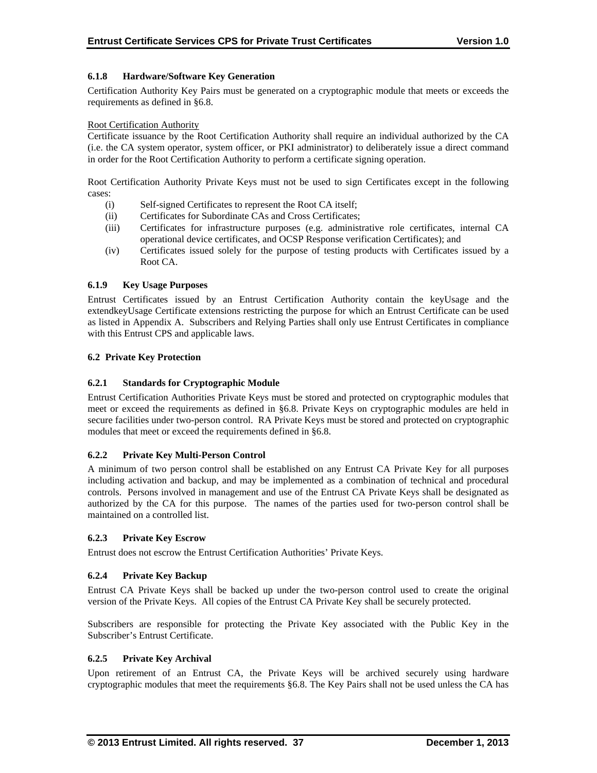# **6.1.8 Hardware/Software Key Generation**

Certification Authority Key Pairs must be generated on a cryptographic module that meets or exceeds the requirements as defined in §6.8.

## Root Certification Authority

Certificate issuance by the Root Certification Authority shall require an individual authorized by the CA (i.e. the CA system operator, system officer, or PKI administrator) to deliberately issue a direct command in order for the Root Certification Authority to perform a certificate signing operation.

Root Certification Authority Private Keys must not be used to sign Certificates except in the following cases:

- (i) Self-signed Certificates to represent the Root CA itself;
- (ii) Certificates for Subordinate CAs and Cross Certificates;
- (iii) Certificates for infrastructure purposes (e.g. administrative role certificates, internal CA operational device certificates, and OCSP Response verification Certificates); and
- (iv) Certificates issued solely for the purpose of testing products with Certificates issued by a Root CA.

## **6.1.9 Key Usage Purposes**

Entrust Certificates issued by an Entrust Certification Authority contain the keyUsage and the extendkeyUsage Certificate extensions restricting the purpose for which an Entrust Certificate can be used as listed in Appendix A. Subscribers and Relying Parties shall only use Entrust Certificates in compliance with this Entrust CPS and applicable laws.

#### **6.2 Private Key Protection**

## **6.2.1 Standards for Cryptographic Module**

Entrust Certification Authorities Private Keys must be stored and protected on cryptographic modules that meet or exceed the requirements as defined in §6.8. Private Keys on cryptographic modules are held in secure facilities under two-person control. RA Private Keys must be stored and protected on cryptographic modules that meet or exceed the requirements defined in §6.8.

## **6.2.2 Private Key Multi-Person Control**

A minimum of two person control shall be established on any Entrust CA Private Key for all purposes including activation and backup, and may be implemented as a combination of technical and procedural controls. Persons involved in management and use of the Entrust CA Private Keys shall be designated as authorized by the CA for this purpose. The names of the parties used for two-person control shall be maintained on a controlled list.

#### **6.2.3 Private Key Escrow**

Entrust does not escrow the Entrust Certification Authorities' Private Keys.

## **6.2.4 Private Key Backup**

Entrust CA Private Keys shall be backed up under the two-person control used to create the original version of the Private Keys. All copies of the Entrust CA Private Key shall be securely protected.

Subscribers are responsible for protecting the Private Key associated with the Public Key in the Subscriber's Entrust Certificate.

#### **6.2.5 Private Key Archival**

Upon retirement of an Entrust CA, the Private Keys will be archived securely using hardware cryptographic modules that meet the requirements §6.8. The Key Pairs shall not be used unless the CA has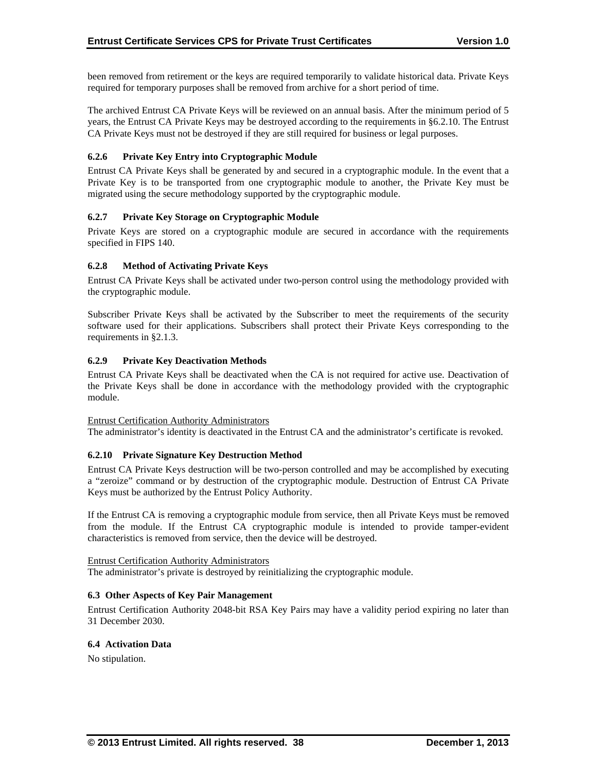been removed from retirement or the keys are required temporarily to validate historical data. Private Keys required for temporary purposes shall be removed from archive for a short period of time.

The archived Entrust CA Private Keys will be reviewed on an annual basis. After the minimum period of 5 years, the Entrust CA Private Keys may be destroyed according to the requirements in §6.2.10. The Entrust CA Private Keys must not be destroyed if they are still required for business or legal purposes.

## **6.2.6 Private Key Entry into Cryptographic Module**

Entrust CA Private Keys shall be generated by and secured in a cryptographic module. In the event that a Private Key is to be transported from one cryptographic module to another, the Private Key must be migrated using the secure methodology supported by the cryptographic module.

# **6.2.7 Private Key Storage on Cryptographic Module**

Private Keys are stored on a cryptographic module are secured in accordance with the requirements specified in FIPS 140.

# **6.2.8 Method of Activating Private Keys**

Entrust CA Private Keys shall be activated under two-person control using the methodology provided with the cryptographic module.

Subscriber Private Keys shall be activated by the Subscriber to meet the requirements of the security software used for their applications. Subscribers shall protect their Private Keys corresponding to the requirements in §2.1.3.

# **6.2.9 Private Key Deactivation Methods**

Entrust CA Private Keys shall be deactivated when the CA is not required for active use. Deactivation of the Private Keys shall be done in accordance with the methodology provided with the cryptographic module.

## Entrust Certification Authority Administrators

The administrator's identity is deactivated in the Entrust CA and the administrator's certificate is revoked.

## **6.2.10 Private Signature Key Destruction Method**

Entrust CA Private Keys destruction will be two-person controlled and may be accomplished by executing a "zeroize" command or by destruction of the cryptographic module. Destruction of Entrust CA Private Keys must be authorized by the Entrust Policy Authority.

If the Entrust CA is removing a cryptographic module from service, then all Private Keys must be removed from the module. If the Entrust CA cryptographic module is intended to provide tamper-evident characteristics is removed from service, then the device will be destroyed.

## Entrust Certification Authority Administrators

The administrator's private is destroyed by reinitializing the cryptographic module.

## **6.3 Other Aspects of Key Pair Management**

Entrust Certification Authority 2048-bit RSA Key Pairs may have a validity period expiring no later than 31 December 2030.

## **6.4 Activation Data**

No stipulation.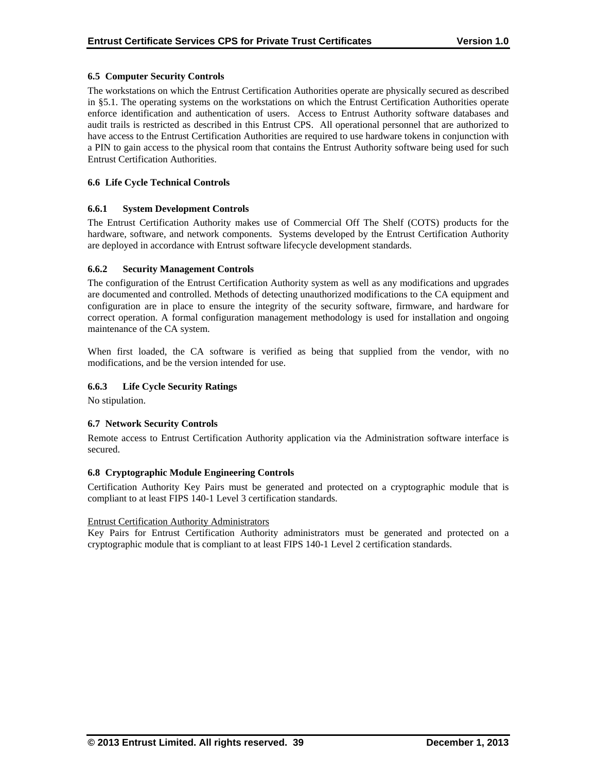## **6.5 Computer Security Controls**

The workstations on which the Entrust Certification Authorities operate are physically secured as described in §5.1. The operating systems on the workstations on which the Entrust Certification Authorities operate enforce identification and authentication of users. Access to Entrust Authority software databases and audit trails is restricted as described in this Entrust CPS. All operational personnel that are authorized to have access to the Entrust Certification Authorities are required to use hardware tokens in conjunction with a PIN to gain access to the physical room that contains the Entrust Authority software being used for such Entrust Certification Authorities.

# **6.6 Life Cycle Technical Controls**

## **6.6.1 System Development Controls**

The Entrust Certification Authority makes use of Commercial Off The Shelf (COTS) products for the hardware, software, and network components. Systems developed by the Entrust Certification Authority are deployed in accordance with Entrust software lifecycle development standards.

# **6.6.2 Security Management Controls**

The configuration of the Entrust Certification Authority system as well as any modifications and upgrades are documented and controlled. Methods of detecting unauthorized modifications to the CA equipment and configuration are in place to ensure the integrity of the security software, firmware, and hardware for correct operation. A formal configuration management methodology is used for installation and ongoing maintenance of the CA system.

When first loaded, the CA software is verified as being that supplied from the vendor, with no modifications, and be the version intended for use.

# **6.6.3 Life Cycle Security Ratings**

No stipulation.

## **6.7 Network Security Controls**

Remote access to Entrust Certification Authority application via the Administration software interface is secured.

## **6.8 Cryptographic Module Engineering Controls**

Certification Authority Key Pairs must be generated and protected on a cryptographic module that is compliant to at least FIPS 140-1 Level 3 certification standards.

## Entrust Certification Authority Administrators

Key Pairs for Entrust Certification Authority administrators must be generated and protected on a cryptographic module that is compliant to at least FIPS 140-1 Level 2 certification standards.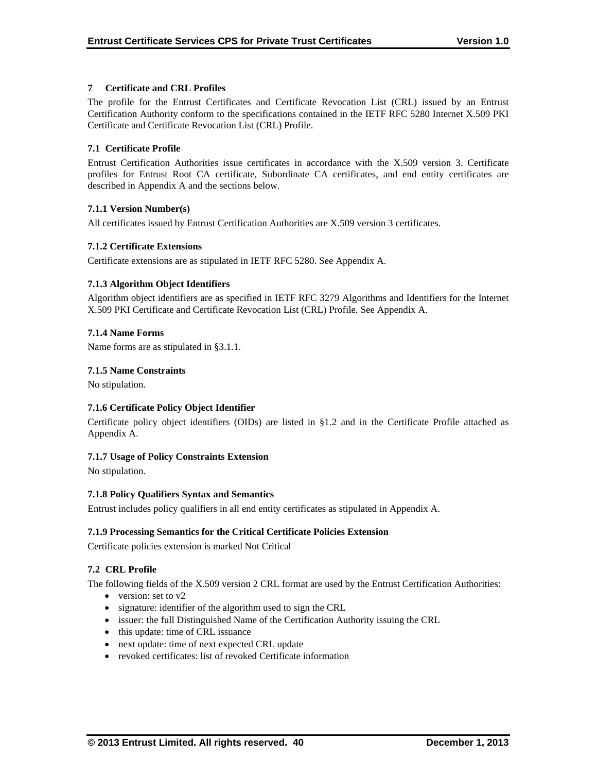# **7 Certificate and CRL Profiles**

The profile for the Entrust Certificates and Certificate Revocation List (CRL) issued by an Entrust Certification Authority conform to the specifications contained in the IETF RFC 5280 Internet X.509 PKI Certificate and Certificate Revocation List (CRL) Profile.

# **7.1 Certificate Profile**

Entrust Certification Authorities issue certificates in accordance with the X.509 version 3. Certificate profiles for Entrust Root CA certificate, Subordinate CA certificates, and end entity certificates are described in Appendix A and the sections below.

# **7.1.1 Version Number(s)**

All certificates issued by Entrust Certification Authorities are X.509 version 3 certificates.

# **7.1.2 Certificate Extensions**

Certificate extensions are as stipulated in IETF RFC 5280. See Appendix A.

# **7.1.3 Algorithm Object Identifiers**

Algorithm object identifiers are as specified in IETF RFC 3279 Algorithms and Identifiers for the Internet X.509 PKI Certificate and Certificate Revocation List (CRL) Profile. See Appendix A.

# **7.1.4 Name Forms**

Name forms are as stipulated in §3.1.1.

# **7.1.5 Name Constraints**

No stipulation.

# **7.1.6 Certificate Policy Object Identifier**

Certificate policy object identifiers (OIDs) are listed in §1.2 and in the Certificate Profile attached as Appendix A.

## **7.1.7 Usage of Policy Constraints Extension**

No stipulation.

## **7.1.8 Policy Qualifiers Syntax and Semantics**

Entrust includes policy qualifiers in all end entity certificates as stipulated in Appendix A.

## **7.1.9 Processing Semantics for the Critical Certificate Policies Extension**

Certificate policies extension is marked Not Critical

## **7.2 CRL Profile**

The following fields of the X.509 version 2 CRL format are used by the Entrust Certification Authorities:

- version: set to  $v2$
- signature: identifier of the algorithm used to sign the CRL
- issuer: the full Distinguished Name of the Certification Authority issuing the CRL
- this update: time of CRL issuance
- next update: time of next expected CRL update
- revoked certificates: list of revoked Certificate information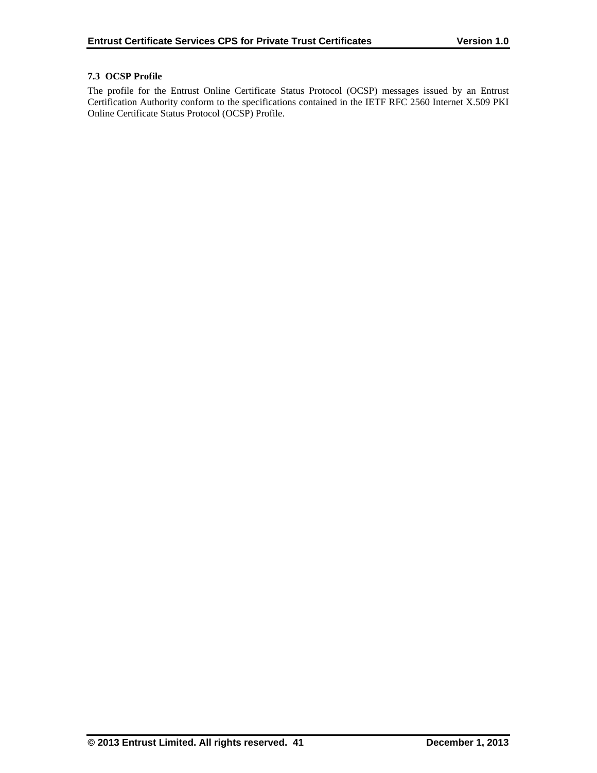# **7.3 OCSP Profile**

The profile for the Entrust Online Certificate Status Protocol (OCSP) messages issued by an Entrust Certification Authority conform to the specifications contained in the IETF RFC 2560 Internet X.509 PKI Online Certificate Status Protocol (OCSP) Profile.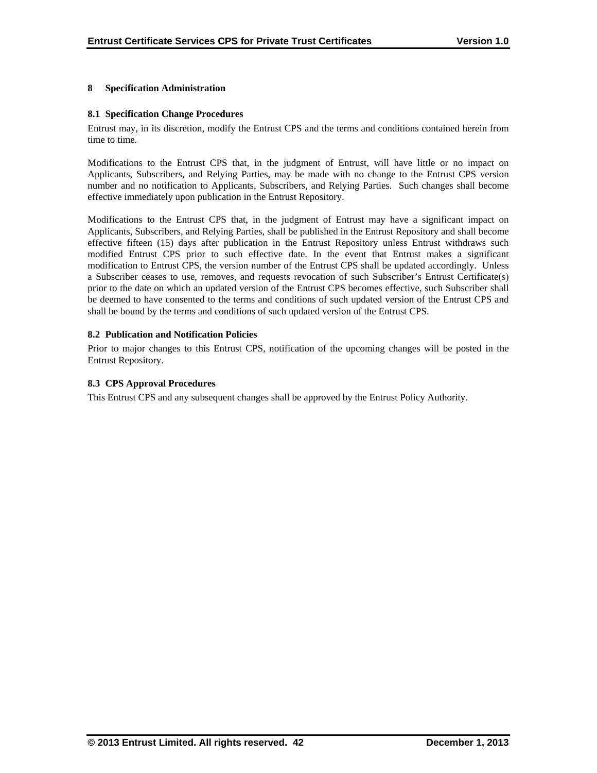## **8 Specification Administration**

## **8.1 Specification Change Procedures**

Entrust may, in its discretion, modify the Entrust CPS and the terms and conditions contained herein from time to time.

Modifications to the Entrust CPS that, in the judgment of Entrust, will have little or no impact on Applicants, Subscribers, and Relying Parties, may be made with no change to the Entrust CPS version number and no notification to Applicants, Subscribers, and Relying Parties. Such changes shall become effective immediately upon publication in the Entrust Repository.

Modifications to the Entrust CPS that, in the judgment of Entrust may have a significant impact on Applicants, Subscribers, and Relying Parties, shall be published in the Entrust Repository and shall become effective fifteen (15) days after publication in the Entrust Repository unless Entrust withdraws such modified Entrust CPS prior to such effective date. In the event that Entrust makes a significant modification to Entrust CPS, the version number of the Entrust CPS shall be updated accordingly. Unless a Subscriber ceases to use, removes, and requests revocation of such Subscriber's Entrust Certificate(s) prior to the date on which an updated version of the Entrust CPS becomes effective, such Subscriber shall be deemed to have consented to the terms and conditions of such updated version of the Entrust CPS and shall be bound by the terms and conditions of such updated version of the Entrust CPS.

# **8.2 Publication and Notification Policies**

Prior to major changes to this Entrust CPS, notification of the upcoming changes will be posted in the Entrust Repository.

# **8.3 CPS Approval Procedures**

This Entrust CPS and any subsequent changes shall be approved by the Entrust Policy Authority.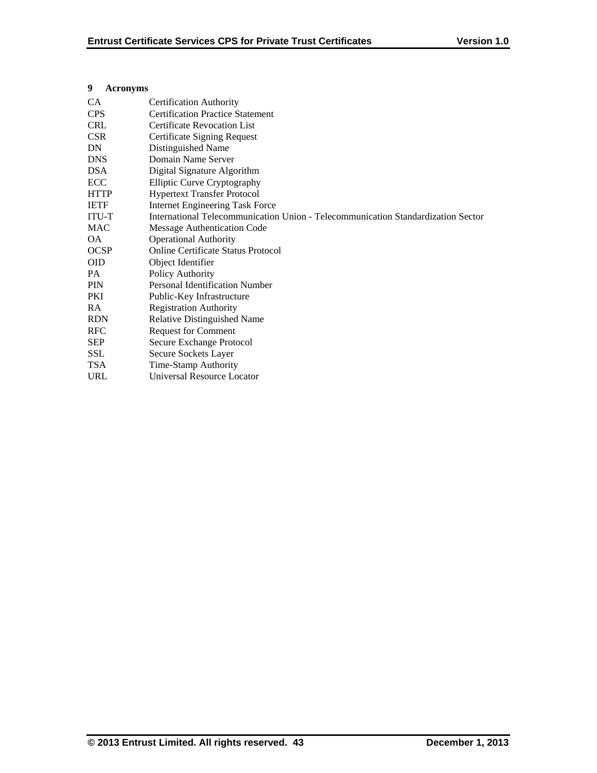# **9 Acronyms**

| <b>CA</b>    | <b>Certification Authority</b>                                                   |  |  |  |
|--------------|----------------------------------------------------------------------------------|--|--|--|
| <b>CPS</b>   | <b>Certification Practice Statement</b>                                          |  |  |  |
| <b>CRL</b>   | <b>Certificate Revocation List</b>                                               |  |  |  |
| <b>CSR</b>   | Certificate Signing Request                                                      |  |  |  |
| DN           | Distinguished Name                                                               |  |  |  |
| <b>DNS</b>   | Domain Name Server                                                               |  |  |  |
| <b>DSA</b>   | Digital Signature Algorithm                                                      |  |  |  |
| ECC          | <b>Elliptic Curve Cryptography</b>                                               |  |  |  |
| <b>HTTP</b>  | <b>Hypertext Transfer Protocol</b>                                               |  |  |  |
| <b>IETF</b>  | <b>Internet Engineering Task Force</b>                                           |  |  |  |
| <b>ITU-T</b> | International Telecommunication Union - Telecommunication Standardization Sector |  |  |  |
| <b>MAC</b>   | Message Authentication Code                                                      |  |  |  |
| OA.          | <b>Operational Authority</b>                                                     |  |  |  |
| <b>OCSP</b>  | <b>Online Certificate Status Protocol</b>                                        |  |  |  |
| <b>OID</b>   | Object Identifier                                                                |  |  |  |
| PA           | Policy Authority                                                                 |  |  |  |
| <b>PIN</b>   | Personal Identification Number                                                   |  |  |  |
| PKI          | Public-Key Infrastructure                                                        |  |  |  |
| <b>RA</b>    | <b>Registration Authority</b>                                                    |  |  |  |
| <b>RDN</b>   | Relative Distinguished Name                                                      |  |  |  |
| <b>RFC</b>   | <b>Request for Comment</b>                                                       |  |  |  |
| <b>SEP</b>   | Secure Exchange Protocol                                                         |  |  |  |
| <b>SSL</b>   | Secure Sockets Layer                                                             |  |  |  |
| <b>TSA</b>   | Time-Stamp Authority                                                             |  |  |  |
| <b>URL</b>   | Universal Resource Locator                                                       |  |  |  |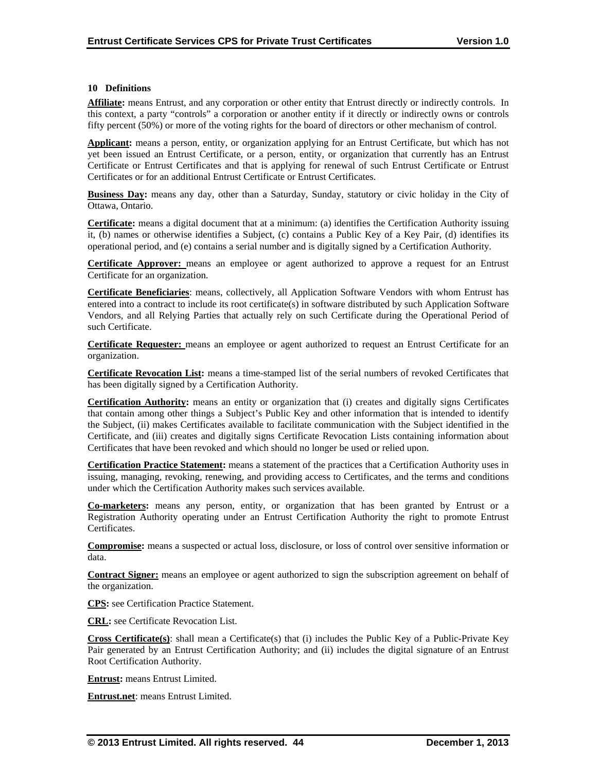#### **10 Definitions**

**Affiliate:** means Entrust, and any corporation or other entity that Entrust directly or indirectly controls. In this context, a party "controls" a corporation or another entity if it directly or indirectly owns or controls fifty percent (50%) or more of the voting rights for the board of directors or other mechanism of control.

**Applicant:** means a person, entity, or organization applying for an Entrust Certificate, but which has not yet been issued an Entrust Certificate, or a person, entity, or organization that currently has an Entrust Certificate or Entrust Certificates and that is applying for renewal of such Entrust Certificate or Entrust Certificates or for an additional Entrust Certificate or Entrust Certificates.

**Business Day:** means any day, other than a Saturday, Sunday, statutory or civic holiday in the City of Ottawa, Ontario.

**Certificate:** means a digital document that at a minimum: (a) identifies the Certification Authority issuing it, (b) names or otherwise identifies a Subject, (c) contains a Public Key of a Key Pair, (d) identifies its operational period, and (e) contains a serial number and is digitally signed by a Certification Authority.

**Certificate Approver:** means an employee or agent authorized to approve a request for an Entrust Certificate for an organization.

**Certificate Beneficiaries**: means, collectively, all Application Software Vendors with whom Entrust has entered into a contract to include its root certificate(s) in software distributed by such Application Software Vendors, and all Relying Parties that actually rely on such Certificate during the Operational Period of such Certificate.

**Certificate Requester:** means an employee or agent authorized to request an Entrust Certificate for an organization.

**Certificate Revocation List:** means a time-stamped list of the serial numbers of revoked Certificates that has been digitally signed by a Certification Authority.

**Certification Authority:** means an entity or organization that (i) creates and digitally signs Certificates that contain among other things a Subject's Public Key and other information that is intended to identify the Subject, (ii) makes Certificates available to facilitate communication with the Subject identified in the Certificate, and (iii) creates and digitally signs Certificate Revocation Lists containing information about Certificates that have been revoked and which should no longer be used or relied upon.

**Certification Practice Statement:** means a statement of the practices that a Certification Authority uses in issuing, managing, revoking, renewing, and providing access to Certificates, and the terms and conditions under which the Certification Authority makes such services available.

**Co-marketers:** means any person, entity, or organization that has been granted by Entrust or a Registration Authority operating under an Entrust Certification Authority the right to promote Entrust Certificates.

**Compromise:** means a suspected or actual loss, disclosure, or loss of control over sensitive information or data.

**Contract Signer:** means an employee or agent authorized to sign the subscription agreement on behalf of the organization.

**CPS:** see Certification Practice Statement.

**CRL:** see Certificate Revocation List.

**Cross Certificate(s)**: shall mean a Certificate(s) that (i) includes the Public Key of a Public-Private Key Pair generated by an Entrust Certification Authority; and (ii) includes the digital signature of an Entrust Root Certification Authority.

**Entrust:** means Entrust Limited.

**Entrust.net**: means Entrust Limited.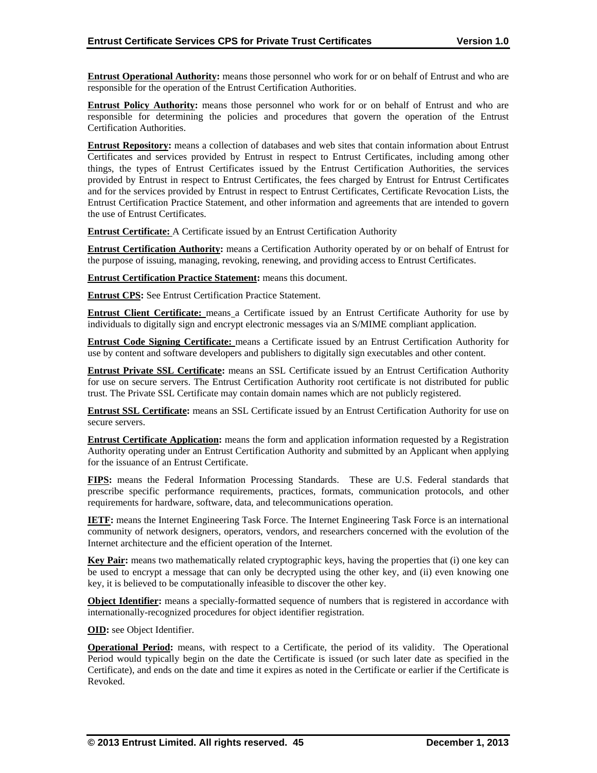**Entrust Operational Authority:** means those personnel who work for or on behalf of Entrust and who are responsible for the operation of the Entrust Certification Authorities.

**Entrust Policy Authority:** means those personnel who work for or on behalf of Entrust and who are responsible for determining the policies and procedures that govern the operation of the Entrust Certification Authorities.

**Entrust Repository:** means a collection of databases and web sites that contain information about Entrust Certificates and services provided by Entrust in respect to Entrust Certificates, including among other things, the types of Entrust Certificates issued by the Entrust Certification Authorities, the services provided by Entrust in respect to Entrust Certificates, the fees charged by Entrust for Entrust Certificates and for the services provided by Entrust in respect to Entrust Certificates, Certificate Revocation Lists, the Entrust Certification Practice Statement, and other information and agreements that are intended to govern the use of Entrust Certificates.

**Entrust Certificate:** A Certificate issued by an Entrust Certification Authority

**Entrust Certification Authority:** means a Certification Authority operated by or on behalf of Entrust for the purpose of issuing, managing, revoking, renewing, and providing access to Entrust Certificates.

**Entrust Certification Practice Statement:** means this document.

**Entrust CPS:** See Entrust Certification Practice Statement.

**Entrust Client Certificate:** means a Certificate issued by an Entrust Certificate Authority for use by individuals to digitally sign and encrypt electronic messages via an S/MIME compliant application.

**Entrust Code Signing Certificate:** means a Certificate issued by an Entrust Certification Authority for use by content and software developers and publishers to digitally sign executables and other content.

**Entrust Private SSL Certificate:** means an SSL Certificate issued by an Entrust Certification Authority for use on secure servers. The Entrust Certification Authority root certificate is not distributed for public trust. The Private SSL Certificate may contain domain names which are not publicly registered.

**Entrust SSL Certificate:** means an SSL Certificate issued by an Entrust Certification Authority for use on secure servers.

**Entrust Certificate Application:** means the form and application information requested by a Registration Authority operating under an Entrust Certification Authority and submitted by an Applicant when applying for the issuance of an Entrust Certificate.

**FIPS:** means the Federal Information Processing Standards. These are U.S. Federal standards that prescribe specific performance requirements, practices, formats, communication protocols, and other requirements for hardware, software, data, and telecommunications operation.

**IETF:** means the Internet Engineering Task Force. The Internet Engineering Task Force is an international community of network designers, operators, vendors, and researchers concerned with the evolution of the Internet architecture and the efficient operation of the Internet.

**Key Pair:** means two mathematically related cryptographic keys, having the properties that (i) one key can be used to encrypt a message that can only be decrypted using the other key, and (ii) even knowing one key, it is believed to be computationally infeasible to discover the other key.

**Object Identifier:** means a specially-formatted sequence of numbers that is registered in accordance with internationally-recognized procedures for object identifier registration.

**OID:** see Object Identifier.

**Operational Period:** means, with respect to a Certificate, the period of its validity. The Operational Period would typically begin on the date the Certificate is issued (or such later date as specified in the Certificate), and ends on the date and time it expires as noted in the Certificate or earlier if the Certificate is Revoked.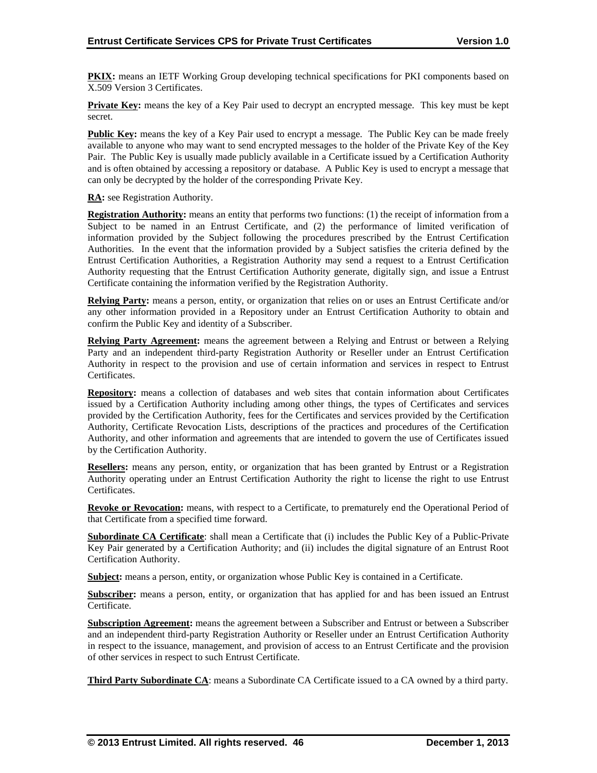**PKIX:** means an IETF Working Group developing technical specifications for PKI components based on X.509 Version 3 Certificates.

**Private Key:** means the key of a Key Pair used to decrypt an encrypted message. This key must be kept secret.

**Public Key:** means the key of a Key Pair used to encrypt a message. The Public Key can be made freely available to anyone who may want to send encrypted messages to the holder of the Private Key of the Key Pair. The Public Key is usually made publicly available in a Certificate issued by a Certification Authority and is often obtained by accessing a repository or database. A Public Key is used to encrypt a message that can only be decrypted by the holder of the corresponding Private Key.

**RA:** see Registration Authority.

**Registration Authority:** means an entity that performs two functions: (1) the receipt of information from a Subject to be named in an Entrust Certificate, and (2) the performance of limited verification of information provided by the Subject following the procedures prescribed by the Entrust Certification Authorities. In the event that the information provided by a Subject satisfies the criteria defined by the Entrust Certification Authorities, a Registration Authority may send a request to a Entrust Certification Authority requesting that the Entrust Certification Authority generate, digitally sign, and issue a Entrust Certificate containing the information verified by the Registration Authority.

**Relying Party:** means a person, entity, or organization that relies on or uses an Entrust Certificate and/or any other information provided in a Repository under an Entrust Certification Authority to obtain and confirm the Public Key and identity of a Subscriber.

**Relying Party Agreement:** means the agreement between a Relying and Entrust or between a Relying Party and an independent third-party Registration Authority or Reseller under an Entrust Certification Authority in respect to the provision and use of certain information and services in respect to Entrust Certificates.

**Repository:** means a collection of databases and web sites that contain information about Certificates issued by a Certification Authority including among other things, the types of Certificates and services provided by the Certification Authority, fees for the Certificates and services provided by the Certification Authority, Certificate Revocation Lists, descriptions of the practices and procedures of the Certification Authority, and other information and agreements that are intended to govern the use of Certificates issued by the Certification Authority.

**Resellers:** means any person, entity, or organization that has been granted by Entrust or a Registration Authority operating under an Entrust Certification Authority the right to license the right to use Entrust Certificates.

**Revoke or Revocation:** means, with respect to a Certificate, to prematurely end the Operational Period of that Certificate from a specified time forward.

**Subordinate CA Certificate**: shall mean a Certificate that (i) includes the Public Key of a Public-Private Key Pair generated by a Certification Authority; and (ii) includes the digital signature of an Entrust Root Certification Authority.

**Subject:** means a person, entity, or organization whose Public Key is contained in a Certificate.

**Subscriber:** means a person, entity, or organization that has applied for and has been issued an Entrust Certificate.

**Subscription Agreement:** means the agreement between a Subscriber and Entrust or between a Subscriber and an independent third-party Registration Authority or Reseller under an Entrust Certification Authority in respect to the issuance, management, and provision of access to an Entrust Certificate and the provision of other services in respect to such Entrust Certificate.

**Third Party Subordinate CA**: means a Subordinate CA Certificate issued to a CA owned by a third party.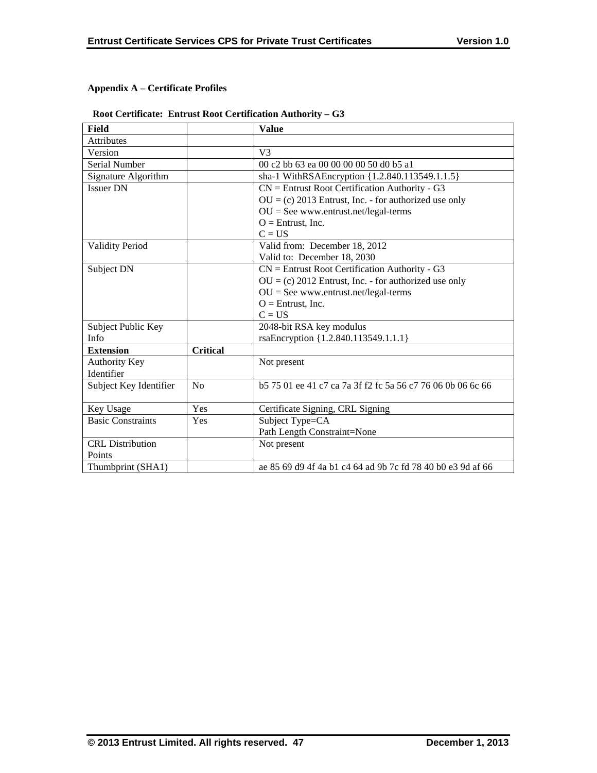# **Appendix A – Certificate Profiles**

# **Root Certificate: Entrust Root Certification Authority – G3**

| <b>Field</b>             |                 | <b>Value</b>                                                   |
|--------------------------|-----------------|----------------------------------------------------------------|
| Attributes               |                 |                                                                |
| Version                  |                 | V <sub>3</sub>                                                 |
| Serial Number            |                 | 00 c2 bb 63 ea 00 00 00 00 50 d0 b5 a1                         |
| Signature Algorithm      |                 | sha-1 WithRSAEncryption {1.2.840.113549.1.1.5}                 |
| <b>Issuer DN</b>         |                 | $CN =$ Entrust Root Certification Authority - G3               |
|                          |                 | $OU = (c) 2013$ Entrust, Inc. - for authorized use only        |
|                          |                 | $OU = See$ www.entrust.net/legal-terms                         |
|                          |                 | $O =$ Entrust, Inc.                                            |
|                          |                 | $C = US$                                                       |
| <b>Validity Period</b>   |                 | Valid from: December 18, 2012                                  |
|                          |                 | Valid to: December 18, 2030                                    |
| Subject DN               |                 | $CN =$ Entrust Root Certification Authority - G3               |
|                          |                 | $OU = (c) 2012$ Entrust, Inc. - for authorized use only        |
|                          |                 | $OU = See$ www.entrust.net/legal-terms                         |
|                          |                 | $O =$ Entrust, Inc.                                            |
|                          |                 | $C = US$                                                       |
| Subject Public Key       |                 | 2048-bit RSA key modulus                                       |
| Info                     |                 | rsaEncryption {1.2.840.113549.1.1.1}                           |
| <b>Extension</b>         | <b>Critical</b> |                                                                |
| <b>Authority Key</b>     |                 | Not present                                                    |
| Identifier               |                 |                                                                |
| Subject Key Identifier   | No              | b 57 501 ee 41 c 7 ca 7a 3f f 2 f c 5a 56 c 77 60 60 b 06 6 66 |
|                          |                 |                                                                |
| Key Usage                | Yes             | Certificate Signing, CRL Signing                               |
| <b>Basic Constraints</b> | <b>Yes</b>      | Subject Type=CA                                                |
|                          |                 | Path Length Constraint=None                                    |
| <b>CRL</b> Distribution  |                 | Not present                                                    |
| Points                   |                 |                                                                |
| Thumbprint (SHA1)        |                 | ae 85 69 d9 4f 4a b1 c4 64 ad 9b 7c fd 78 40 b0 e3 9d af 66    |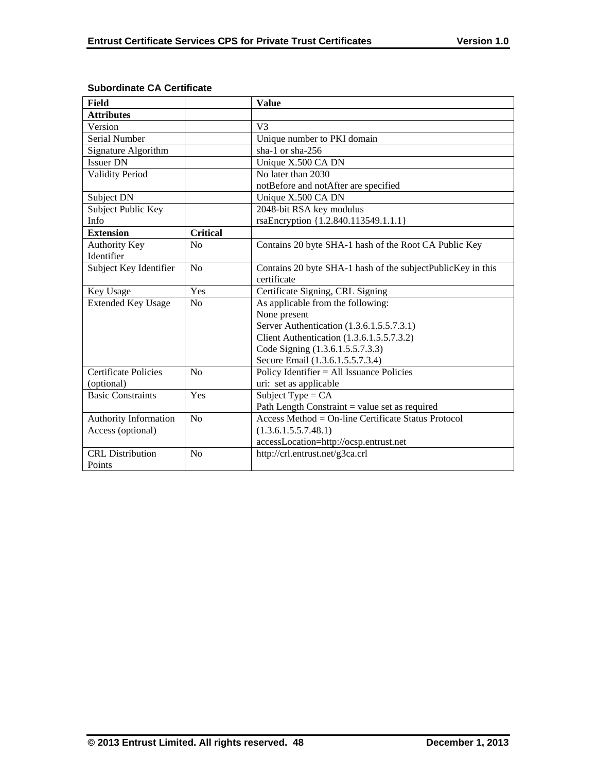| <b>Field</b>                |                 | <b>Value</b>                                                |
|-----------------------------|-----------------|-------------------------------------------------------------|
| <b>Attributes</b>           |                 |                                                             |
| Version                     |                 | V <sub>3</sub>                                              |
| <b>Serial Number</b>        |                 | Unique number to PKI domain                                 |
| Signature Algorithm         |                 | sha-1 or sha-256                                            |
| <b>Issuer DN</b>            |                 | Unique X.500 CA DN                                          |
| <b>Validity Period</b>      |                 | No later than 2030                                          |
|                             |                 | notBefore and notAfter are specified                        |
| Subject DN                  |                 | Unique X.500 CA DN                                          |
| Subject Public Key          |                 | 2048-bit RSA key modulus                                    |
| <b>Info</b>                 |                 | rsaEncryption {1.2.840.113549.1.1.1}                        |
| <b>Extension</b>            | <b>Critical</b> |                                                             |
| <b>Authority Key</b>        | N <sub>0</sub>  | Contains 20 byte SHA-1 hash of the Root CA Public Key       |
| Identifier                  |                 |                                                             |
| Subject Key Identifier      | No              | Contains 20 byte SHA-1 hash of the subjectPublicKey in this |
|                             |                 | certificate                                                 |
| Key Usage                   | Yes             | Certificate Signing, CRL Signing                            |
| <b>Extended Key Usage</b>   | N <sub>o</sub>  | As applicable from the following:                           |
|                             |                 | None present                                                |
|                             |                 | Server Authentication (1.3.6.1.5.5.7.3.1)                   |
|                             |                 | Client Authentication (1.3.6.1.5.5.7.3.2)                   |
|                             |                 | Code Signing (1.3.6.1.5.5.7.3.3)                            |
|                             |                 | Secure Email (1.3.6.1.5.5.7.3.4)                            |
| <b>Certificate Policies</b> | No              | Policy Identifier = All Issuance Policies                   |
| (optional)                  |                 | uri: set as applicable                                      |
| <b>Basic Constraints</b>    | Yes             | Subject Type = $CA$                                         |
|                             |                 | Path Length Constraint $=$ value set as required            |
| Authority Information       | No              | Access Method = On-line Certificate Status Protocol         |
| Access (optional)           |                 | (1.3.6.1.5.5.7.48.1)                                        |
|                             |                 | accessLocation=http://ocsp.entrust.net                      |
| <b>CRL</b> Distribution     | N <sub>0</sub>  | http://crl.entrust.net/g3ca.crl                             |
| Points                      |                 |                                                             |

# **Subordinate CA Certificate**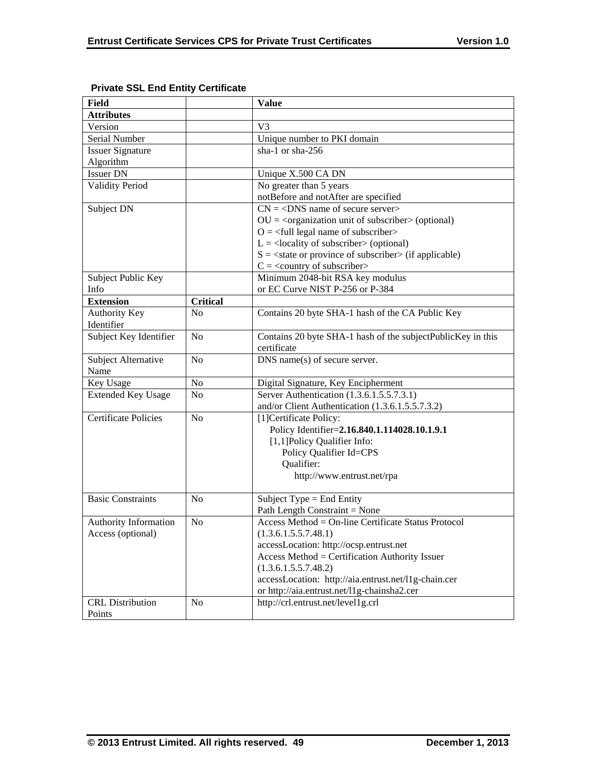| <b>Field</b>                 |                 | <b>Value</b>                                                             |
|------------------------------|-----------------|--------------------------------------------------------------------------|
| <b>Attributes</b>            |                 |                                                                          |
| Version                      |                 | V <sub>3</sub>                                                           |
| Serial Number                |                 | Unique number to PKI domain                                              |
| <b>Issuer Signature</b>      |                 | sha-1 or sha-256                                                         |
| Algorithm                    |                 |                                                                          |
| <b>Issuer DN</b>             |                 | Unique X.500 CA DN                                                       |
| <b>Validity Period</b>       |                 | No greater than 5 years                                                  |
|                              |                 | notBefore and notAfter are specified                                     |
| Subject DN                   |                 | $CN = <$ DNS name of secure server>                                      |
|                              |                 | $OU = corganization unit of subscripter > (optional)$                    |
|                              |                 | $O = \frac{1}{2}$ legal name of subscriber                               |
|                              |                 | $L =$ <locality of="" subscriber=""> (optional)</locality>               |
|                              |                 | $S = \text{state}$ or province of subscriber $\text{in}$ (if applicable) |
|                              |                 | $C =$ < country of subscriber>                                           |
| Subject Public Key           |                 | Minimum 2048-bit RSA key modulus                                         |
| Info                         |                 | or EC Curve NIST P-256 or P-384                                          |
| <b>Extension</b>             | <b>Critical</b> |                                                                          |
| Authority Key                | No              | Contains 20 byte SHA-1 hash of the CA Public Key                         |
| Identifier                   |                 |                                                                          |
| Subject Key Identifier       | N <sub>0</sub>  | Contains 20 byte SHA-1 hash of the subjectPublicKey in this              |
|                              |                 | certificate                                                              |
| Subject Alternative          | N <sub>0</sub>  | DNS name(s) of secure server.                                            |
| Name                         |                 |                                                                          |
| Key Usage                    | No              | Digital Signature, Key Encipherment                                      |
| <b>Extended Key Usage</b>    | N <sub>0</sub>  | Server Authentication (1.3.6.1.5.5.7.3.1)                                |
|                              |                 | and/or Client Authentication (1.3.6.1.5.5.7.3.2)                         |
| <b>Certificate Policies</b>  | N <sub>0</sub>  | [1] Certificate Policy:                                                  |
|                              |                 | Policy Identifier=2.16.840.1.114028.10.1.9.1                             |
|                              |                 | [1,1]Policy Qualifier Info:                                              |
|                              |                 | Policy Qualifier Id=CPS                                                  |
|                              |                 | Qualifier:                                                               |
|                              |                 | http://www.entrust.net/rpa                                               |
|                              |                 |                                                                          |
| <b>Basic Constraints</b>     | N <sub>0</sub>  | Subject Type = End Entity                                                |
|                              |                 | Path Length Constraint = None                                            |
| <b>Authority Information</b> | N <sub>0</sub>  | Access Method = On-line Certificate Status Protocol                      |
| Access (optional)            |                 | (1.3.6.1.5.5.7.48.1)                                                     |
|                              |                 | accessLocation: http://ocsp.entrust.net                                  |
|                              |                 | Access Method = Certification Authority Issuer                           |
|                              |                 | (1.3.6.1.5.5.7.48.2)                                                     |
|                              |                 | accessLocation: http://aia.entrust.net/l1g-chain.cer                     |
|                              |                 | or http://aia.entrust.net/l1g-chainsha2.cer                              |
| <b>CRL</b> Distribution      | N <sub>o</sub>  | http://crl.entrust.net/level1g.crl                                       |
| Points                       |                 |                                                                          |

# **Private SSL End Entity Certificate**